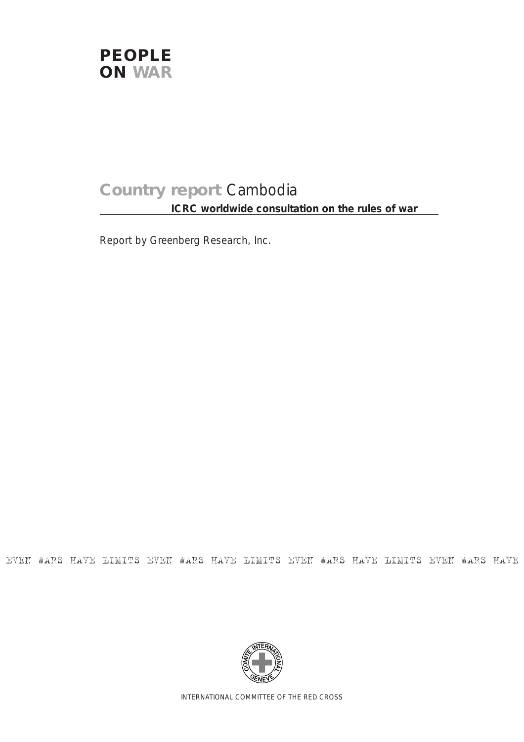

# **Country report** Cambodia **ICRC worldwide consultation on the rules of war**

Report by Greenberg Research, Inc.

EVEN WARS HAVE LIMITS EVEN WARS HAVE LIMITS EVEN WARS HAVE LIMITS EVEN WARS HAVE



INTERNATIONAL COMMITTEE OF THE RED CROSS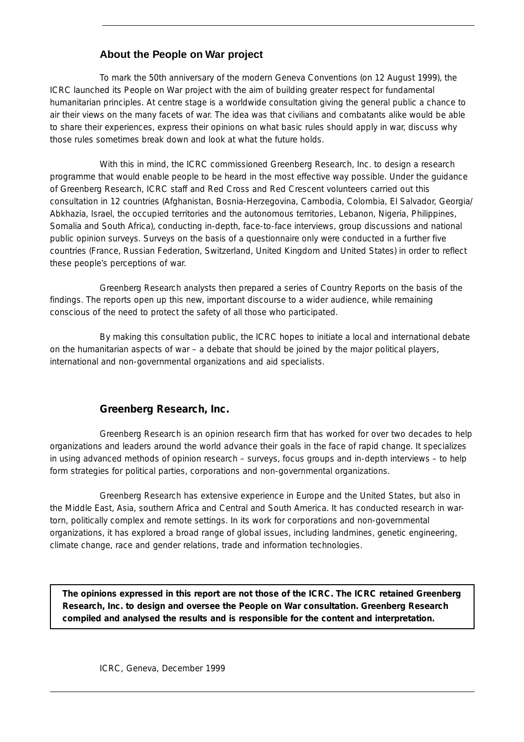## **About the People on War project**

To mark the 50th anniversary of the modern Geneva Conventions (on 12 August 1999), the ICRC launched its People on War project with the aim of building greater respect for fundamental humanitarian principles. At centre stage is a worldwide consultation giving the general public a chance to air their views on the many facets of war. The idea was that civilians and combatants alike would be able to share their experiences, express their opinions on what basic rules should apply in war, discuss why those rules sometimes break down and look at what the future holds.

With this in mind, the ICRC commissioned Greenberg Research, Inc. to design a research programme that would enable people to be heard in the most effective way possible. Under the guidance of Greenberg Research, ICRC staff and Red Cross and Red Crescent volunteers carried out this consultation in 12 countries (Afghanistan, Bosnia-Herzegovina, Cambodia, Colombia, El Salvador, Georgia/ Abkhazia, Israel, the occupied territories and the autonomous territories, Lebanon, Nigeria, Philippines, Somalia and South Africa), conducting in-depth, face-to-face interviews, group discussions and national public opinion surveys. Surveys on the basis of a questionnaire only were conducted in a further five countries (France, Russian Federation, Switzerland, United Kingdom and United States) in order to reflect these people's perceptions of war.

Greenberg Research analysts then prepared a series of Country Reports on the basis of the findings. The reports open up this new, important discourse to a wider audience, while remaining conscious of the need to protect the safety of all those who participated.

By making this consultation public, the ICRC hopes to initiate a local and international debate on the humanitarian aspects of war – a debate that should be joined by the major political players, international and non-governmental organizations and aid specialists.

## **Greenberg Research, Inc.**

Greenberg Research is an opinion research firm that has worked for over two decades to help organizations and leaders around the world advance their goals in the face of rapid change. It specializes in using advanced methods of opinion research – surveys, focus groups and in-depth interviews – to help form strategies for political parties, corporations and non-governmental organizations.

Greenberg Research has extensive experience in Europe and the United States, but also in the Middle East, Asia, southern Africa and Central and South America. It has conducted research in wartorn, politically complex and remote settings. In its work for corporations and non-governmental organizations, it has explored a broad range of global issues, including landmines, genetic engineering, climate change, race and gender relations, trade and information technologies.

**The opinions expressed in this report are not those of the ICRC. The ICRC retained Greenberg Research, Inc. to design and oversee the People on War consultation. Greenberg Research compiled and analysed the results and is responsible for the content and interpretation.**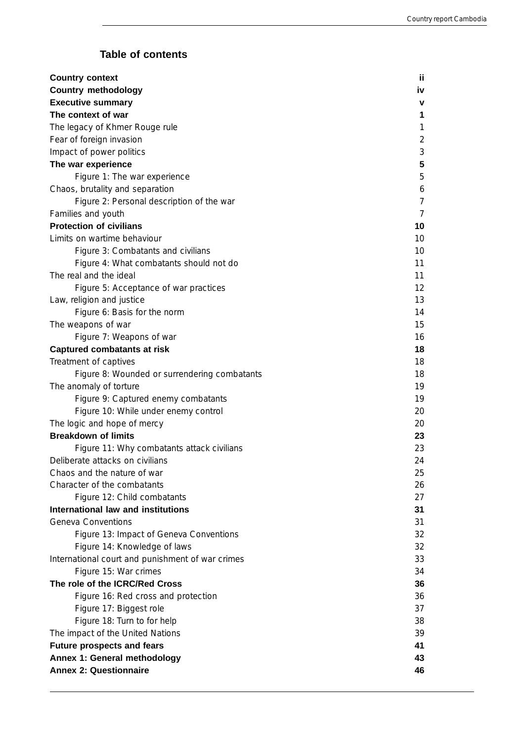## **Table of contents**

| <b>Country context</b>                           | ii.            |
|--------------------------------------------------|----------------|
| <b>Country methodology</b>                       | iv             |
| <b>Executive summary</b>                         | ۷              |
| The context of war                               | 1              |
| The legacy of Khmer Rouge rule                   | 1              |
| Fear of foreign invasion                         | $\overline{2}$ |
| Impact of power politics                         | 3              |
| The war experience                               | 5              |
| Figure 1: The war experience                     | 5              |
| Chaos, brutality and separation                  | 6              |
| Figure 2: Personal description of the war        | 7              |
| Families and youth                               | 7              |
| <b>Protection of civilians</b>                   | 10             |
| Limits on wartime behaviour                      | 10             |
| Figure 3: Combatants and civilians               | 10             |
| Figure 4: What combatants should not do          | 11             |
| The real and the ideal                           | 11             |
| Figure 5: Acceptance of war practices            | 12             |
| Law, religion and justice                        | 13             |
| Figure 6: Basis for the norm                     | 14             |
| The weapons of war                               | 15             |
| Figure 7: Weapons of war                         | 16             |
| <b>Captured combatants at risk</b>               | 18             |
| Treatment of captives                            | 18             |
| Figure 8: Wounded or surrendering combatants     | 18             |
| The anomaly of torture                           | 19             |
| Figure 9: Captured enemy combatants              | 19             |
| Figure 10: While under enemy control             | 20             |
| The logic and hope of mercy                      | 20             |
| <b>Breakdown of limits</b>                       | 23             |
| Figure 11: Why combatants attack civilians       | 23             |
| Deliberate attacks on civilians                  | 24             |
| Chaos and the nature of war                      | 25             |
| Character of the combatants                      | 26             |
| Figure 12: Child combatants                      | 27             |
| International law and institutions               | 31             |
| <b>Geneva Conventions</b>                        | 31             |
| Figure 13: Impact of Geneva Conventions          | 32             |
| Figure 14: Knowledge of laws                     | 32             |
| International court and punishment of war crimes | 33             |
| Figure 15: War crimes                            | 34             |
| The role of the ICRC/Red Cross                   | 36             |
| Figure 16: Red cross and protection              | 36             |
| Figure 17: Biggest role                          | 37             |
| Figure 18: Turn to for help                      | 38             |
| The impact of the United Nations                 | 39             |
| <b>Future prospects and fears</b>                | 41             |
| Annex 1: General methodology                     | 43             |
| <b>Annex 2: Questionnaire</b>                    | 46             |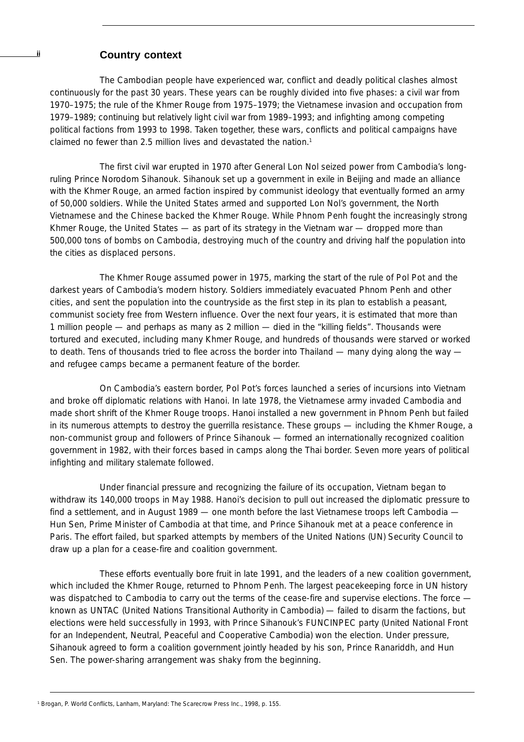## **ii Country context**

The Cambodian people have experienced war, conflict and deadly political clashes almost continuously for the past 30 years. These years can be roughly divided into five phases: a civil war from 1970–1975; the rule of the Khmer Rouge from 1975–1979; the Vietnamese invasion and occupation from 1979–1989; continuing but relatively light civil war from 1989–1993; and infighting among competing political factions from 1993 to 1998. Taken together, these wars, conflicts and political campaigns have claimed no fewer than 2.5 million lives and devastated the nation.<sup>1</sup>

The first civil war erupted in 1970 after General Lon Nol seized power from Cambodia's longruling Prince Norodom Sihanouk. Sihanouk set up a government in exile in Beijing and made an alliance with the Khmer Rouge, an armed faction inspired by communist ideology that eventually formed an army of 50,000 soldiers. While the United States armed and supported Lon Nol's government, the North Vietnamese and the Chinese backed the Khmer Rouge. While Phnom Penh fought the increasingly strong Khmer Rouge, the United States  $-$  as part of its strategy in the Vietnam war  $-$  dropped more than 500,000 tons of bombs on Cambodia, destroying much of the country and driving half the population into the cities as displaced persons.

The Khmer Rouge assumed power in 1975, marking the start of the rule of Pol Pot and the darkest years of Cambodia's modern history. Soldiers immediately evacuated Phnom Penh and other cities, and sent the population into the countryside as the first step in its plan to establish a peasant, communist society free from Western influence. Over the next four years, it is estimated that more than 1 million people — and perhaps as many as 2 million — died in the "killing fields". Thousands were tortured and executed, including many Khmer Rouge, and hundreds of thousands were starved or worked to death. Tens of thousands tried to flee across the border into Thailand — many dying along the way and refugee camps became a permanent feature of the border.

On Cambodia's eastern border, Pol Pot's forces launched a series of incursions into Vietnam and broke off diplomatic relations with Hanoi. In late 1978, the Vietnamese army invaded Cambodia and made short shrift of the Khmer Rouge troops. Hanoi installed a new government in Phnom Penh but failed in its numerous attempts to destroy the guerrilla resistance. These groups — including the Khmer Rouge, a non-communist group and followers of Prince Sihanouk — formed an internationally recognized coalition government in 1982, with their forces based in camps along the Thai border. Seven more years of political infighting and military stalemate followed.

Under financial pressure and recognizing the failure of its occupation, Vietnam began to withdraw its 140,000 troops in May 1988. Hanoi's decision to pull out increased the diplomatic pressure to find a settlement, and in August 1989 — one month before the last Vietnamese troops left Cambodia — Hun Sen, Prime Minister of Cambodia at that time, and Prince Sihanouk met at a peace conference in Paris. The effort failed, but sparked attempts by members of the United Nations (UN) Security Council to draw up a plan for a cease-fire and coalition government.

These efforts eventually bore fruit in late 1991, and the leaders of a new coalition government, which included the Khmer Rouge, returned to Phnom Penh. The largest peacekeeping force in UN history was dispatched to Cambodia to carry out the terms of the cease-fire and supervise elections. The force known as UNTAC (United Nations Transitional Authority in Cambodia) — failed to disarm the factions, but elections were held successfully in 1993, with Prince Sihanouk's FUNCINPEC party (United National Front for an Independent, Neutral, Peaceful and Cooperative Cambodia) won the election. Under pressure, Sihanouk agreed to form a coalition government jointly headed by his son, Prince Ranariddh, and Hun Sen. The power-sharing arrangement was shaky from the beginning.

<sup>1</sup> Brogan, P. *World Conflicts*, Lanham, Maryland: The Scarecrow Press Inc., 1998, p. 155.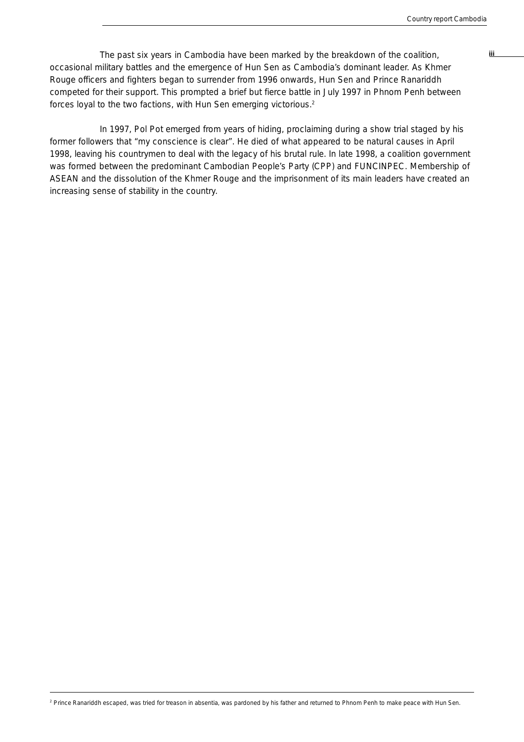The past six years in Cambodia have been marked by the breakdown of the coalition, **included** occasional military battles and the emergence of Hun Sen as Cambodia's dominant leader. As Khmer Rouge officers and fighters began to surrender from 1996 onwards, Hun Sen and Prince Ranariddh competed for their support. This prompted a brief but fierce battle in July 1997 in Phnom Penh between forces loyal to the two factions, with Hun Sen emerging victorious.2

In 1997, Pol Pot emerged from years of hiding, proclaiming during a show trial staged by his former followers that "my conscience is clear". He died of what appeared to be natural causes in April 1998, leaving his countrymen to deal with the legacy of his brutal rule. In late 1998, a coalition government was formed between the predominant Cambodian People's Party (CPP) and FUNCINPEC. Membership of ASEAN and the dissolution of the Khmer Rouge and the imprisonment of its main leaders have created an increasing sense of stability in the country.

2 Prince Ranariddh escaped, was tried for treason *in absentia*, was pardoned by his father and returned to Phnom Penh to make peace with Hun Sen.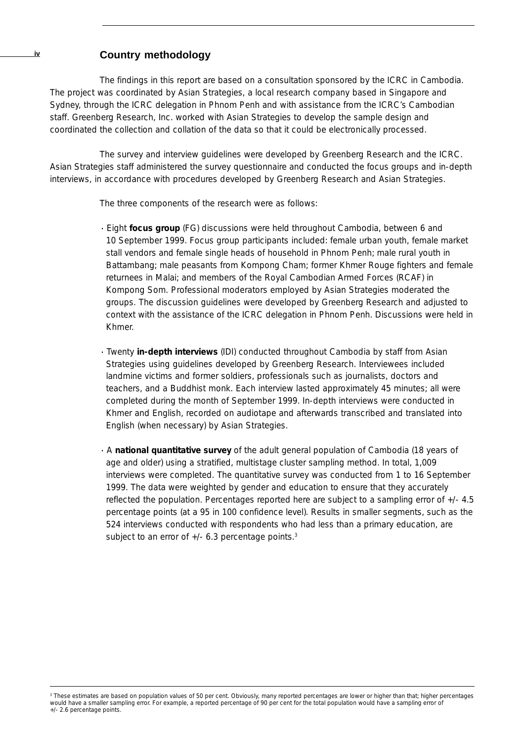## **iv Country methodology**

The findings in this report are based on a consultation sponsored by the ICRC in Cambodia. The project was coordinated by Asian Strategies, a local research company based in Singapore and Sydney, through the ICRC delegation in Phnom Penh and with assistance from the ICRC's Cambodian staff. Greenberg Research, Inc*.* worked with Asian Strategies to develop the sample design and coordinated the collection and collation of the data so that it could be electronically processed.

The survey and interview guidelines were developed by Greenberg Research and the ICRC. Asian Strategies staff administered the survey questionnaire and conducted the focus groups and in-depth interviews, in accordance with procedures developed by Greenberg Research and Asian Strategies.

The three components of the research were as follows:

- · Eight **focus group** (FG) discussions were held throughout Cambodia, between 6 and 10 September 1999. Focus group participants included: female urban youth, female market stall vendors and female single heads of household in Phnom Penh; male rural youth in Battambang; male peasants from Kompong Cham; former Khmer Rouge fighters and female returnees in Malai; and members of the Royal Cambodian Armed Forces (RCAF) in Kompong Som. Professional moderators employed by Asian Strategies moderated the groups. The discussion guidelines were developed by Greenberg Research and adjusted to context with the assistance of the ICRC delegation in Phnom Penh. Discussions were held in Khmer.
- · Twenty **in-depth interviews** (IDI) conducted throughout Cambodia by staff from Asian Strategies using guidelines developed by Greenberg Research. Interviewees included landmine victims and former soldiers, professionals such as journalists, doctors and teachers, and a Buddhist monk. Each interview lasted approximately 45 minutes; all were completed during the month of September 1999. In-depth interviews were conducted in Khmer and English, recorded on audiotape and afterwards transcribed and translated into English (when necessary) by Asian Strategies.
- · A **national quantitative survey** of the adult general population of Cambodia (18 years of age and older) using a stratified, multistage cluster sampling method. In total, 1,009 interviews were completed. The quantitative survey was conducted from 1 to 16 September 1999. The data were weighted by gender and education to ensure that they accurately reflected the population. Percentages reported here are subject to a sampling error of +/- 4.5 percentage points (at a 95 in 100 confidence level). Results in smaller segments, such as the 524 interviews conducted with respondents who had less than a primary education, are subject to an error of  $+/-$  6.3 percentage points.<sup>3</sup>

<sup>3</sup> These estimates are based on population values of 50 per cent. Obviously, many reported percentages are lower or higher than that; higher percentages would have a smaller sampling error. For example, a reported percentage of 90 per cent for the total population would have a sampling error of +/- 2.6 percentage points.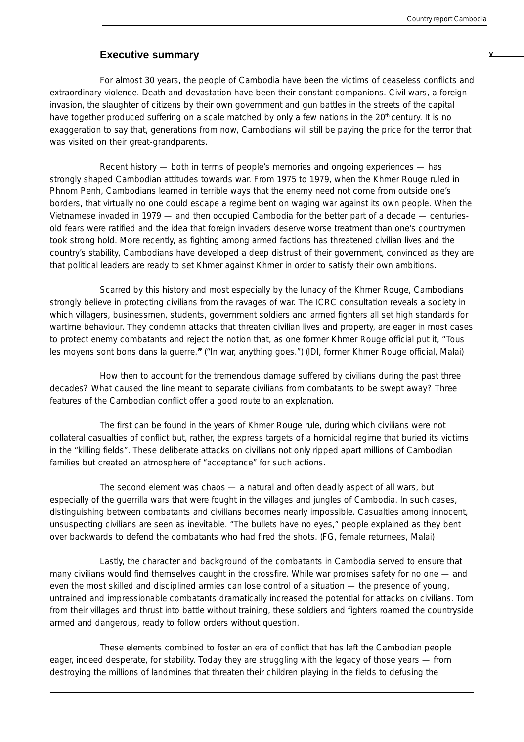## **Executive summary**

For almost 30 years, the people of Cambodia have been the victims of ceaseless conflicts and extraordinary violence. Death and devastation have been their constant companions. Civil wars, a foreign invasion, the slaughter of citizens by their own government and gun battles in the streets of the capital have together produced suffering on a scale matched by only a few nations in the 20<sup>th</sup> century. It is no exaggeration to say that, generations from now, Cambodians will still be paying the price for the terror that was visited on their great-grandparents.

Recent history — both in terms of people's memories and ongoing experiences — has strongly shaped Cambodian attitudes towards war. From 1975 to 1979, when the Khmer Rouge ruled in Phnom Penh, Cambodians learned in terrible ways that the enemy need not come from outside one's borders, that virtually no one could escape a regime bent on waging war against its own people. When the Vietnamese invaded in 1979 — and then occupied Cambodia for the better part of a decade — centuriesold fears were ratified and the idea that foreign invaders deserve worse treatment than one's countrymen took strong hold. More recently, as fighting among armed factions has threatened civilian lives and the country's stability, Cambodians have developed a deep distrust of their government, convinced as they are that political leaders are ready to set Khmer against Khmer in order to satisfy their own ambitions.

Scarred by this history and most especially by the lunacy of the Khmer Rouge, Cambodians strongly believe in protecting civilians from the ravages of war. The ICRC consultation reveals a society in which villagers, businessmen, students, government soldiers and armed fighters all set high standards for wartime behaviour. They condemn attacks that threaten civilian lives and property, are eager in most cases to protect enemy combatants and reject the notion that, as one former Khmer Rouge official put it, "*Tous les moyens sont bons dans la guerre."* ("In war, anything goes.") (IDI, former Khmer Rouge official, Malai)

How then to account for the tremendous damage suffered by civilians during the past three decades? What caused the line meant to separate civilians from combatants to be swept away? Three features of the Cambodian conflict offer a good route to an explanation.

The first can be found in the years of Khmer Rouge rule, during which civilians were not collateral casualties of conflict but, rather, the express targets of a homicidal regime that buried its victims in the "killing fields". These deliberate attacks on civilians not only ripped apart millions of Cambodian families but created an atmosphere of "acceptance" for such actions.

The second element was chaos — a natural and often deadly aspect of all wars, but especially of the guerrilla wars that were fought in the villages and jungles of Cambodia. In such cases, distinguishing between combatants and civilians becomes nearly impossible. Casualties among innocent, unsuspecting civilians are seen as inevitable. "The bullets have no eyes," people explained as they bent over backwards to defend the combatants who had fired the shots. (FG, female returnees, Malai)

Lastly, the character and background of the combatants in Cambodia served to ensure that many civilians would find themselves caught in the crossfire. While war promises safety for no one — and even the most skilled and disciplined armies can lose control of a situation — the presence of young, untrained and impressionable combatants dramatically increased the potential for attacks on civilians. Torn from their villages and thrust into battle without training, these soldiers and fighters roamed the countryside armed and dangerous, ready to follow orders without question.

These elements combined to foster an era of conflict that has left the Cambodian people eager, indeed desperate, for stability. Today they are struggling with the legacy of those years — from destroying the millions of landmines that threaten their children playing in the fields to defusing the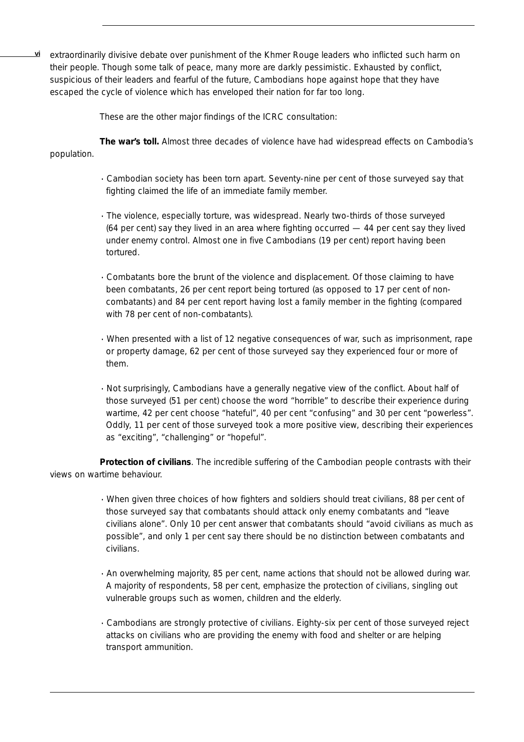**vi** extraordinarily divisive debate over punishment of the Khmer Rouge leaders who inflicted such harm on their people. Though some talk of peace, many more are darkly pessimistic. Exhausted by conflict, suspicious of their leaders and fearful of the future, Cambodians hope against hope that they have escaped the cycle of violence which has enveloped their nation for far too long.

These are the other major findings of the ICRC consultation:

**The war's toll.** Almost three decades of violence have had widespread effects on Cambodia's population.

- · Cambodian society has been torn apart. Seventy-nine per cent of those surveyed say that fighting claimed the life of an immediate family member.
- · The violence, especially torture, was widespread. Nearly two-thirds of those surveyed (64 per cent) say they lived in an area where fighting occurred — 44 per cent say they lived under enemy control. Almost one in five Cambodians (19 per cent) report having been tortured.
- · Combatants bore the brunt of the violence and displacement. Of those claiming to have been combatants, 26 per cent report being tortured (as opposed to 17 per cent of noncombatants) and 84 per cent report having lost a family member in the fighting (compared with 78 per cent of non-combatants).
- · When presented with a list of 12 negative consequences of war, such as imprisonment, rape or property damage, 62 per cent of those surveyed say they experienced four or more of them.
- · Not surprisingly, Cambodians have a generally negative view of the conflict. About half of those surveyed (51 per cent) choose the word "horrible" to describe their experience during wartime, 42 per cent choose "hateful", 40 per cent "confusing" and 30 per cent "powerless". Oddly, 11 per cent of those surveyed took a more positive view, describing their experiences as "exciting", "challenging" or "hopeful".

**Protection of civilians**. The incredible suffering of the Cambodian people contrasts with their views on wartime behaviour.

- · When given three choices of how fighters and soldiers should treat civilians, 88 per cent of those surveyed say that combatants should attack only enemy combatants and "leave civilians alone". Only 10 per cent answer that combatants should "avoid civilians as much as possible", and only 1 per cent say there should be no distinction between combatants and civilians.
- · An overwhelming majority, 85 per cent, name actions that should not be allowed during war. A majority of respondents, 58 per cent, emphasize the protection of civilians, singling out vulnerable groups such as women, children and the elderly.
- · Cambodians are strongly protective of civilians. Eighty-six per cent of those surveyed reject attacks on civilians who are providing the enemy with food and shelter or are helping transport ammunition.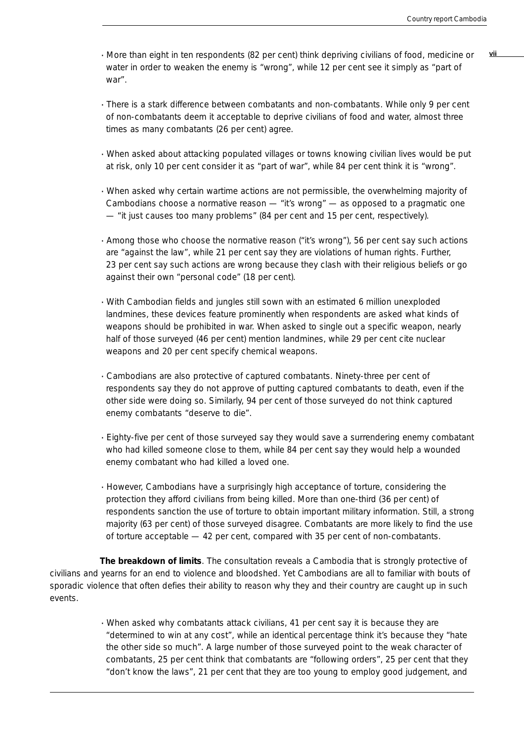- · **vii** More than eight in ten respondents (82 per cent) think depriving civilians of food, medicine or water in order to weaken the enemy is "wrong", while 12 per cent see it simply as "part of war".
- · There is a stark difference between combatants and non-combatants. While only 9 per cent of non-combatants deem it acceptable to deprive civilians of food and water, almost three times as many combatants (26 per cent) agree.
- · When asked about attacking populated villages or towns knowing civilian lives would be put at risk, only 10 per cent consider it as "part of war", while 84 per cent think it is "wrong".
- · When asked why certain wartime actions are not permissible, the overwhelming majority of Cambodians choose a normative reason — "it's wrong" — as opposed to a pragmatic one — "it just causes too many problems" (84 per cent and 15 per cent, respectively).
- · Among those who choose the normative reason ("it's wrong"), 56 per cent say such actions are "against the law", while 21 per cent say they are violations of human rights. Further, 23 per cent say such actions are wrong because they clash with their religious beliefs or go against their own "personal code" (18 per cent).
- · With Cambodian fields and jungles still sown with an estimated 6 million unexploded landmines, these devices feature prominently when respondents are asked what kinds of weapons should be prohibited in war. When asked to single out a specific weapon, nearly half of those surveyed (46 per cent) mention landmines, while 29 per cent cite nuclear weapons and 20 per cent specify chemical weapons.
- · Cambodians are also protective of captured combatants. Ninety-three per cent of respondents say they do not approve of putting captured combatants to death, even if the other side were doing so. Similarly, 94 per cent of those surveyed do not think captured enemy combatants "deserve to die".
- · Eighty-five per cent of those surveyed say they would save a surrendering enemy combatant who had killed someone close to them, while 84 per cent say they would help a wounded enemy combatant who had killed a loved one.
- · However, Cambodians have a surprisingly high acceptance of torture, considering the protection they afford civilians from being killed. More than one-third (36 per cent) of respondents sanction the use of torture to obtain important military information. Still, a strong majority (63 per cent) of those surveyed disagree. Combatants are more likely to find the use of torture acceptable — 42 per cent, compared with 35 per cent of non-combatants.

**The breakdown of limits**. The consultation reveals a Cambodia that is strongly protective of civilians and yearns for an end to violence and bloodshed. Yet Cambodians are all to familiar with bouts of sporadic violence that often defies their ability to reason why they and their country are caught up in such events.

> · When asked why combatants attack civilians, 41 per cent say it is because they are "determined to win at any cost", while an identical percentage think it's because they "hate the other side so much". A large number of those surveyed point to the weak character of combatants, 25 per cent think that combatants are "following orders", 25 per cent that they "don't know the laws", 21 per cent that they are too young to employ good judgement, and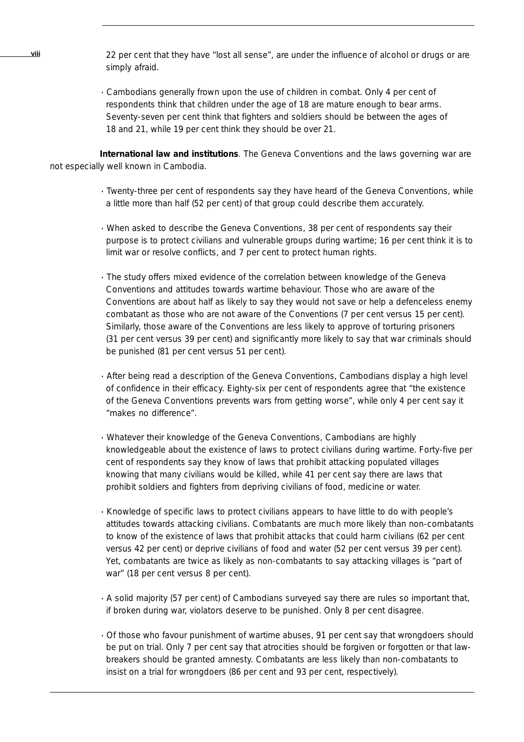22 per cent that they have "lost all sense", are under the influence of alcohol or drugs or are simply afraid.

· Cambodians generally frown upon the use of children in combat. Only 4 per cent of respondents think that children under the age of 18 are mature enough to bear arms. Seventy-seven per cent think that fighters and soldiers should be between the ages of 18 and 21, while 19 per cent think they should be over 21.

**International law and institutions**. The Geneva Conventions and the laws governing war are not especially well known in Cambodia.

- · Twenty-three per cent of respondents say they have heard of the Geneva Conventions, while a little more than half (52 per cent) of that group could describe them accurately.
- · When asked to describe the Geneva Conventions, 38 per cent of respondents say their purpose is to protect civilians and vulnerable groups during wartime; 16 per cent think it is to limit war or resolve conflicts, and 7 per cent to protect human rights.
- · The study offers mixed evidence of the correlation between knowledge of the Geneva Conventions and attitudes towards wartime behaviour. Those who are aware of the Conventions are about half as likely to say they would *not* save or help a defenceless enemy combatant as those who are not aware of the Conventions (7 per cent versus 15 per cent). Similarly, those aware of the Conventions are less likely to approve of torturing prisoners (31 per cent versus 39 per cent) and significantly more likely to say that war criminals should be punished (81 per cent versus 51 per cent).
- · After being read a description of the Geneva Conventions, Cambodians display a high level of confidence in their efficacy. Eighty-six per cent of respondents agree that "the existence of the Geneva Conventions prevents wars from getting worse", while only 4 per cent say it "makes no difference".
- · Whatever their knowledge of the Geneva Conventions, Cambodians are highly knowledgeable about the existence of laws to protect civilians during wartime. Forty-five per cent of respondents say they know of laws that prohibit attacking populated villages knowing that many civilians would be killed, while 41 per cent say there are laws that prohibit soldiers and fighters from depriving civilians of food, medicine or water.
- · Knowledge of specific laws to protect civilians appears to have little to do with people's attitudes towards attacking civilians. Combatants are much more likely than non-combatants to know of the existence of laws that prohibit attacks that could harm civilians (62 per cent versus 42 per cent) or deprive civilians of food and water (52 per cent versus 39 per cent). Yet, combatants are twice as likely as non-combatants to say attacking villages is "part of war" (18 per cent versus 8 per cent).
- · A solid majority (57 per cent) of Cambodians surveyed say there are rules so important that, if broken during war, violators deserve to be punished. Only 8 per cent disagree.
- · Of those who favour punishment of wartime abuses, 91 per cent say that wrongdoers should be put on trial. Only 7 per cent say that atrocities should be forgiven or forgotten or that lawbreakers should be granted amnesty. Combatants are less likely than non-combatants to insist on a trial for wrongdoers (86 per cent and 93 per cent, respectively).

**viii**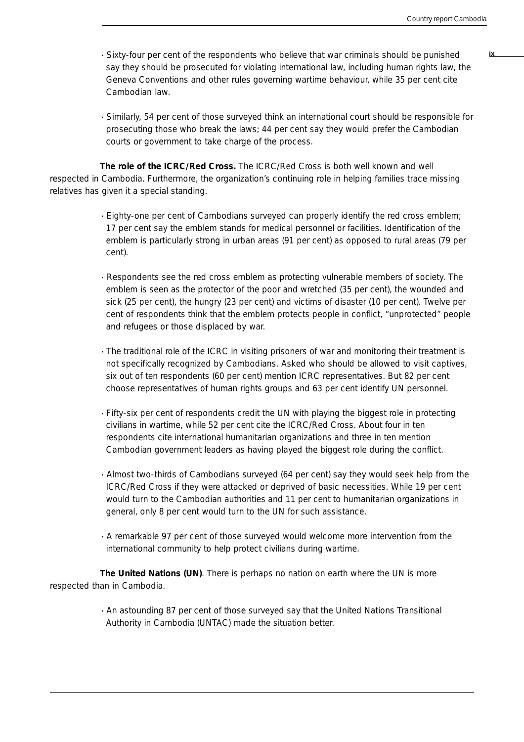**ix**

- · Sixty-four per cent of the respondents who believe that war criminals should be punished say they should be prosecuted for violating international law, including human rights law, the Geneva Conventions and other rules governing wartime behaviour, while 35 per cent cite Cambodian law.
- · Similarly, 54 per cent of those surveyed think an international court should be responsible for prosecuting those who break the laws; 44 per cent say they would prefer the Cambodian courts or government to take charge of the process.

**The role of the ICRC/Red Cross.** The ICRC/Red Cross is both well known and well respected in Cambodia. Furthermore, the organization's continuing role in helping families trace missing relatives has given it a special standing.

- · Eighty-one per cent of Cambodians surveyed can properly identify the red cross emblem; 17 per cent say the emblem stands for medical personnel or facilities. Identification of the emblem is particularly strong in urban areas (91 per cent) as opposed to rural areas (79 per cent).
- · Respondents see the red cross emblem as protecting vulnerable members of society. The emblem is seen as the protector of the poor and wretched (35 per cent), the wounded and sick (25 per cent), the hungry (23 per cent) and victims of disaster (10 per cent). Twelve per cent of respondents think that the emblem protects people in conflict, "unprotected" people and refugees or those displaced by war.
- · The traditional role of the ICRC in visiting prisoners of war and monitoring their treatment is not specifically recognized by Cambodians. Asked who should be allowed to visit captives, six out of ten respondents (60 per cent) mention ICRC representatives. But 82 per cent choose representatives of human rights groups and 63 per cent identify UN personnel.
- · Fifty-six per cent of respondents credit the UN with playing the biggest role in protecting civilians in wartime, while 52 per cent cite the ICRC/Red Cross. About four in ten respondents cite international humanitarian organizations and three in ten mention Cambodian government leaders as having played the biggest role during the conflict.
- · Almost two-thirds of Cambodians surveyed (64 per cent) say they would seek help from the ICRC/Red Cross if they were attacked or deprived of basic necessities. While 19 per cent would turn to the Cambodian authorities and 11 per cent to humanitarian organizations in general, only 8 per cent would turn to the UN for such assistance.
- · A remarkable 97 per cent of those surveyed would welcome more intervention from the international community to help protect civilians during wartime.

**The United Nations (UN)**. There is perhaps no nation on earth where the UN is more respected than in Cambodia.

> · An astounding 87 per cent of those surveyed say that the United Nations Transitional Authority in Cambodia (UNTAC) made the situation better.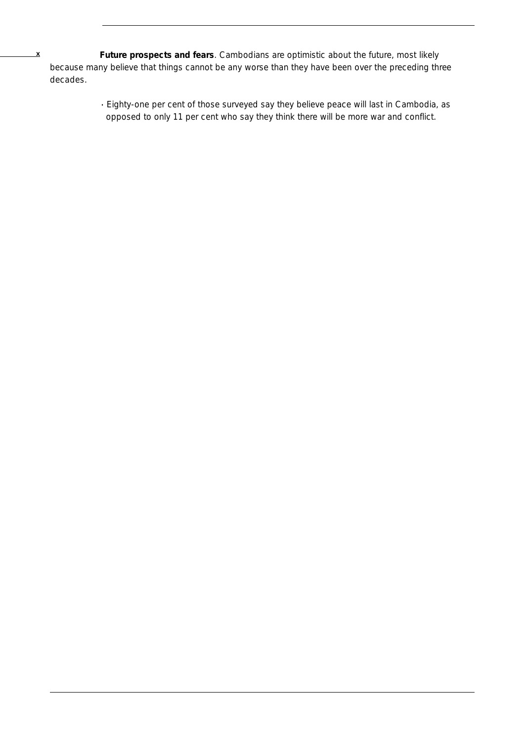**x Future prospects and fears**. Cambodians are optimistic about the future, most likely because many believe that things cannot be any worse than they have been over the preceding three decades.

> · Eighty-one per cent of those surveyed say they believe peace will last in Cambodia, as opposed to only 11 per cent who say they think there will be more war and conflict.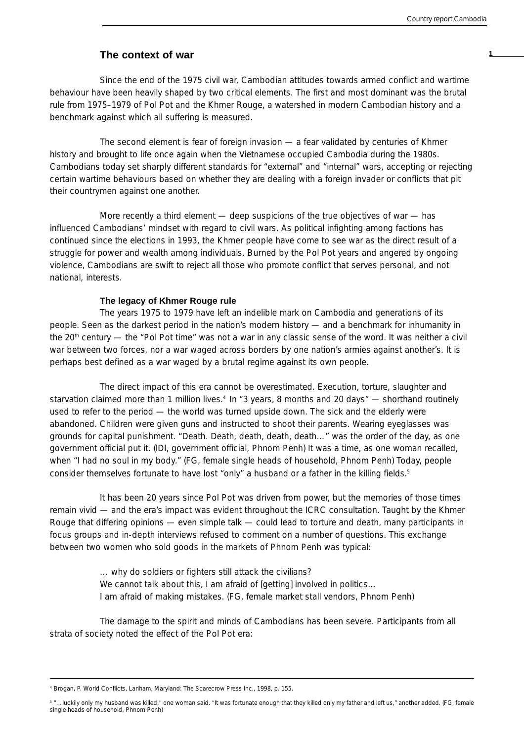## **The context of war 1**

Since the end of the 1975 civil war, Cambodian attitudes towards armed conflict and wartime behaviour have been heavily shaped by two critical elements. The first and most dominant was the brutal rule from 1975–1979 of Pol Pot and the Khmer Rouge, a watershed in modern Cambodian history and a benchmark against which all suffering is measured.

The second element is fear of foreign invasion — a fear validated by centuries of Khmer history and brought to life once again when the Vietnamese occupied Cambodia during the 1980s. Cambodians today set sharply different standards for "external" and "internal" wars, accepting or rejecting certain wartime behaviours based on whether they are dealing with a foreign invader or conflicts that pit their countrymen against one another.

More recently a third element — deep suspicions of the true objectives of war — has influenced Cambodians' mindset with regard to civil wars. As political infighting among factions has continued since the elections in 1993, the Khmer people have come to see war as the direct result of a struggle for power and wealth among individuals. Burned by the Pol Pot years and angered by ongoing violence, Cambodians are swift to reject all those who promote conflict that serves personal, and not national, interests.

#### **The legacy of Khmer Rouge rule**

The years 1975 to 1979 have left an indelible mark on Cambodia and generations of its people. Seen as the darkest period in the nation's modern history — and a benchmark for inhumanity in the 20<sup>th</sup> century — the "Pol Pot time" was not a war in any classic sense of the word. It was neither a civil war between two forces, nor a war waged across borders by one nation's armies against another's. It is perhaps best defined as a war waged by a brutal regime against its own people.

The direct impact of this era cannot be overestimated. Execution, torture, slaughter and starvation claimed more than 1 million lives.<sup>4</sup> In "3 years, 8 months and 20 days" — shorthand routinely used to refer to the period — the world was turned upside down. The sick and the elderly were abandoned. Children were given guns and instructed to shoot their parents. Wearing eyeglasses was grounds for capital punishment. "Death. Death, death, death, death…" was the order of the day, as one government official put it. (IDI, government official, Phnom Penh) It was a time, as one woman recalled, when "I had no soul in my body." (FG, female single heads of household, Phnom Penh) Today, people consider themselves fortunate to have lost "only" a husband or a father in the killing fields.<sup>5</sup>

It has been 20 years since Pol Pot was driven from power, but the memories of those times remain vivid — and the era's impact was evident throughout the ICRC consultation. Taught by the Khmer Rouge that differing opinions — even simple talk — could lead to torture and death, many participants in focus groups and in-depth interviews refused to comment on a number of questions. This exchange between two women who sold goods in the markets of Phnom Penh was typical:

> … why do soldiers or fighters still attack the civilians? We cannot talk about this, I am afraid of [getting] involved in politics... I am afraid of making mistakes. (FG, female market stall vendors, Phnom Penh)

The damage to the spirit and minds of Cambodians has been severe. Participants from all strata of society noted the effect of the Pol Pot era:

<sup>4</sup> Brogan, P. *World Conflicts*, Lanham, Maryland: The Scarecrow Press Inc., 1998, p. 155.

<sup>5 &</sup>quot;...luckily only my husband was killed," one woman said. "It was fortunate enough that they killed only my father and left us," another added. (FG, female single heads of household, Phnom Penh)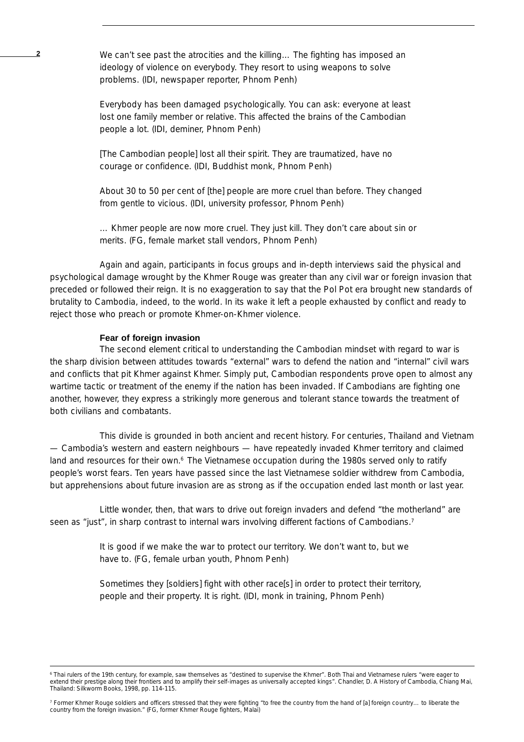**2** We can't see past the atrocities and the killing… The fighting has imposed an ideology of violence on everybody. They resort to using weapons to solve problems. (IDI, newspaper reporter, Phnom Penh)

> Everybody has been damaged psychologically. You can ask: everyone at least lost one family member or relative. This affected the brains of the Cambodian people a lot. (IDI, deminer, Phnom Penh)

[The Cambodian people] lost all their spirit. They are traumatized, have no courage or confidence. (IDI, Buddhist monk, Phnom Penh)

About 30 to 50 per cent of [the] people are more cruel than before. They changed from gentle to vicious. (IDI, university professor, Phnom Penh)

… Khmer people are now more cruel. They just kill. They don't care about sin or merits. (FG, female market stall vendors, Phnom Penh)

Again and again, participants in focus groups and in-depth interviews said the physical and psychological damage wrought by the Khmer Rouge was greater than any civil war or foreign invasion that preceded or followed their reign. It is no exaggeration to say that the Pol Pot era brought new standards of brutality to Cambodia, indeed, to the world. In its wake it left a people exhausted by conflict and ready to reject those who preach or promote Khmer-on-Khmer violence.

#### **Fear of foreign invasion**

The second element critical to understanding the Cambodian mindset with regard to war is the sharp division between attitudes towards "external" wars to defend the nation and "internal" civil wars and conflicts that pit Khmer against Khmer. Simply put, Cambodian respondents prove open to almost any wartime tactic or treatment of the enemy if the nation has been invaded. If Cambodians are fighting one another, however, they express a strikingly more generous and tolerant stance towards the treatment of both civilians and combatants.

This divide is grounded in both ancient and recent history. For centuries, Thailand and Vietnam — Cambodia's western and eastern neighbours — have repeatedly invaded Khmer territory and claimed land and resources for their own.<sup>6</sup> The Vietnamese occupation during the 1980s served only to ratify people's worst fears. Ten years have passed since the last Vietnamese soldier withdrew from Cambodia, but apprehensions about future invasion are as strong as if the occupation ended last month or last year.

Little wonder, then, that wars to drive out foreign invaders and defend "the motherland" are seen as "just", in sharp contrast to internal wars involving different factions of Cambodians.<sup>7</sup>

> It is good if we make the war to protect our territory. We don't want to, but we have to. (FG, female urban youth, Phnom Penh)

Sometimes they [soldiers] fight with other race[s] in order to protect their territory, people and their property. It is right. (IDI, monk in training, Phnom Penh)

<sup>6</sup> Thai rulers of the 19th century, for example, saw themselves as "destined to supervise the Khmer". Both Thai and Vietnamese rulers "were eager to extend their prestige along their frontiers and to amplify their self-images as universally accepted kings". Chandler, D. *A History of Cambodia*, Chiang Mai, Thailand: Silkworm Books, 1998, pp. 114-115.

<sup>7</sup> Former Khmer Rouge soldiers and officers stressed that they were fighting "to free the country from the hand of [a] foreign country… to liberate the country from the foreign invasion." (FG, former Khmer Rouge fighters, Malai)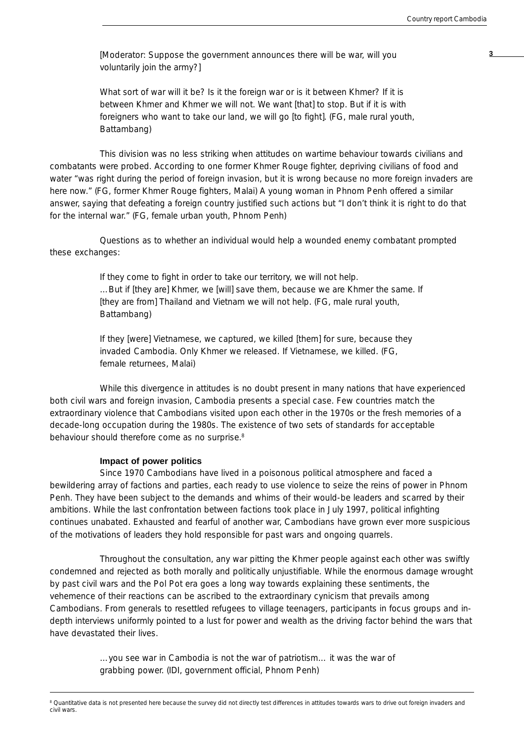**3** [Moderator: Suppose the government announces there will be war, will you voluntarily join the army?]

What sort of war will it be? Is it the foreign war or is it between Khmer? If it is between Khmer and Khmer we will not. We want [that] to stop. But if it is with foreigners who want to take our land, we will go [to fight]. (FG, male rural youth, Battambang)

This division was no less striking when attitudes on wartime behaviour towards civilians and combatants were probed. According to one former Khmer Rouge fighter, depriving civilians of food and water "was right during the period of foreign invasion, but it is wrong because no more foreign invaders are here now." (FG, former Khmer Rouge fighters, Malai) A young woman in Phnom Penh offered a similar answer, saying that defeating a foreign country justified such actions but "I don't think it is right to do that for the internal war." (FG, female urban youth, Phnom Penh)

Questions as to whether an individual would help a wounded enemy combatant prompted these exchanges:

> If they come to fight in order to take our territory, we will not help. …But if [they are] Khmer, we [will] save them, because we are Khmer the same. If [they are from] Thailand and Vietnam we will not help. (FG, male rural youth, Battambang)

If they [were] Vietnamese, we captured, we killed [them] for sure, because they invaded Cambodia. Only Khmer we released. If Vietnamese, we killed. (FG, female returnees, Malai)

While this divergence in attitudes is no doubt present in many nations that have experienced both civil wars and foreign invasion, Cambodia presents a special case. Few countries match the extraordinary violence that Cambodians visited upon each other in the 1970s or the fresh memories of a decade-long occupation during the 1980s. The existence of two sets of standards for acceptable behaviour should therefore come as no surprise.<sup>8</sup>

## **Impact of power politics**

Since 1970 Cambodians have lived in a poisonous political atmosphere and faced a bewildering array of factions and parties, each ready to use violence to seize the reins of power in Phnom Penh. They have been subject to the demands and whims of their would-be leaders and scarred by their ambitions. While the last confrontation between factions took place in July 1997, political infighting continues unabated. Exhausted and fearful of another war, Cambodians have grown ever more suspicious of the motivations of leaders they hold responsible for past wars and ongoing quarrels.

Throughout the consultation, any war pitting the Khmer people against each other was swiftly condemned and rejected as both morally and politically unjustifiable. While the enormous damage wrought by past civil wars and the Pol Pot era goes a long way towards explaining these sentiments, the vehemence of their reactions can be ascribed to the extraordinary cynicism that prevails among Cambodians. From generals to resettled refugees to village teenagers, participants in focus groups and indepth interviews uniformly pointed to a lust for power and wealth as the driving factor behind the wars that have devastated their lives.

> …you see war in Cambodia is not the war of patriotism… it was the war of grabbing power. (IDI, government official, Phnom Penh)

<sup>&</sup>lt;sup>8</sup> Quantitative data is not presented here because the survey did not directly test differences in attitudes towards wars to drive out foreign invaders and civil wars.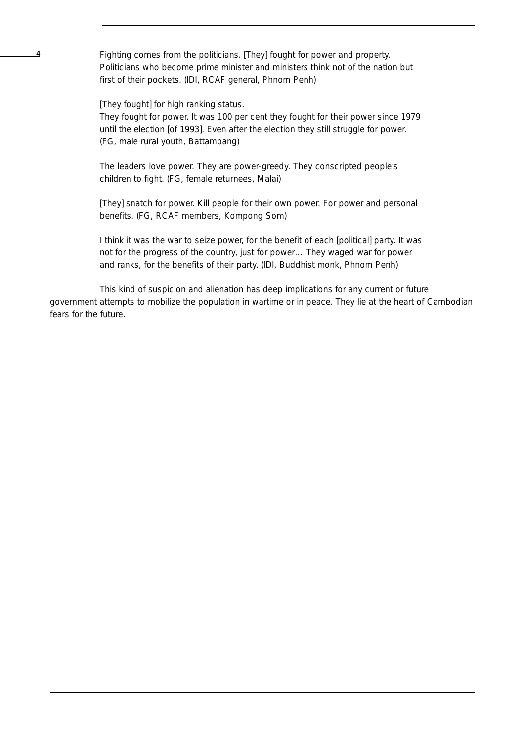**4** Fighting comes from the politicians. [They] fought for power and property. Politicians who become prime minister and ministers think not of the nation but first of their pockets. (IDI, RCAF general, Phnom Penh)

[They fought] for high ranking status.

They fought for power. It was 100 per cent they fought for their power since 1979 until the election [of 1993]. Even after the election they still struggle for power. (FG, male rural youth, Battambang)

The leaders love power. They are power-greedy. They conscripted people's children to fight. (FG, female returnees, Malai)

[They] snatch for power. Kill people for their own power. For power and personal benefits. (FG, RCAF members, Kompong Som)

I think it was the war to seize power, for the benefit of each [political] party. It was not for the progress of the country, just for power… They waged war for power and ranks, for the benefits of their party. (IDI, Buddhist monk, Phnom Penh)

This kind of suspicion and alienation has deep implications for any current or future government attempts to mobilize the population in wartime or in peace. They lie at the heart of Cambodian fears for the future.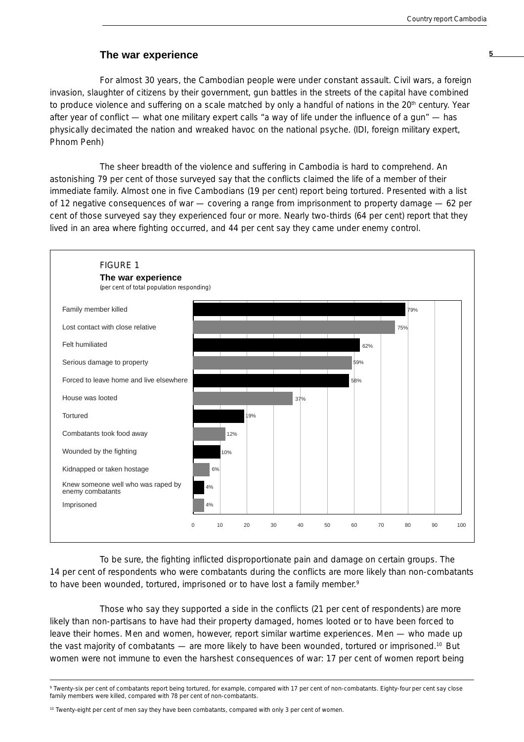## **The war experience <sup>5</sup>**

For almost 30 years, the Cambodian people were under constant assault. Civil wars, a foreign invasion, slaughter of citizens by their government, gun battles in the streets of the capital have combined to produce violence and suffering on a scale matched by only a handful of nations in the 20<sup>th</sup> century. Year after year of conflict — what one military expert calls "a way of life under the influence of a gun" — has physically decimated the nation and wreaked havoc on the national psyche. (IDI, foreign military expert, Phnom Penh)

The sheer breadth of the violence and suffering in Cambodia is hard to comprehend. An astonishing 79 per cent of those surveyed say that the conflicts claimed the life of a member of their immediate family. Almost one in five Cambodians (19 per cent) report being tortured. Presented with a list of 12 negative consequences of war — covering a range from imprisonment to property damage — 62 per cent of those surveyed say they experienced four or more. Nearly two-thirds (64 per cent) report that they lived in an area where fighting occurred, and 44 per cent say they came under enemy control.



To be sure, the fighting inflicted disproportionate pain and damage on certain groups. The 14 per cent of respondents who were combatants during the conflicts are more likely than non-combatants to have been wounded, tortured, imprisoned or to have lost a family member.<sup>9</sup>

Those who say they supported a side in the conflicts (21 per cent of respondents) are more likely than non-partisans to have had their property damaged, homes looted or to have been forced to leave their homes. Men and women, however, report similar wartime experiences. Men — who made up the vast majority of combatants — are more likely to have been wounded, tortured or imprisoned.<sup>10</sup> But women were not immune to even the harshest consequences of war: 17 per cent of women report being

<sup>10</sup> Twenty-eight per cent of men say they have been combatants, compared with only 3 per cent of women.

<sup>9</sup> Twenty-six per cent of combatants report being tortured, for example, compared with 17 per cent of non-combatants. Eighty-four per cent say close family members were killed, compared with 78 per cent of non-combatants.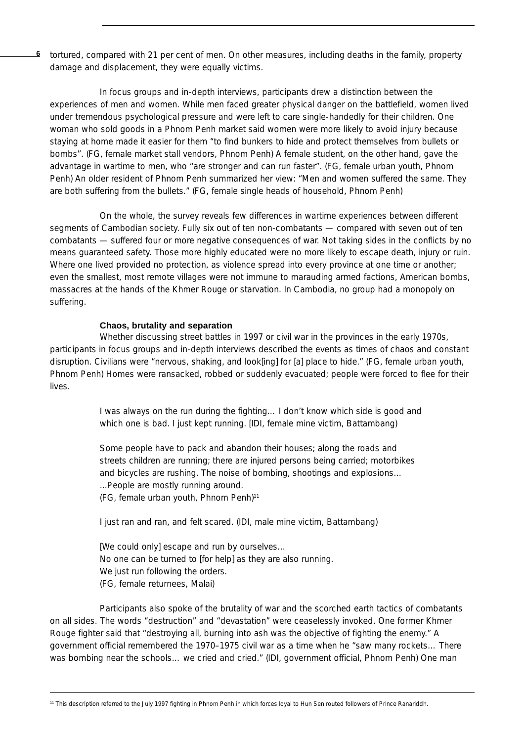**6** tortured, compared with 21 per cent of men. On other measures, including deaths in the family, property damage and displacement, they were equally victims.

In focus groups and in-depth interviews, participants drew a distinction between the experiences of men and women. While men faced greater physical danger on the battlefield, women lived under tremendous psychological pressure and were left to care single-handedly for their children. One woman who sold goods in a Phnom Penh market said women were more likely to avoid injury because staying at home made it easier for them "to find bunkers to hide and protect themselves from bullets or bombs". (FG, female market stall vendors, Phnom Penh) A female student, on the other hand, gave the advantage in wartime to men, who "are stronger and can run faster". (FG, female urban youth, Phnom Penh) An older resident of Phnom Penh summarized her view: "Men and women suffered the same. They are both suffering from the bullets." (FG, female single heads of household, Phnom Penh)

On the whole, the survey reveals few differences in wartime experiences between different segments of Cambodian society. Fully six out of ten non-combatants — compared with seven out of ten combatants — suffered four or more negative consequences of war. Not taking sides in the conflicts by no means guaranteed safety. Those more highly educated were no more likely to escape death, injury or ruin. Where one lived provided no protection, as violence spread into every province at one time or another; even the smallest, most remote villages were not immune to marauding armed factions, American bombs, massacres at the hands of the Khmer Rouge or starvation. In Cambodia, no group had a monopoly on suffering.

## **Chaos, brutality and separation**

Whether discussing street battles in 1997 or civil war in the provinces in the early 1970s, participants in focus groups and in-depth interviews described the events as times of chaos and constant disruption. Civilians were "nervous, shaking, and look[ing] for [a] place to hide." (FG, female urban youth, Phnom Penh) Homes were ransacked, robbed or suddenly evacuated; people were forced to flee for their lives.

> I was always on the run during the fighting… I don't know which side is good and which one is bad. I just kept running. [IDI, female mine victim, Battambang)

Some people have to pack and abandon their houses; along the roads and streets children are running; there are injured persons being carried; motorbikes and bicycles are rushing. The noise of bombing, shootings and explosions… ...People are mostly running around. (FG, female urban youth, Phnom Penh)<sup>11</sup>

I just ran and ran, and felt scared. (IDI, male mine victim, Battambang)

[We could only] escape and run by ourselves… No one can be turned to [for help] as they are also running. We just run following the orders. (FG, female returnees, Malai)

Participants also spoke of the brutality of war and the scorched earth tactics of combatants on all sides. The words "destruction" and "devastation" were ceaselessly invoked. One former Khmer Rouge fighter said that "destroying all, burning into ash was the objective of fighting the enemy." A government official remembered the 1970–1975 civil war as a time when he "saw many rockets… There was bombing near the schools… we cried and cried." (IDI, government official, Phnom Penh) One man

<sup>&</sup>lt;sup>11</sup> This description referred to the July 1997 fighting in Phnom Penh in which forces loyal to Hun Sen routed followers of Prince Ranariddh.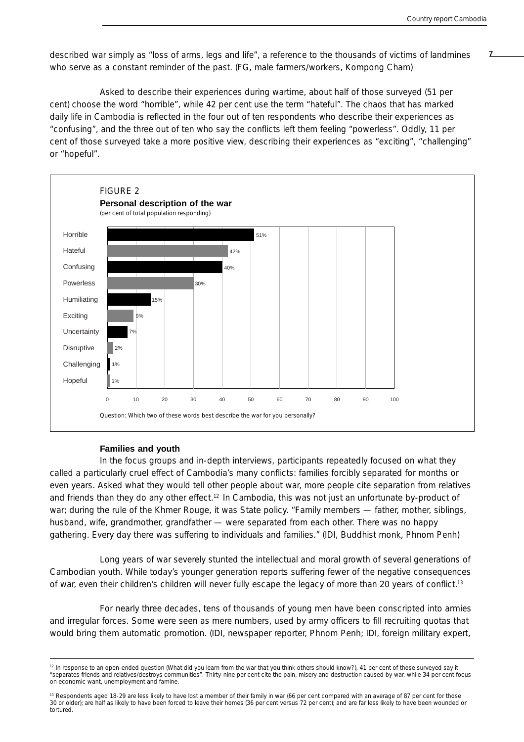described war simply as "loss of arms, legs and life", a reference to the thousands of victims of landmines **7** who serve as a constant reminder of the past. (FG, male farmers/workers, Kompong Cham)

Asked to describe their experiences during wartime, about half of those surveyed (51 per cent) choose the word "horrible", while 42 per cent use the term "hateful". The chaos that has marked daily life in Cambodia is reflected in the four out of ten respondents who describe their experiences as "confusing", and the three out of ten who say the conflicts left them feeling "powerless". Oddly, 11 per cent of those surveyed take a more positive view, describing their experiences as "exciting", "challenging" or "hopeful".



## **Families and youth**

In the focus groups and in-depth interviews, participants repeatedly focused on what they called a particularly cruel effect of Cambodia's many conflicts: families forcibly separated for months or even years. Asked what they would tell other people about war, more people cite separation from relatives and friends than they do any other effect.<sup>12</sup> In Cambodia, this was not just an unfortunate by-product of war; during the rule of the Khmer Rouge, it was State policy. "Family members — father, mother, siblings, husband, wife, grandmother, grandfather — were separated from each other. There was no happy gathering. Every day there was suffering to individuals and families." (IDI, Buddhist monk, Phnom Penh)

Long years of war severely stunted the intellectual and moral growth of several generations of Cambodian youth. While today's younger generation reports suffering fewer of the negative consequences of war, even their children's children will never fully escape the legacy of more than 20 years of conflict.13

For nearly three decades, tens of thousands of young men have been conscripted into armies and irregular forces. Some were seen as mere numbers, used by army officers to fill recruiting quotas that would bring them automatic promotion. (IDI, newspaper reporter, Phnom Penh; IDI, foreign military expert,

<sup>&</sup>lt;sup>12</sup> In response to an open-ended question (What did you learn from the war that you think others should know?), 41 per cent of those surveyed say it "separates friends and relatives/destroys communities". Thirty-nine per cent cite the pain, misery and destruction caused by war, while 34 per cent focus on economic want, unemployment and famine.

<sup>&</sup>lt;sup>13</sup> Respondents aged 18-29 are less likely to have lost a member of their family in war (66 per cent compared with an average of 87 per cent for those 30 or older); are half as likely to have been forced to leave their homes (36 per cent versus 72 per cent); and are far less likely to have been wounded or tortured.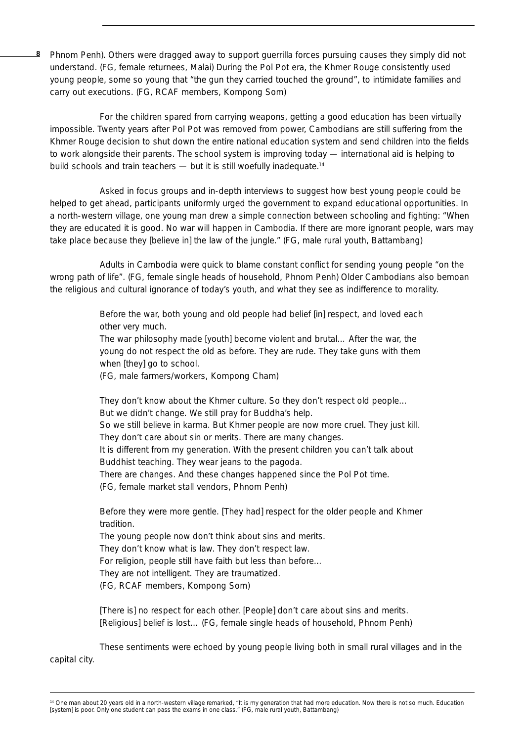**8** Phnom Penh). Others were dragged away to support guerrilla forces pursuing causes they simply did not understand. (FG, female returnees, Malai) During the Pol Pot era, the Khmer Rouge consistently used young people, some so young that "the gun they carried touched the ground", to intimidate families and carry out executions. (FG, RCAF members, Kompong Som)

For the children spared from carrying weapons, getting a good education has been virtually impossible. Twenty years after Pol Pot was removed from power, Cambodians are still suffering from the Khmer Rouge decision to shut down the entire national education system and send children into the fields to work alongside their parents. The school system is improving today — international aid is helping to build schools and train teachers — but it is still woefully inadequate.<sup>14</sup>

Asked in focus groups and in-depth interviews to suggest how best young people could be helped to get ahead, participants uniformly urged the government to expand educational opportunities. In a north-western village, one young man drew a simple connection between schooling and fighting: "When they are educated it is good. No war will happen in Cambodia. If there are more ignorant people, wars may take place because they [believe in] the law of the jungle." (FG, male rural youth, Battambang)

Adults in Cambodia were quick to blame constant conflict for sending young people "on the wrong path of life". (FG, female single heads of household, Phnom Penh) Older Cambodians also bemoan the religious and cultural ignorance of today's youth, and what they see as indifference to morality.

> Before the war, both young and old people had belief [in] respect, and loved each other very much.

> The war philosophy made [youth] become violent and brutal… After the war, the young do not respect the old as before. They are rude. They take guns with them when [they] go to school.

(FG, male farmers/workers, Kompong Cham)

They don't know about the Khmer culture. So they don't respect old people… But we didn't change. We still pray for Buddha's help. So we still believe in karma. But Khmer people are now more cruel. They just kill. They don't care about sin or merits. There are many changes. It is different from my generation. With the present children you can't talk about Buddhist teaching. They wear jeans to the pagoda. There are changes. And these changes happened since the Pol Pot time. (FG, female market stall vendors, Phnom Penh)

Before they were more gentle. [They had] respect for the older people and Khmer tradition.

The young people now don't think about sins and merits. They don't know what is law. They don't respect law. For religion, people still have faith but less than before… They are not intelligent. They are traumatized. (FG, RCAF members, Kompong Som)

[There is] no respect for each other. [People] don't care about sins and merits. [Religious] belief is lost... (FG, female single heads of household, Phnom Penh)

These sentiments were echoed by young people living both in small rural villages and in the capital city.

<sup>&</sup>lt;sup>14</sup> One man about 20 years old in a north-western village remarked, "It is my generation that had more education. Now there is not so much. Education [system] is poor. Only one student can pass the exams in one class." (FG, male rural youth, Battambang)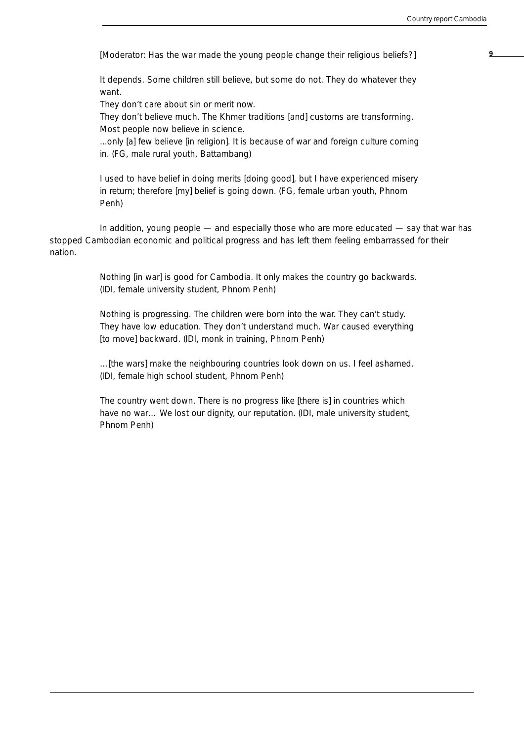**9** [Moderator: Has the war made the young people change their religious beliefs?]

It depends. Some children still believe, but some do not. They do whatever they want.

They don't care about sin or merit now.

They don't believe much. The Khmer traditions [and] customs are transforming. Most people now believe in science.

...only [a] few believe [in religion]. It is because of war and foreign culture coming in. (FG, male rural youth, Battambang)

I used to have belief in doing merits [doing good], but I have experienced misery in return; therefore [my] belief is going down. (FG, female urban youth, Phnom Penh)

In addition, young people — and especially those who are more educated — say that war has stopped Cambodian economic and political progress and has left them feeling embarrassed for their nation.

> Nothing [in war] is good for Cambodia. It only makes the country go backwards. (IDI, female university student, Phnom Penh)

> Nothing is progressing. The children were born into the war. They can't study. They have low education. They don't understand much. War caused everything [to move] backward. (IDI, monk in training, Phnom Penh)

> …[the wars] make the neighbouring countries look down on us. I feel ashamed. (IDI, female high school student, Phnom Penh)

The country went down. There is no progress like [there is] in countries which have no war... We lost our dignity, our reputation. (IDI, male university student, Phnom Penh)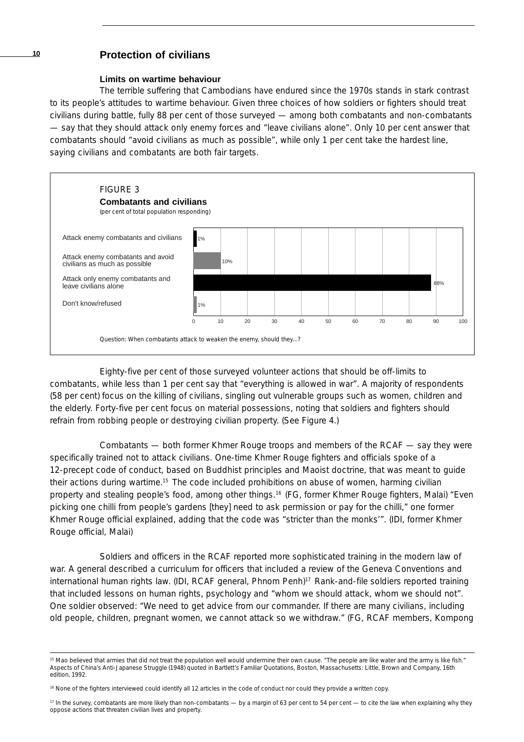## **<sup>10</sup> Protection of civilians**

#### **Limits on wartime behaviour**

The terrible suffering that Cambodians have endured since the 1970s stands in stark contrast to its people's attitudes to wartime behaviour. Given three choices of how soldiers or fighters should treat civilians during battle, fully 88 per cent of those surveyed — among both combatants and non-combatants — say that they should attack only enemy forces and "leave civilians alone". Only 10 per cent answer that combatants should "avoid civilians as much as possible", while only 1 per cent take the hardest line, saying civilians and combatants are both fair targets.



Eighty-five per cent of those surveyed volunteer actions that should be off-limits to combatants, while less than 1 per cent say that "everything is allowed in war". A majority of respondents (58 per cent) focus on the killing of civilians, singling out vulnerable groups such as women, children and the elderly. Forty-five per cent focus on material possessions, noting that soldiers and fighters should refrain from robbing people or destroying civilian property. (See Figure 4.)

Combatants — both former Khmer Rouge troops and members of the RCAF — say they were specifically trained not to attack civilians. One-time Khmer Rouge fighters and officials spoke of a 12-precept code of conduct, based on Buddhist principles and Maoist doctrine, that was meant to guide their actions during wartime.15 The code included prohibitions on abuse of women, harming civilian property and stealing people's food, among other things.16 (FG, former Khmer Rouge fighters, Malai) "Even picking one chilli from people's gardens [they] need to ask permission or pay for the chilli," one former Khmer Rouge official explained, adding that the code was "stricter than the monks'". (IDI, former Khmer Rouge official, Malai)

Soldiers and officers in the RCAF reported more sophisticated training in the modern law of war. A general described a curriculum for officers that included a review of the Geneva Conventions and international human rights law. (IDI, RCAF general, Phnom Penh)<sup>17</sup> Rank-and-file soldiers reported training that included lessons on human rights, psychology and "whom we should attack, whom we should not". One soldier observed: "We need to get advice from our commander. If there are many civilians, including old people, children, pregnant women, we cannot attack so we withdraw." (FG, RCAF members, Kompong

 $17$  In the survey, combatants are more likely than non-combatants — by a margin of 63 per cent to 54 per cent — to cite the law when explaining why they oppose actions that threaten civilian lives and property.

<sup>&</sup>lt;sup>15</sup> Mao believed that armies that did not treat the population well would undermine their own cause. "The people are like water and the army is like fish." *Aspects of China's Anti-Japanese Struggle* (1948) quoted in *Bartlett's Familiar Quotations*, Boston, Massachusetts: Little, Brown and Company, 16th edition, 1992.

<sup>16</sup> None of the fighters interviewed could identify all 12 articles in the code of conduct nor could they provide a written copy.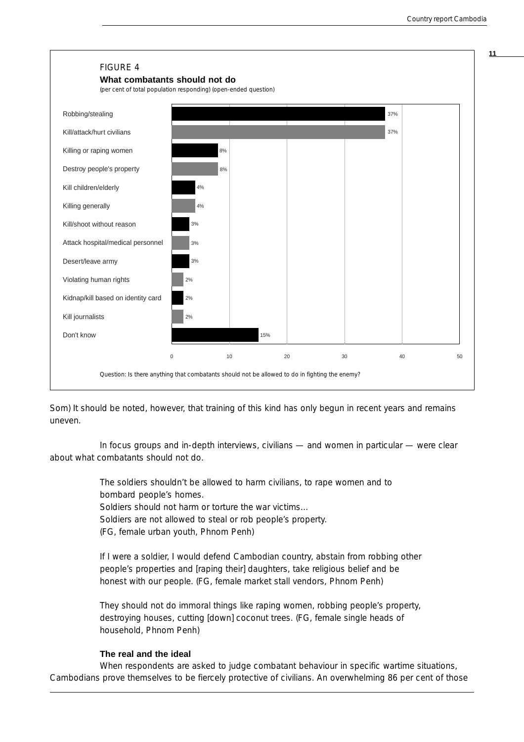

Som) It should be noted, however, that training of this kind has only begun in recent years and remains uneven.

In focus groups and in-depth interviews, civilians — and women in particular — were clear about what combatants should not do.

> The soldiers shouldn't be allowed to harm civilians, to rape women and to bombard people's homes. Soldiers should not harm or torture the war victims… Soldiers are not allowed to steal or rob people's property.

(FG, female urban youth, Phnom Penh)

If I were a soldier, I would defend Cambodian country, abstain from robbing other people's properties and [raping their] daughters, take religious belief and be honest with our people. (FG, female market stall vendors, Phnom Penh)

They should not do immoral things like raping women, robbing people's property, destroying houses, cutting [down] coconut trees. (FG, female single heads of household, Phnom Penh)

## **The real and the ideal**

When respondents are asked to judge combatant behaviour in specific wartime situations, Cambodians prove themselves to be fiercely protective of civilians. An overwhelming 86 per cent of those **11**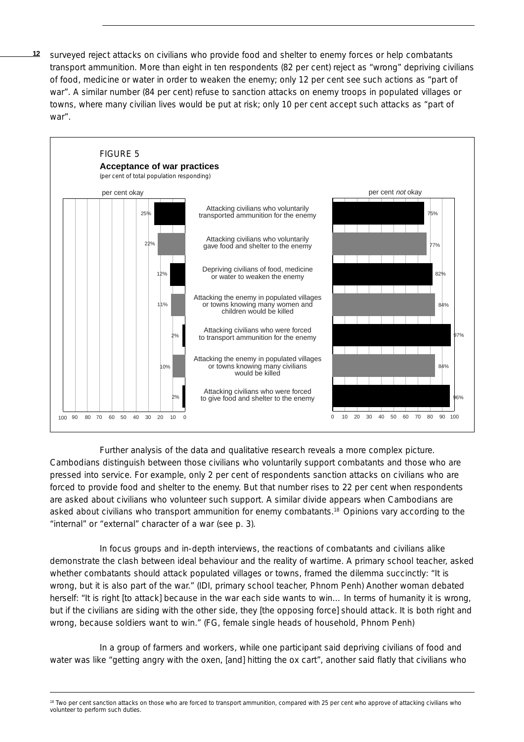**12** surveyed reject attacks on civilians who provide food and shelter to enemy forces or help combatants transport ammunition. More than eight in ten respondents (82 per cent) reject as "wrong" depriving civilians of food, medicine or water in order to weaken the enemy; only 12 per cent see such actions as "part of war". A similar number (84 per cent) refuse to sanction attacks on enemy troops in populated villages or towns, where many civilian lives would be put at risk; only 10 per cent accept such attacks as "part of war".



Further analysis of the data and qualitative research reveals a more complex picture. Cambodians distinguish between those civilians who voluntarily support combatants and those who are pressed into service. For example, only 2 per cent of respondents sanction attacks on civilians who are forced to provide food and shelter to the enemy. But that number rises to 22 per cent when respondents are asked about civilians who volunteer such support. A similar divide appears when Cambodians are asked about civilians who transport ammunition for enemy combatants.18 Opinions vary according to the "internal" or "external" character of a war (see p. 3).

In focus groups and in-depth interviews, the reactions of combatants and civilians alike demonstrate the clash between ideal behaviour and the reality of wartime. A primary school teacher, asked whether combatants should attack populated villages or towns, framed the dilemma succinctly: "It is wrong, but it is also part of the war." (IDI, primary school teacher, Phnom Penh) Another woman debated herself: "It is right [to attack] because in the war each side wants to win... In terms of humanity it is wrong, but if the civilians are siding with the other side, they [the opposing force] should attack. It is both right and wrong, because soldiers want to win." (FG, female single heads of household, Phnom Penh)

In a group of farmers and workers, while one participant said depriving civilians of food and water was like "getting angry with the oxen, [and] hitting the ox cart", another said flatly that civilians who

<sup>&</sup>lt;sup>18</sup> Two per cent sanction attacks on those who are forced to transport ammunition, compared with 25 per cent who approve of attacking civilians who volunteer to perform such duties.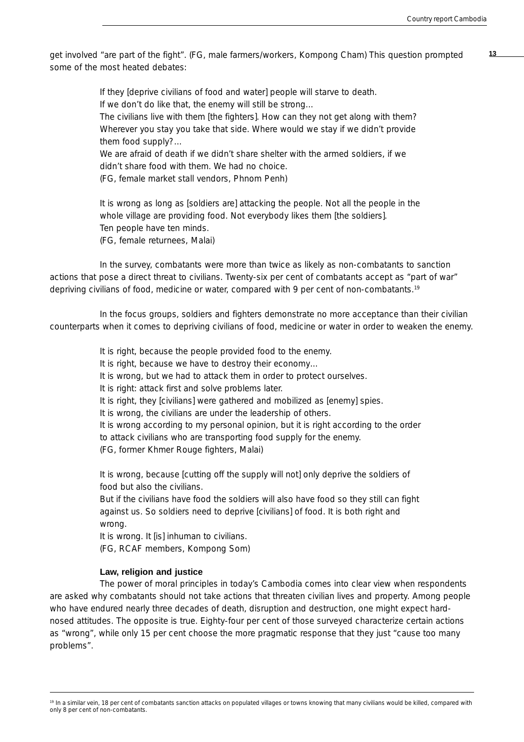get involved "are part of the fight". (FG, male farmers/workers, Kompong Cham) This question prompted **13** some of the most heated debates:

> If they [deprive civilians of food and water] people will starve to death. If we don't do like that, the enemy will still be strong… The civilians live with them [the fighters]. How can they not get along with them? Wherever you stay you take that side. Where would we stay if we didn't provide

them food supply?…

We are afraid of death if we didn't share shelter with the armed soldiers, if we didn't share food with them. We had no choice.

(FG, female market stall vendors, Phnom Penh)

It is wrong as long as [soldiers are] attacking the people. Not all the people in the whole village are providing food. Not everybody likes them [the soldiers]. Ten people have ten minds. (FG, female returnees, Malai)

In the survey, combatants were more than twice as likely as non-combatants to sanction actions that pose a direct threat to civilians. Twenty-six per cent of combatants accept as "part of war" depriving civilians of food, medicine or water, compared with 9 per cent of non-combatants.19

In the focus groups, soldiers and fighters demonstrate no more acceptance than their civilian counterparts when it comes to depriving civilians of food, medicine or water in order to weaken the enemy.

> It is right, because the people provided food to the enemy. It is right, because we have to destroy their economy… It is wrong, but we had to attack them in order to protect ourselves. It is right: attack first and solve problems later. It is right, they [civilians] were gathered and mobilized as [enemy] spies. It is wrong, the civilians are under the leadership of others. It is wrong according to my personal opinion, but it is right according to the order to attack civilians who are transporting food supply for the enemy. (FG, former Khmer Rouge fighters, Malai)

It is wrong, because [cutting off the supply will not] only deprive the soldiers of food but also the civilians.

But if the civilians have food the soldiers will also have food so they still can fight against us. So soldiers need to deprive [civilians] of food. It is both right and wrong.

It is wrong. It [is] inhuman to civilians.

(FG, RCAF members, Kompong Som)

#### **Law, religion and justice**

The power of moral principles in today's Cambodia comes into clear view when respondents are asked why combatants should not take actions that threaten civilian lives and property. Among people who have endured nearly three decades of death, disruption and destruction, one might expect hardnosed attitudes. The opposite is true. Eighty-four per cent of those surveyed characterize certain actions as "wrong", while only 15 per cent choose the more pragmatic response that they just "cause too many problems".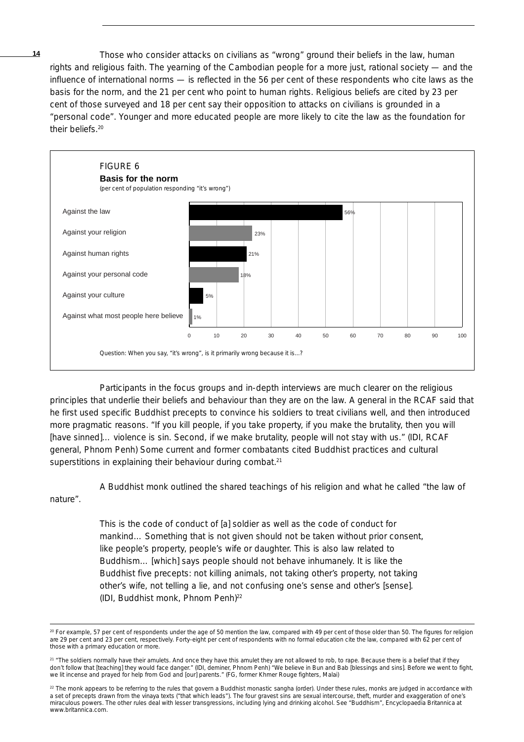**14** Those who consider attacks on civilians as "wrong" ground their beliefs in the law, human rights and religious faith. The yearning of the Cambodian people for a more just, rational society — and the influence of international norms — is reflected in the 56 per cent of these respondents who cite laws as the basis for the norm, and the 21 per cent who point to human rights. Religious beliefs are cited by 23 per cent of those surveyed and 18 per cent say their opposition to attacks on civilians is grounded in a "personal code". Younger and more educated people are more likely to cite the law as the foundation for their beliefs.20



Participants in the focus groups and in-depth interviews are much clearer on the religious principles that underlie their beliefs and behaviour than they are on the law. A general in the RCAF said that he first used specific Buddhist precepts to convince his soldiers to treat civilians well, and then introduced more pragmatic reasons. "If you kill people, if you take property, if you make the brutality, then you will [have sinned]… violence is sin. Second, if we make brutality, people will not stay with us." (IDI, RCAF general, Phnom Penh) Some current and former combatants cited Buddhist practices and cultural superstitions in explaining their behaviour during combat.<sup>21</sup>

A Buddhist monk outlined the shared teachings of his religion and what he called "the law of nature".

> This is the code of conduct of [a] soldier as well as the code of conduct for mankind… Something that is not given should not be taken without prior consent, like people's property, people's wife or daughter. This is also law related to Buddhism… [which] says people should not behave inhumanely. It is like the Buddhist five precepts: not killing animals, not taking other's property, not taking other's wife, not telling a lie, and not confusing one's sense and other's [sense]. (IDI, Buddhist monk, Phnom Penh)22

<sup>20</sup> For example, 57 per cent of respondents under the age of 50 mention the law, compared with 49 per cent of those older than 50. The figures for religion are 29 per cent and 23 per cent, respectively. Forty-eight per cent of respondents with no formal education cite the law, compared with 62 per cent of those with a primary education or more.

<sup>&</sup>lt;sup>21</sup> "The soldiers normally have their amulets. And once they have this amulet they are not allowed to rob, to rape. Because there is a belief that if they don't follow that [teaching] they would face danger." (IDI, deminer, Phnom Penh) "We believe in Bun and Bab [blessings and sins]. Before we went to fight, we lit incense and prayed for help from God and [our] parents." (FG, former Khmer Rouge fighters, Malai)

<sup>&</sup>lt;sup>22</sup> The monk appears to be referring to the rules that govern a Buddhist monastic *sangha* (order). Under these rules, monks are judged in accordance with a set of precepts drawn from the *vinaya* texts ("that which leads"). The four gravest sins are sexual intercourse, theft, murder and exaggeration of one's miraculous powers. The other rules deal with lesser transgressions, including lying and drinking alcohol. See "Buddhism", *Encyclopaedia Britannica* at www.britannica.com.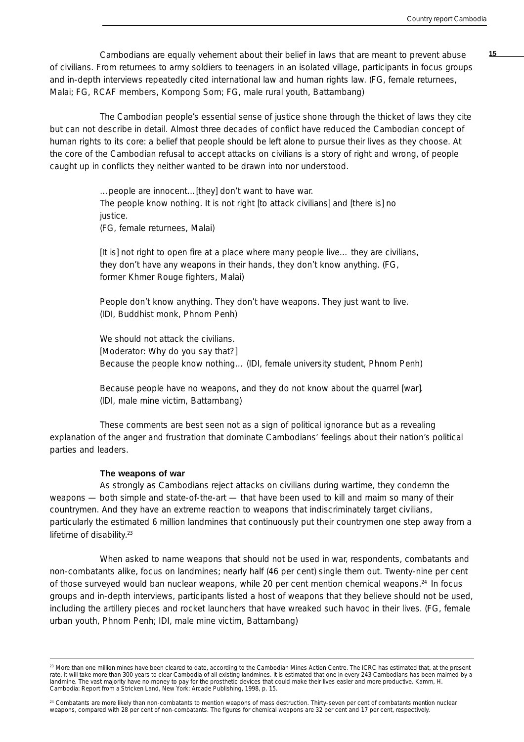Cambodians are equally vehement about their belief in laws that are meant to prevent abuse **15** of civilians. From returnees to army soldiers to teenagers in an isolated village, participants in focus groups and in-depth interviews repeatedly cited international law and human rights law. (FG, female returnees, Malai; FG, RCAF members, Kompong Som; FG, male rural youth, Battambang)

The Cambodian people's essential sense of justice shone through the thicket of laws they cite but can not describe in detail. Almost three decades of conflict have reduced the Cambodian concept of human rights to its core: a belief that people should be left alone to pursue their lives as they choose. At the core of the Cambodian refusal to accept attacks on civilians is a story of right and wrong, of people caught up in conflicts they neither wanted to be drawn into nor understood.

> …people are innocent…[they] don't want to have war. The people know nothing. It is not right [to attack civilians] and [there is] no justice.

(FG, female returnees, Malai)

[It is] not right to open fire at a place where many people live… they are civilians, they don't have any weapons in their hands, they don't know anything. (FG, former Khmer Rouge fighters, Malai)

People don't know anything. They don't have weapons. They just want to live. (IDI, Buddhist monk, Phnom Penh)

We should not attack the civilians. [Moderator: Why do you say that?] Because the people know nothing… (IDI, female university student, Phnom Penh)

Because people have no weapons, and they do not know about the quarrel [war]. (IDI, male mine victim, Battambang)

These comments are best seen not as a sign of political ignorance but as a revealing explanation of the anger and frustration that dominate Cambodians' feelings about their nation's political parties and leaders.

#### **The weapons of war**

As strongly as Cambodians reject attacks on civilians during wartime, they condemn the weapons — both simple and state-of-the-art — that have been used to kill and maim so many of their countrymen. And they have an extreme reaction to weapons that indiscriminately target civilians, particularly the estimated 6 million landmines that continuously put their countrymen one step away from a lifetime of disability.<sup>23</sup>

When asked to name weapons that should not be used in war, respondents, combatants and non-combatants alike, focus on landmines; nearly half (46 per cent) single them out. Twenty-nine per cent of those surveyed would ban nuclear weapons, while 20 per cent mention chemical weapons.24 In focus groups and in-depth interviews, participants listed a host of weapons that they believe should not be used, including the artillery pieces and rocket launchers that have wreaked such havoc in their lives. (FG, female urban youth, Phnom Penh; IDI, male mine victim, Battambang)

<sup>&</sup>lt;sup>23</sup> More than one million mines have been cleared to date, according to the Cambodian Mines Action Centre. The ICRC has estimated that, at the present rate, it will take more than 300 years to clear Cambodia of all existing landmines. It is estimated that one in every 243 Cambodians has been maimed by a landmine. The vast majority have no money to pay for the prosthetic devices that could make their lives easier and more productive. Kamm, H. *Cambodia: Report from a Stricken Land*, New York: Arcade Publishing, 1998, p. 15.

<sup>&</sup>lt;sup>24</sup> Combatants are more likely than non-combatants to mention weapons of mass destruction. Thirty-seven per cent of combatants mention nuclear weapons, compared with 28 per cent of non-combatants. The figures for chemical weapons are 32 per cent and 17 per cent, respectively.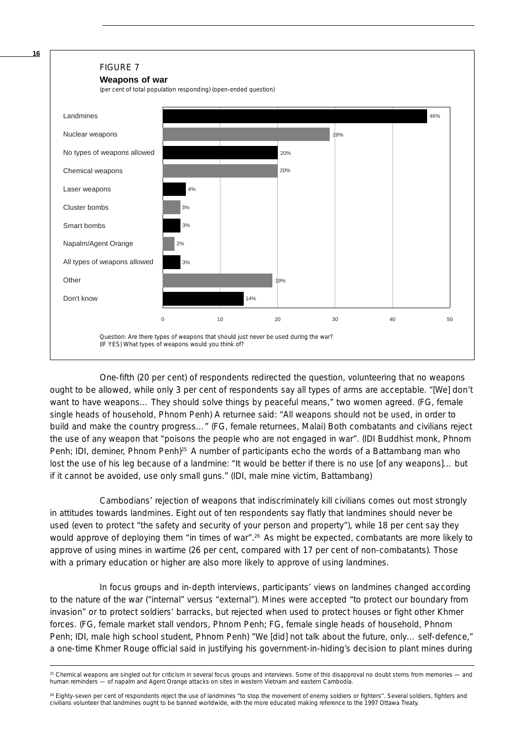

One-fifth (20 per cent) of respondents redirected the question, volunteering that *no* weapons ought to be allowed, while only 3 per cent of respondents say all types of arms are acceptable. "[We] don't want to have weapons… They should solve things by peaceful means," two women agreed. (FG, female single heads of household, Phnom Penh) A returnee said: "All weapons should not be used, in order to build and make the country progress…" (FG, female returnees, Malai) Both combatants and civilians reject the use of any weapon that "poisons the people who are not engaged in war". (IDI Buddhist monk, Phnom Penh; IDI, deminer, Phnom Penh)<sup>25</sup> A number of participants echo the words of a Battambang man who lost the use of his leg because of a landmine: "It would be better if there is no use [of any weapons]... but if it cannot be avoided, use only small guns." (IDI, male mine victim, Battambang)

Cambodians' rejection of weapons that indiscriminately kill civilians comes out most strongly in attitudes towards landmines. Eight out of ten respondents say flatly that landmines should never be used (even to protect "the safety and security of your person and property"), while 18 per cent say they would approve of deploying them "in times of war".<sup>26</sup> As might be expected, combatants are more likely to approve of using mines in wartime (26 per cent, compared with 17 per cent of non-combatants). Those with a primary education or higher are also more likely to approve of using landmines.

In focus groups and in-depth interviews, participants' views on landmines changed according to the nature of the war ("internal" versus "external"). Mines were accepted "to protect our boundary from invasion" or to protect soldiers' barracks, but rejected when used to protect houses or fight other Khmer forces. (FG, female market stall vendors, Phnom Penh; FG, female single heads of household, Phnom Penh; IDI, male high school student, Phnom Penh) "We [did] not talk about the future, only… self-defence," a one-time Khmer Rouge official said in justifying his government-in-hiding's decision to plant mines during

**16**

 $25$  Chemical weapons are singled out for criticism in several focus groups and interviews. Some of this disapproval no doubt stems from memories — and human reminders — of napalm and Agent Orange attacks on sites in western Vietnam and eastern Cambodia.

<sup>&</sup>lt;sup>26</sup> Eighty-seven per cent of respondents reject the use of landmines "to stop the movement of enemy soldiers or fighters". Several soldiers, fighters and civilians volunteer that landmines ought to be banned worldwide, with the more educated making reference to the 1997 Ottawa Treaty.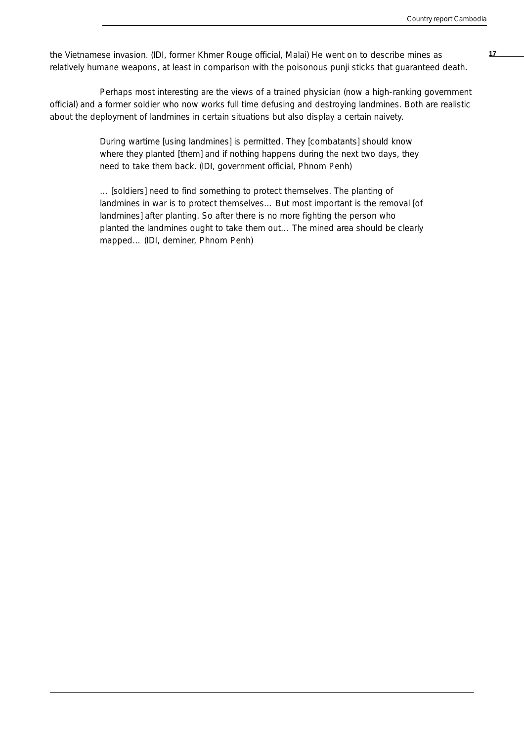**17** the Vietnamese invasion. (IDI, former Khmer Rouge official, Malai) He went on to describe mines as relatively humane weapons, at least in comparison with the poisonous *punji* sticks that guaranteed death.

Perhaps most interesting are the views of a trained physician (now a high-ranking government official) and a former soldier who now works full time defusing and destroying landmines. Both are realistic about the deployment of landmines in certain situations but also display a certain naivety.

> During wartime [using landmines] is permitted. They [combatants] should know where they planted [them] and if nothing happens during the next two days, they need to take them back. (IDI, government official, Phnom Penh)

… [soldiers] need to find something to protect themselves. The planting of landmines in war is to protect themselves… But most important is the removal [of landmines] after planting. So after there is no more fighting the person who planted the landmines ought to take them out… The mined area should be clearly mapped… (IDI, deminer, Phnom Penh)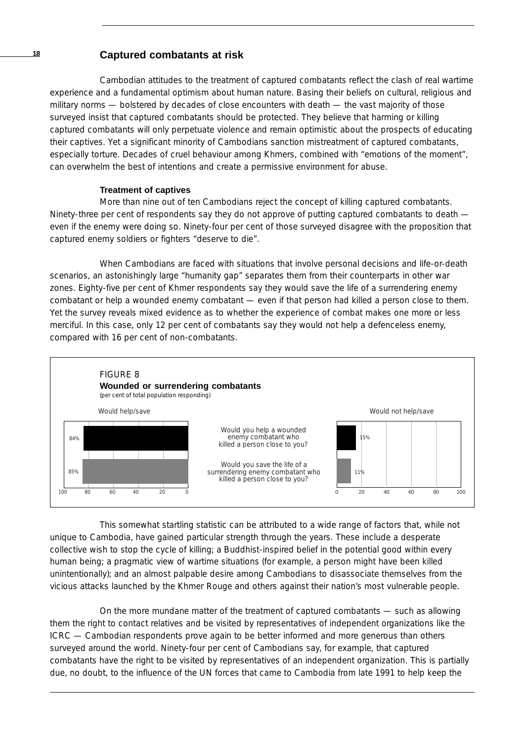## **<sup>18</sup> Captured combatants at risk**

Cambodian attitudes to the treatment of captured combatants reflect the clash of real wartime experience and a fundamental optimism about human nature. Basing their beliefs on cultural, religious and military norms — bolstered by decades of close encounters with death — the vast majority of those surveyed insist that captured combatants should be protected. They believe that harming or killing captured combatants will only perpetuate violence and remain optimistic about the prospects of educating their captives. Yet a significant minority of Cambodians sanction mistreatment of captured combatants, especially torture. Decades of cruel behaviour among Khmers, combined with "emotions of the moment", can overwhelm the best of intentions and create a permissive environment for abuse.

## **Treatment of captives**

More than nine out of ten Cambodians reject the concept of killing captured combatants. Ninety-three per cent of respondents say they do not approve of putting captured combatants to death even if the enemy were doing so. Ninety-four per cent of those surveyed disagree with the proposition that captured enemy soldiers or fighters "deserve to die".

When Cambodians are faced with situations that involve personal decisions and life-or-death scenarios, an astonishingly large "humanity gap" separates them from their counterparts in other war zones. Eighty-five per cent of Khmer respondents say they would save the life of a surrendering enemy combatant or help a wounded enemy combatant — even if that person had killed a person close to them. Yet the survey reveals mixed evidence as to whether the experience of combat makes one more or less merciful. In this case, only 12 per cent of combatants say they would *not* help a defenceless enemy, compared with 16 per cent of non-combatants.



This somewhat startling statistic can be attributed to a wide range of factors that, while not unique to Cambodia, have gained particular strength through the years. These include a desperate collective wish to stop the cycle of killing; a Buddhist-inspired belief in the potential good within every human being; a pragmatic view of wartime situations (for example, a person might have been killed unintentionally); and an almost palpable desire among Cambodians to disassociate themselves from the vicious attacks launched by the Khmer Rouge and others against their nation's most vulnerable people.

On the more mundane matter of the treatment of captured combatants — such as allowing them the right to contact relatives and be visited by representatives of independent organizations like the ICRC — Cambodian respondents prove again to be better informed and more generous than others surveyed around the world. Ninety-four per cent of Cambodians say, for example, that captured combatants have the right to be visited by representatives of an independent organization. This is partially due, no doubt, to the influence of the UN forces that came to Cambodia from late 1991 to help keep the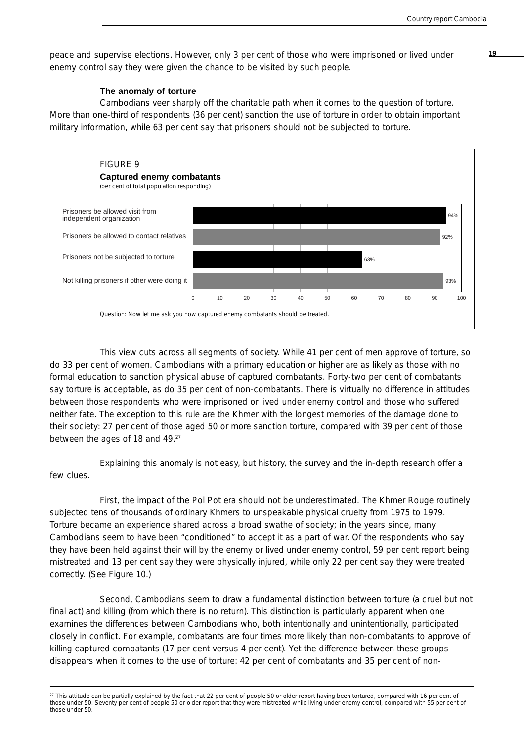peace and supervise elections. However, only 3 per cent of those who were imprisoned or lived under **19** enemy control say they were given the chance to be visited by such people.

#### **The anomaly of torture**

Cambodians veer sharply off the charitable path when it comes to the question of torture. More than one-third of respondents (36 per cent) sanction the use of torture in order to obtain important military information, while 63 per cent say that prisoners should not be subjected to torture.



This view cuts across all segments of society. While 41 per cent of men approve of torture, so do 33 per cent of women. Cambodians with a primary education or higher are as likely as those with no formal education to sanction physical abuse of captured combatants. Forty-two per cent of combatants say torture is acceptable, as do 35 per cent of non-combatants. There is virtually no difference in attitudes between those respondents who were imprisoned or lived under enemy control and those who suffered neither fate. The exception to this rule are the Khmer with the longest memories of the damage done to their society: 27 per cent of those aged 50 or more sanction torture, compared with 39 per cent of those between the ages of 18 and 49.27

Explaining this anomaly is not easy, but history, the survey and the in-depth research offer a few clues.

First, the impact of the Pol Pot era should not be underestimated. The Khmer Rouge routinely subjected tens of thousands of ordinary Khmers to unspeakable physical cruelty from 1975 to 1979. Torture became an experience shared across a broad swathe of society; in the years since, many Cambodians seem to have been "conditioned" to accept it as a part of war. Of the respondents who say they have been held against their will by the enemy or lived under enemy control, 59 per cent report being mistreated and 13 per cent say they were physically injured, while only 22 per cent say they were treated correctly. (See Figure 10.)

Second, Cambodians seem to draw a fundamental distinction between torture (a cruel but not final act) and killing (from which there is no return). This distinction is particularly apparent when one examines the differences between Cambodians who, both intentionally and unintentionally, participated closely in conflict. For example, combatants are four times more likely than non-combatants to approve of killing captured combatants (17 per cent versus 4 per cent). Yet the difference between these groups disappears when it comes to the use of torture: 42 per cent of combatants and 35 per cent of non-

<sup>&</sup>lt;sup>27</sup> This attitude can be partially explained by the fact that 22 per cent of people 50 or older report having been tortured, compared with 16 per cent of those under 50. Seventy per cent of people 50 or older report that they were mistreated while living under enemy control, compared with 55 per cent of those under 50.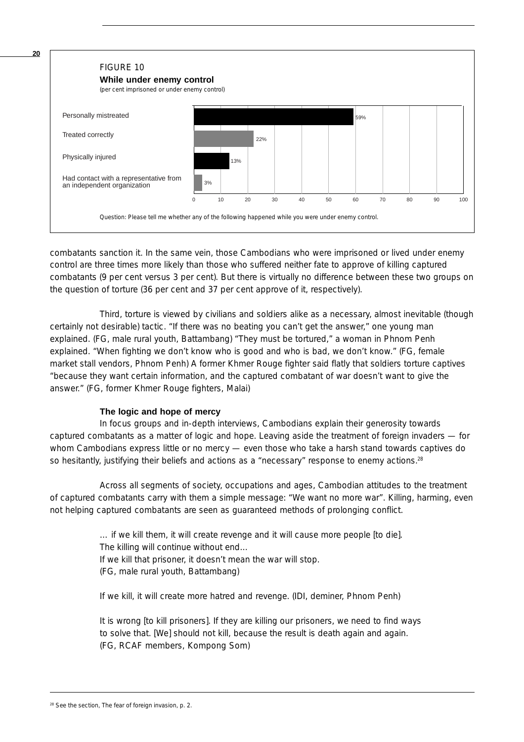

combatants sanction it. In the same vein, those Cambodians who were imprisoned or lived under enemy control are three times more likely than those who suffered neither fate to approve of killing captured combatants (9 per cent versus 3 per cent). But there is virtually no difference between these two groups on the question of torture (36 per cent and 37 per cent approve of it, respectively).

Third, torture is viewed by civilians and soldiers alike as a necessary, almost inevitable (though certainly not desirable) tactic. "If there was no beating you can't get the answer," one young man explained. (FG, male rural youth, Battambang) "They must be tortured," a woman in Phnom Penh explained. "When fighting we don't know who is good and who is bad, we don't know." (FG, female market stall vendors, Phnom Penh) A former Khmer Rouge fighter said flatly that soldiers torture captives "because they want certain information, and the captured combatant of war doesn't want to give the answer." (FG, former Khmer Rouge fighters, Malai)

## **The logic and hope of mercy**

In focus groups and in-depth interviews, Cambodians explain their generosity towards captured combatants as a matter of logic and hope. Leaving aside the treatment of foreign invaders — for whom Cambodians express little or no mercy - even those who take a harsh stand towards captives do so hesitantly, justifying their beliefs and actions as a "necessary" response to enemy actions.<sup>28</sup>

Across all segments of society, occupations and ages, Cambodian attitudes to the treatment of captured combatants carry with them a simple message: "We want no more war". Killing, harming, even *not helping* captured combatants are seen as guaranteed methods of prolonging conflict.

> … if we kill them, it will create revenge and it will cause more people [to die]. The killing will continue without end… If we kill that prisoner, it doesn't mean the war will stop. (FG, male rural youth, Battambang)

> If we kill, it will create more hatred and revenge. (IDI, deminer, Phnom Penh)

It is wrong [to kill prisoners]. If they are killing our prisoners, we need to find ways to solve that. [We] should not kill, because the result is death again and again. (FG, RCAF members, Kompong Som)

<sup>28</sup> See the section, The fear of foreign invasion, p. 2.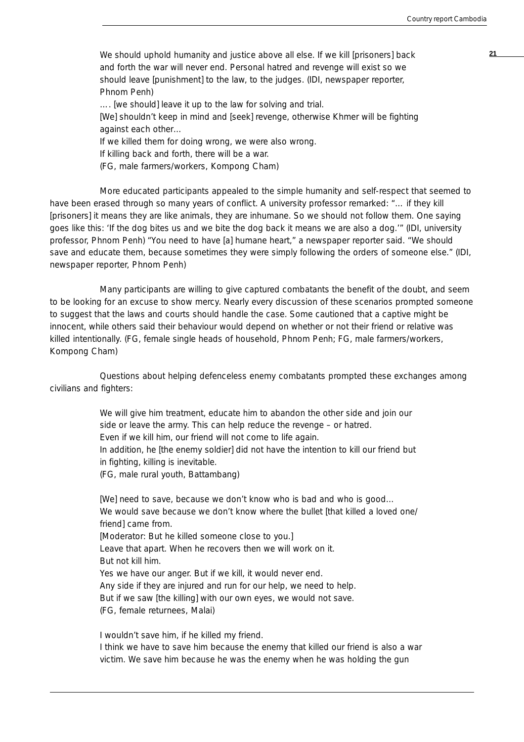We should uphold humanity and justice above all else. If we kill [prisoners] back **21** and forth the war will never end. Personal hatred and revenge will exist so we should leave [punishment] to the law, to the judges. (IDI, newspaper reporter, Phnom Penh)

…. [we should] leave it up to the law for solving and trial.

[We] shouldn't keep in mind and [seek] revenge, otherwise Khmer will be fighting against each other…

If we killed them for doing wrong, we were also wrong.

If killing back and forth, there will be a war.

(FG, male farmers/workers, Kompong Cham)

More educated participants appealed to the simple humanity and self-respect that seemed to have been erased through so many years of conflict. A university professor remarked: "... if they kill [prisoners] it means they are like animals, they are inhumane. So we should not follow them. One saying goes like this: 'If the dog bites us and we bite the dog back it means we are also a dog.'" (IDI, university professor, Phnom Penh) "You need to have [a] humane heart," a newspaper reporter said. "We should save and educate them, because sometimes they were simply following the orders of someone else." (IDI, newspaper reporter, Phnom Penh)

Many participants are willing to give captured combatants the benefit of the doubt, and seem to be looking for an excuse to show mercy. Nearly every discussion of these scenarios prompted someone to suggest that the laws and courts should handle the case. Some cautioned that a captive might be innocent, while others said their behaviour would depend on whether or not their friend or relative was killed intentionally. (FG, female single heads of household, Phnom Penh; FG, male farmers/workers, Kompong Cham)

Questions about helping defenceless enemy combatants prompted these exchanges among civilians and fighters:

> We will give him treatment, educate him to abandon the other side and join our side or leave the army. This can help reduce the revenge – or hatred. Even if we kill him, our friend will not come to life again. In addition, he [the enemy soldier] did not have the intention to kill our friend but in fighting, killing is inevitable. (FG, male rural youth, Battambang)

> [We] need to save, because we don't know who is bad and who is good... We would save because we don't know where the bullet [that killed a loved one/ friend] came from. [Moderator: But he killed someone close to you.] Leave that apart. When he recovers then we will work on it. But not kill him. Yes we have our anger. But if we kill, it would never end. Any side if they are injured and run for our help, we need to help. But if we saw [the killing] with our own eyes, we would not save. (FG, female returnees, Malai)

I wouldn't save him, if he killed my friend. I think we have to save him because the enemy that killed our friend is also a war victim. We save him because he was the enemy when he was holding the gun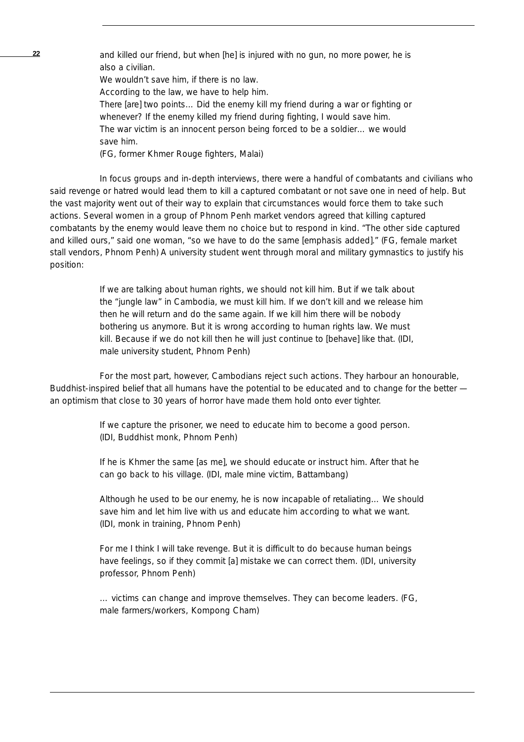**22** and killed our friend, but when [he] is injured with no gun, no more power, he is also a civilian. We wouldn't save him, if there is no law.

According to the law, we have to help him.

There [are] two points… Did the enemy kill my friend during a war or fighting or whenever? If the enemy killed my friend during fighting, I would save him. The war victim is an innocent person being forced to be a soldier… we would save him.

(FG, former Khmer Rouge fighters, Malai)

In focus groups and in-depth interviews, there were a handful of combatants and civilians who said revenge or hatred would lead them to kill a captured combatant or not save one in need of help. But the vast majority went out of their way to explain that circumstances would force them to take such actions. Several women in a group of Phnom Penh market vendors agreed that killing captured combatants by the enemy would leave them no choice but to respond in kind. "The other side captured and killed ours," said one woman, "so we *have* to do the same [emphasis added]." (FG, female market stall vendors, Phnom Penh) A university student went through moral and military gymnastics to justify his position:

> If we are talking about human rights, we should not kill him. But if we talk about the "jungle law" in Cambodia, we must kill him. If we don't kill and we release him then he will return and do the same again. If we kill him there will be nobody bothering us anymore. But it is wrong according to human rights law. We must kill. Because if we do not kill then he will just continue to [behave] like that. (IDI, male university student, Phnom Penh)

For the most part, however, Cambodians reject such actions. They harbour an honourable, Buddhist-inspired belief that all humans have the potential to be educated and to change for the better an optimism that close to 30 years of horror have made them hold onto ever tighter.

> If we capture the prisoner, we need to educate him to become a good person. (IDI, Buddhist monk, Phnom Penh)

If he is Khmer the same [as me], we should educate or instruct him. After that he can go back to his village. (IDI, male mine victim, Battambang)

Although he used to be our enemy, he is now incapable of retaliating… We should save him and let him live with us and educate him according to what we want. (IDI, monk in training, Phnom Penh)

For me I think I will take revenge. But it is difficult to do because human beings have feelings, so if they commit [a] mistake we can correct them. (IDI, university professor, Phnom Penh)

… victims can change and improve themselves. They can become leaders. (FG, male farmers/workers, Kompong Cham)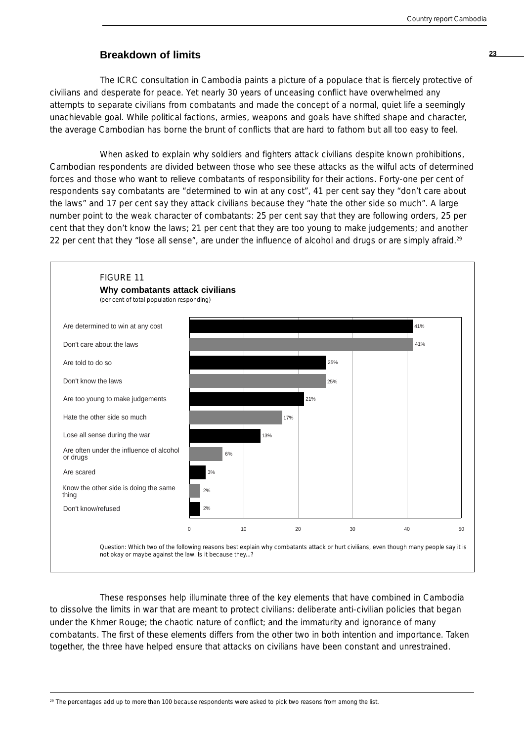## **Breakdown of limits <sup>23</sup>**

The ICRC consultation in Cambodia paints a picture of a populace that is fiercely protective of civilians and desperate for peace. Yet nearly 30 years of unceasing conflict have overwhelmed any attempts to separate civilians from combatants and made the concept of a normal, quiet life a seemingly unachievable goal. While political factions, armies, weapons and goals have shifted shape and character, the average Cambodian has borne the brunt of conflicts that are hard to fathom but all too easy to feel.

When asked to explain why soldiers and fighters attack civilians despite known prohibitions, Cambodian respondents are divided between those who see these attacks as the wilful acts of determined forces and those who want to relieve combatants of responsibility for their actions. Forty-one per cent of respondents say combatants are "determined to win at any cost", 41 per cent say they "don't care about the laws" and 17 per cent say they attack civilians because they "hate the other side so much". A large number point to the weak character of combatants: 25 per cent say that they are following orders, 25 per cent that they don't know the laws; 21 per cent that they are too young to make judgements; and another 22 per cent that they "lose all sense", are under the influence of alcohol and drugs or are simply afraid.<sup>29</sup>



These responses help illuminate three of the key elements that have combined in Cambodia to dissolve the limits in war that are meant to protect civilians: deliberate anti-civilian policies that began under the Khmer Rouge; the chaotic nature of conflict; and the immaturity and ignorance of many combatants. The first of these elements differs from the other two in both intention and importance. Taken together, the three have helped ensure that attacks on civilians have been constant and unrestrained.

<sup>29</sup> The percentages add up to more than 100 because respondents were asked to pick two reasons from among the list.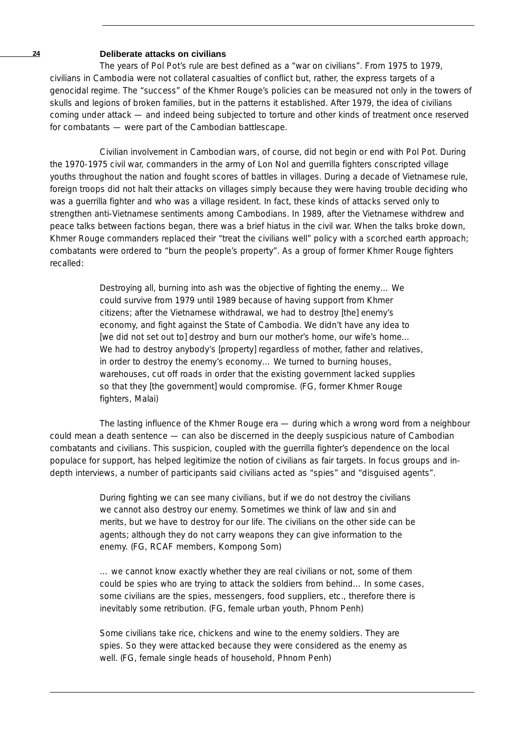## **24 Deliberate attacks on civilians**

The years of Pol Pot's rule are best defined as a "war on civilians". From 1975 to 1979, civilians in Cambodia were not collateral casualties of conflict but, rather, the express targets of a genocidal regime. The "success" of the Khmer Rouge's policies can be measured not only in the towers of skulls and legions of broken families, but in the patterns it established. After 1979, the idea of civilians coming under attack — and indeed being subjected to torture and other kinds of treatment once reserved for combatants — were part of the Cambodian battlescape.

Civilian involvement in Cambodian wars, of course, did not begin or end with Pol Pot. During the 1970-1975 civil war, commanders in the army of Lon Nol and guerrilla fighters conscripted village youths throughout the nation and fought scores of battles in villages. During a decade of Vietnamese rule, foreign troops did not halt their attacks on villages simply because they were having trouble deciding who was a guerrilla fighter and who was a village resident. In fact, these kinds of attacks served only to strengthen anti-Vietnamese sentiments among Cambodians. In 1989, after the Vietnamese withdrew and peace talks between factions began, there was a brief hiatus in the civil war. When the talks broke down, Khmer Rouge commanders replaced their "treat the civilians well" policy with a scorched earth approach; combatants were ordered to "burn the people's property". As a group of former Khmer Rouge fighters recalled:

> Destroying all, burning into ash was the objective of fighting the enemy… We could survive from 1979 until 1989 because of having support from Khmer citizens; after the Vietnamese withdrawal, we had to destroy [the] enemy's economy, and fight against the State of Cambodia. We didn't have any idea to [we did not set out to] destroy and burn our mother's home, our wife's home… We had to destroy anybody's [property] regardless of mother, father and relatives, in order to destroy the enemy's economy… We turned to burning houses, warehouses, cut off roads in order that the existing government lacked supplies so that they [the government] would compromise. (FG, former Khmer Rouge fighters, Malai)

The lasting influence of the Khmer Rouge era — during which a wrong word from a neighbour could mean a death sentence — can also be discerned in the deeply suspicious nature of Cambodian combatants and civilians. This suspicion, coupled with the guerrilla fighter's dependence on the local populace for support, has helped legitimize the notion of civilians as fair targets. In focus groups and indepth interviews, a number of participants said civilians acted as "spies" and "disguised agents".

> During fighting we can see many civilians, but if we do not destroy the civilians we cannot also destroy our enemy. Sometimes we think of law and sin and merits, but we have to destroy for our life. The civilians on the other side can be agents; although they do not carry weapons they can give information to the enemy. (FG, RCAF members, Kompong Som)

… we cannot know exactly whether they are real civilians or not, some of them could be spies who are trying to attack the soldiers from behind… In some cases, some civilians are the spies, messengers, food suppliers, etc., therefore there is inevitably some retribution. (FG, female urban youth, Phnom Penh)

Some civilians take rice, chickens and wine to the enemy soldiers. They are spies. So they were attacked because they were considered as the enemy as well. (FG, female single heads of household, Phnom Penh)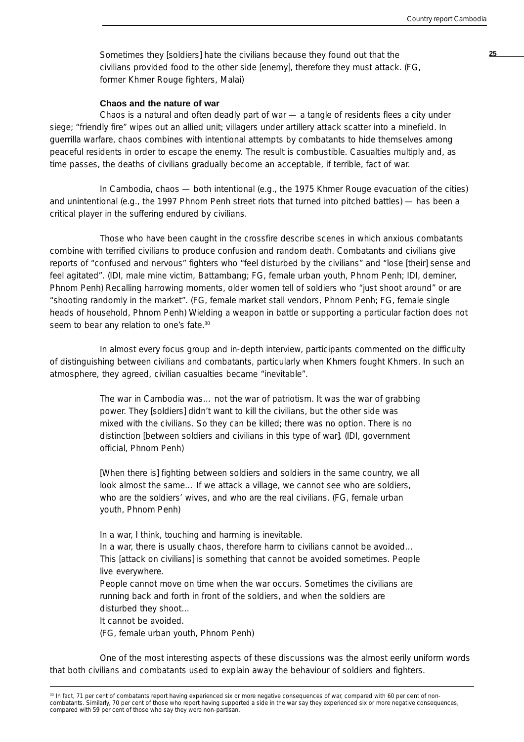Sometimes they [soldiers] hate the civilians because they found out that the **25** civilians provided food to the other side [enemy], therefore they must attack. (FG, former Khmer Rouge fighters, Malai)

#### **Chaos and the nature of war**

Chaos is a natural and often deadly part of war — a tangle of residents flees a city under siege; "friendly fire" wipes out an allied unit; villagers under artillery attack scatter into a minefield. In guerrilla warfare, chaos combines with intentional attempts by combatants to hide themselves among peaceful residents in order to escape the enemy. The result is combustible. Casualties multiply and, as time passes, the deaths of civilians gradually become an acceptable, if terrible, fact of war.

In Cambodia, chaos — both intentional (e.g., the 1975 Khmer Rouge evacuation of the cities) and unintentional (e.g., the 1997 Phnom Penh street riots that turned into pitched battles) — has been a critical player in the suffering endured by civilians.

Those who have been caught in the crossfire describe scenes in which anxious combatants combine with terrified civilians to produce confusion and random death. Combatants and civilians give reports of "confused and nervous" fighters who "feel disturbed by the civilians" and "lose [their] sense and feel agitated". (IDI, male mine victim, Battambang; FG, female urban youth, Phnom Penh; IDI, deminer, Phnom Penh) Recalling harrowing moments, older women tell of soldiers who "just shoot around" or are "shooting randomly in the market". (FG, female market stall vendors, Phnom Penh; FG, female single heads of household, Phnom Penh) Wielding a weapon in battle or supporting a particular faction does not seem to bear any relation to one's fate.<sup>30</sup>

In almost every focus group and in-depth interview, participants commented on the difficulty of distinguishing between civilians and combatants, particularly when Khmers fought Khmers. In such an atmosphere, they agreed, civilian casualties became "inevitable".

> The war in Cambodia was… not the war of patriotism. It was the war of grabbing power. They [soldiers] didn't want to kill the civilians, but the other side was mixed with the civilians. So they can be killed; there was no option. There is no distinction [between soldiers and civilians in this type of war]. (IDI, government official, Phnom Penh)

> [When there is] fighting between soldiers and soldiers in the same country, we all look almost the same... If we attack a village, we cannot see who are soldiers, who are the soldiers' wives, and who are the real civilians. (FG, female urban youth, Phnom Penh)

In a war, I think, touching and harming is inevitable.

In a war, there is usually chaos, therefore harm to civilians cannot be avoided… This [attack on civilians] is something that cannot be avoided sometimes. People live everywhere.

People cannot move on time when the war occurs. Sometimes the civilians are running back and forth in front of the soldiers, and when the soldiers are disturbed they shoot…

It cannot be avoided.

(FG, female urban youth, Phnom Penh)

One of the most interesting aspects of these discussions was the almost eerily uniform words that both civilians and combatants used to explain away the behaviour of soldiers and fighters.

<sup>&</sup>lt;sup>30</sup> In fact, 71 per cent of combatants report having experienced six or more negative consequences of war, compared with 60 per cent of noncombatants. Similarly, 70 per cent of those who report having supported a side in the war say they experienced six or more negative consequences, compared with 59 per cent of those who say they were non-partisan.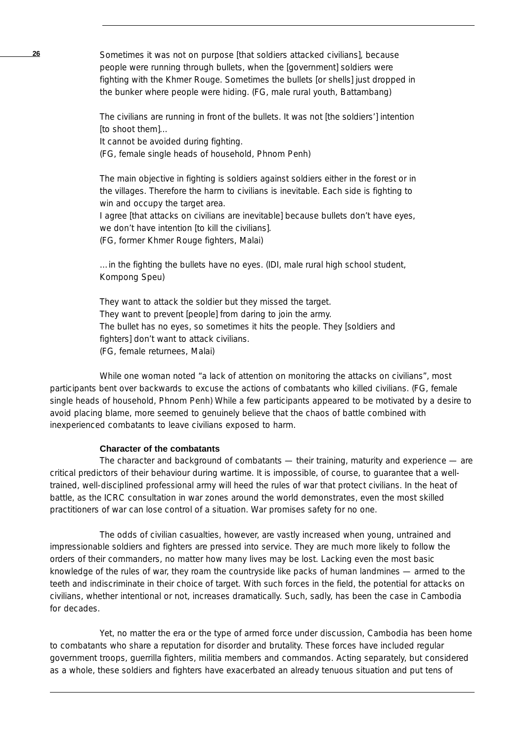**26** Sometimes it was not on purpose [that soldiers attacked civilians], because people were running through bullets, when the [government] soldiers were fighting with the Khmer Rouge. Sometimes the bullets [or shells] just dropped in the bunker where people were hiding. (FG, male rural youth, Battambang)

> The civilians are running in front of the bullets. It was not [the soldiers'] intention [to shoot them]…

It cannot be avoided during fighting.

(FG, female single heads of household, Phnom Penh)

The main objective in fighting is soldiers against soldiers either in the forest or in the villages. Therefore the harm to civilians is inevitable. Each side is fighting to win and occupy the target area.

I agree [that attacks on civilians are inevitable] because bullets don't have eyes, we don't have intention [to kill the civilians].

(FG, former Khmer Rouge fighters, Malai)

…in the fighting the bullets have no eyes. (IDI, male rural high school student, Kompong Speu)

They want to attack the soldier but they missed the target. They want to prevent [people] from daring to join the army. The bullet has no eyes, so sometimes it hits the people. They [soldiers and fighters] don't want to attack civilians. (FG, female returnees, Malai)

While one woman noted "a lack of attention on monitoring the attacks on civilians", most participants bent over backwards to excuse the actions of combatants who killed civilians. (FG, female single heads of household, Phnom Penh) While a few participants appeared to be motivated by a desire to avoid placing blame, more seemed to genuinely believe that the chaos of battle combined with inexperienced combatants to leave civilians exposed to harm.

## **Character of the combatants**

The character and background of combatants - their training, maturity and experience - are critical predictors of their behaviour during wartime. It is impossible, of course, to guarantee that a welltrained, well-disciplined professional army will heed the rules of war that protect civilians. In the heat of battle, as the ICRC consultation in war zones around the world demonstrates, even the most skilled practitioners of war can lose control of a situation. War promises safety for no one.

The odds of civilian casualties, however, are vastly increased when young, untrained and impressionable soldiers and fighters are pressed into service. They are much more likely to follow the orders of their commanders, no matter how many lives may be lost. Lacking even the most basic knowledge of the rules of war, they roam the countryside like packs of human landmines — armed to the teeth and indiscriminate in their choice of target. With such forces in the field, the potential for attacks on civilians, whether intentional or not, increases dramatically. Such, sadly, has been the case in Cambodia for decades.

Yet, no matter the era or the type of armed force under discussion, Cambodia has been home to combatants who share a reputation for disorder and brutality. These forces have included regular government troops, guerrilla fighters, militia members and commandos. Acting separately, but considered as a whole, these soldiers and fighters have exacerbated an already tenuous situation and put tens of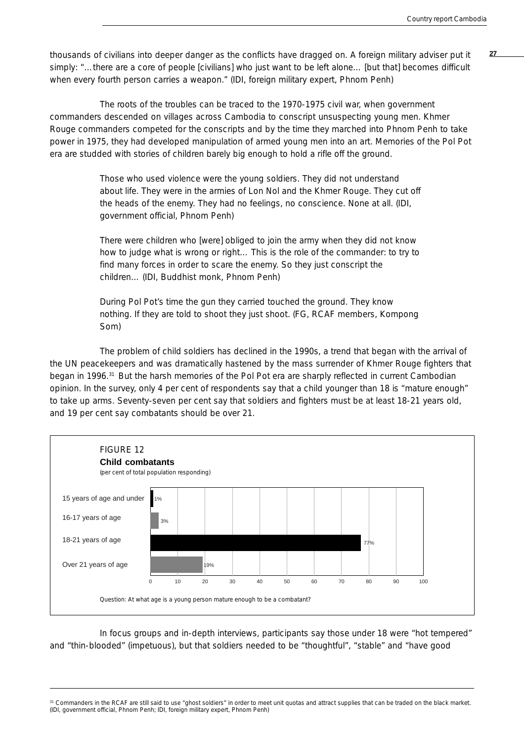**27** thousands of civilians into deeper danger as the conflicts have dragged on. A foreign military adviser put it simply: "...there are a core of people [civilians] who just want to be left alone... [but that] becomes difficult when every fourth person carries a weapon." (IDI, foreign military expert, Phnom Penh)

The roots of the troubles can be traced to the 1970-1975 civil war, when government commanders descended on villages across Cambodia to conscript unsuspecting young men. Khmer Rouge commanders competed for the conscripts and by the time they marched into Phnom Penh to take power in 1975, they had developed manipulation of armed young men into an art. Memories of the Pol Pot era are studded with stories of children barely big enough to hold a rifle off the ground.

> Those who used violence were the young soldiers. They did not understand about life. They were in the armies of Lon Nol and the Khmer Rouge. They cut off the heads of the enemy. They had no feelings, no conscience. None at all. (IDI, government official, Phnom Penh)

> There were children who [were] obliged to join the army when they did not know how to judge what is wrong or right… This is the role of the commander: to try to find many forces in order to scare the enemy. So they just conscript the children… (IDI, Buddhist monk, Phnom Penh)

> During Pol Pot's time the gun they carried touched the ground. They know nothing. If they are told to shoot they just shoot. (FG, RCAF members, Kompong Som)

The problem of child soldiers has declined in the 1990s, a trend that began with the arrival of the UN peacekeepers and was dramatically hastened by the mass surrender of Khmer Rouge fighters that began in 1996.<sup>31</sup> But the harsh memories of the Pol Pot era are sharply reflected in current Cambodian opinion. In the survey, only 4 per cent of respondents say that a child younger than 18 is "mature enough" to take up arms. Seventy-seven per cent say that soldiers and fighters must be at least 18-21 years old, and 19 per cent say combatants should be over 21.



In focus groups and in-depth interviews, participants say those under 18 were "hot tempered" and "thin-blooded" (impetuous), but that soldiers needed to be "thoughtful", "stable" and "have good

31 Commanders in the RCAF are still said to use "ghost soldiers" in order to meet unit quotas and attract supplies that can be traded on the black market. (IDI, government official, Phnom Penh; IDI, foreign military expert, Phnom Penh)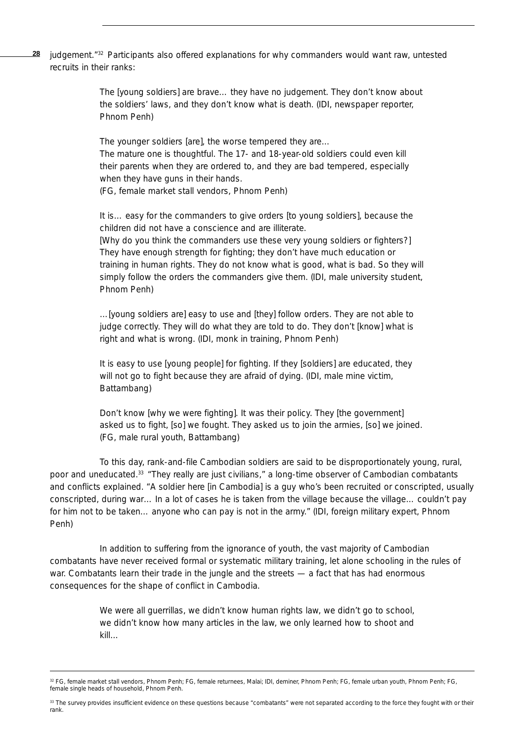judgement."32 Participants also offered explanations for why commanders would want raw, untested recruits in their ranks: **28**

> The [young soldiers] are brave… they have no judgement. They don't know about the soldiers' laws, and they don't know what is death. (IDI, newspaper reporter, Phnom Penh)

The younger soldiers [are], the worse tempered they are…

The mature one is thoughtful. The 17- and 18-year-old soldiers could even kill their parents when they are ordered to, and they are bad tempered, especially when they have guns in their hands.

(FG, female market stall vendors, Phnom Penh)

It is… easy for the commanders to give orders [to young soldiers], because the children did not have a conscience and are illiterate.

[Why do you think the commanders use these very young soldiers or fighters?] They have enough strength for fighting; they don't have much education or training in human rights. They do not know what is good, what is bad. So they will simply follow the orders the commanders give them. (IDI, male university student, Phnom Penh)

…[young soldiers are] easy to use and [they] follow orders. They are not able to judge correctly. They will do what they are told to do. They don't [know] what is right and what is wrong. (IDI, monk in training, Phnom Penh)

It is easy to use [young people] for fighting. If they [soldiers] are educated, they will not go to fight because they are afraid of dying. (IDI, male mine victim, Battambang)

Don't know [why we were fighting]. It was their policy. They [the government] asked us to fight, [so] we fought. They asked us to join the armies, [so] we joined. (FG, male rural youth, Battambang)

To this day, rank-and-file Cambodian soldiers are said to be disproportionately young, rural, poor and uneducated.33 "They really are just civilians," a long-time observer of Cambodian combatants and conflicts explained. "A soldier here [in Cambodia] is a guy who's been recruited or conscripted, usually conscripted, during war… In a lot of cases he is taken from the village because the village… couldn't pay for him not to be taken… anyone who can pay is not in the army." (IDI, foreign military expert, Phnom Penh)

In addition to suffering from the ignorance of youth, the vast majority of Cambodian combatants have never received formal or systematic military training, let alone schooling in the rules of war. Combatants learn their trade in the jungle and the streets — a fact that has had enormous consequences for the shape of conflict in Cambodia.

> We were all guerrillas, we didn't know human rights law, we didn't go to school, we didn't know how many articles in the law, we only learned how to shoot and kill…

<sup>32</sup> FG, female market stall vendors, Phnom Penh; FG, female returnees, Malai; IDI, deminer, Phnom Penh; FG, female urban youth, Phnom Penh; FG, female single heads of household, Phnom Penh.

<sup>33</sup> The survey provides insufficient evidence on these questions because "combatants" were not separated according to the force they fought with or their rank.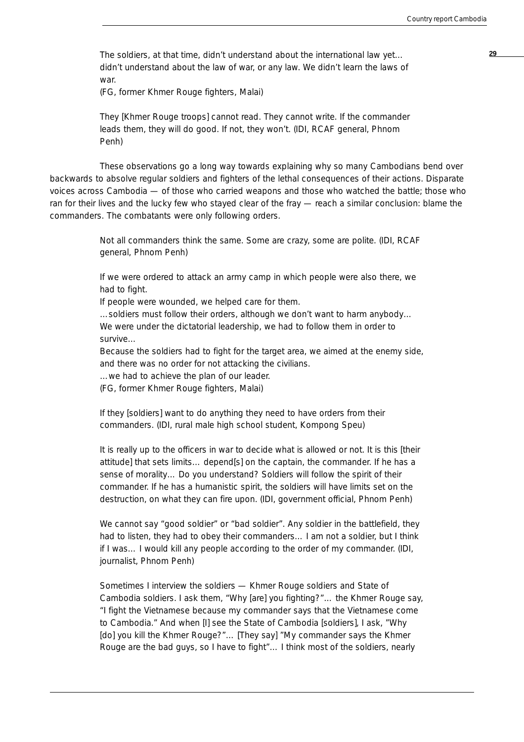The soldiers, at that time, didn't understand about the international law yet… didn't understand about the law of war, or any law. We didn't learn the laws of war.

(FG, former Khmer Rouge fighters, Malai)

They [Khmer Rouge troops] cannot read. They cannot write. If the commander leads them, they will do good. If not, they won't. (IDI, RCAF general, Phnom Penh)

These observations go a long way towards explaining why so many Cambodians bend over backwards to absolve regular soldiers and fighters of the lethal consequences of their actions. Disparate voices across Cambodia — of those who carried weapons and those who watched the battle; those who ran for their lives and the lucky few who stayed clear of the fray — reach a similar conclusion: blame the commanders. The combatants were only following orders.

> Not all commanders think the same. Some are crazy, some are polite. (IDI, RCAF general, Phnom Penh)

If we were ordered to attack an army camp in which people were also there, we had to fight.

If people were wounded, we helped care for them.

…soldiers must follow their orders, although we don't want to harm anybody… We were under the dictatorial leadership, we had to follow them in order to survive…

Because the soldiers had to fight for the target area, we aimed at the enemy side, and there was no order for not attacking the civilians.

…we had to achieve the plan of our leader.

(FG, former Khmer Rouge fighters, Malai)

If they [soldiers] want to do anything they need to have orders from their commanders. (IDI, rural male high school student, Kompong Speu)

It is really up to the officers in war to decide what is allowed or not. It is this [their attitude] that sets limits… depend[s] on the captain, the commander. If he has a sense of morality… Do you understand? Soldiers will follow the spirit of their commander. If he has a humanistic spirit, the soldiers will have limits set on the destruction, on what they can fire upon. (IDI, government official, Phnom Penh)

We cannot say "good soldier" or "bad soldier". Any soldier in the battlefield, they had to listen, they had to obey their commanders… I am not a soldier, but I think if I was… I would kill any people according to the order of my commander. (IDI, journalist, Phnom Penh)

Sometimes I interview the soldiers — Khmer Rouge soldiers and State of Cambodia soldiers. I ask them, "Why [are] you fighting?"… the Khmer Rouge say, "I fight the Vietnamese because my commander says that the Vietnamese come to Cambodia." And when [I] see the State of Cambodia [soldiers], I ask, "Why [do] you kill the Khmer Rouge?"… [They say] "My commander says the Khmer Rouge are the bad guys, so I have to fight"… I think most of the soldiers, nearly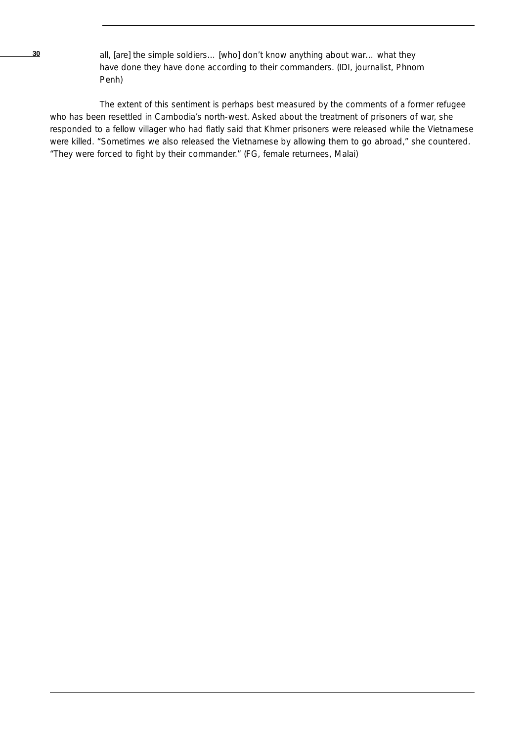**30** all, [are] the simple soldiers... [who] don't know anything about war... what they have done they have done according to their commanders. (IDI, journalist, Phnom Penh)

The extent of this sentiment is perhaps best measured by the comments of a former refugee who has been resettled in Cambodia's north-west. Asked about the treatment of prisoners of war, she responded to a fellow villager who had flatly said that Khmer prisoners were released while the Vietnamese were killed. "Sometimes we also released the Vietnamese by allowing them to go abroad," she countered. "They were forced to fight by their commander." (FG, female returnees, Malai)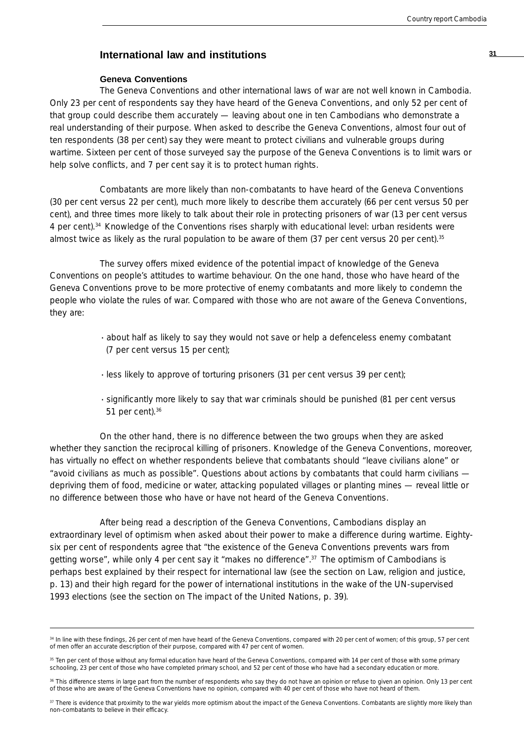## **<sup>31</sup> International law and institutions**

#### **Geneva Conventions**

The Geneva Conventions and other international laws of war are not well known in Cambodia. Only 23 per cent of respondents say they have heard of the Geneva Conventions, and only 52 per cent of that group could describe them accurately — leaving about one in ten Cambodians who demonstrate a real understanding of their purpose. When asked to describe the Geneva Conventions, almost four out of ten respondents (38 per cent) say they were meant to protect civilians and vulnerable groups during wartime. Sixteen per cent of those surveyed say the purpose of the Geneva Conventions is to limit wars or help solve conflicts, and 7 per cent say it is to protect human rights.

Combatants are more likely than non-combatants to have heard of the Geneva Conventions (30 per cent versus 22 per cent), much more likely to describe them accurately (66 per cent versus 50 per cent), and three times more likely to talk about their role in protecting prisoners of war (13 per cent versus 4 per cent).<sup>34</sup> Knowledge of the Conventions rises sharply with educational level: urban residents were almost twice as likely as the rural population to be aware of them (37 per cent versus 20 per cent).<sup>35</sup>

The survey offers mixed evidence of the potential impact of knowledge of the Geneva Conventions on people's attitudes to wartime behaviour. On the one hand, those who have heard of the Geneva Conventions prove to be more protective of enemy combatants and more likely to condemn the people who violate the rules of war. Compared with those who are not aware of the Geneva Conventions, they are:

- · about half as likely to say they would *not* save or help a defenceless enemy combatant (7 per cent versus 15 per cent);
- · less likely to approve of torturing prisoners (31 per cent versus 39 per cent);
- · significantly more likely to say that war criminals should be punished (81 per cent versus 51 per cent).36

On the other hand, there is no difference between the two groups when they are asked whether they sanction the reciprocal killing of prisoners. Knowledge of the Geneva Conventions, moreover, has virtually no effect on whether respondents believe that combatants should "leave civilians alone" or "avoid civilians as much as possible". Questions about actions by combatants that could harm civilians depriving them of food, medicine or water, attacking populated villages or planting mines — reveal little or no difference between those who have or have not heard of the Geneva Conventions.

After being read a description of the Geneva Conventions, Cambodians display an extraordinary level of optimism when asked about their power to make a difference during wartime. Eightysix per cent of respondents agree that "the existence of the Geneva Conventions prevents wars from getting worse", while only 4 per cent say it "makes no difference".37 The optimism of Cambodians is perhaps best explained by their respect for international law (see the section on Law, religion and justice, p. 13) and their high regard for the power of international institutions in the wake of the UN-supervised 1993 elections (see the section on The impact of the United Nations, p. 39).

<sup>34</sup> In line with these findings, 26 per cent of men have heard of the Geneva Conventions, compared with 20 per cent of women; of this group, 57 per cent of men offer an accurate description of their purpose, compared with 47 per cent of women.

<sup>&</sup>lt;sup>35</sup> Ten per cent of those without any formal education have heard of the Geneva Conventions, compared with 14 per cent of those with some primary schooling, 23 per cent of those who have completed primary school, and 52 per cent of those who have had a secondary education or more.

<sup>36</sup> This difference stems in large part from the number of respondents who say they do not have an opinion or refuse to given an opinion. Only 13 per cent of those who are aware of the Geneva Conventions have no opinion, compared with 40 per cent of those who have not heard of them.

<sup>&</sup>lt;sup>37</sup> There is evidence that proximity to the war yields more optimism about the impact of the Geneva Conventions. Combatants are slightly more likely than non-combatants to believe in their efficacy.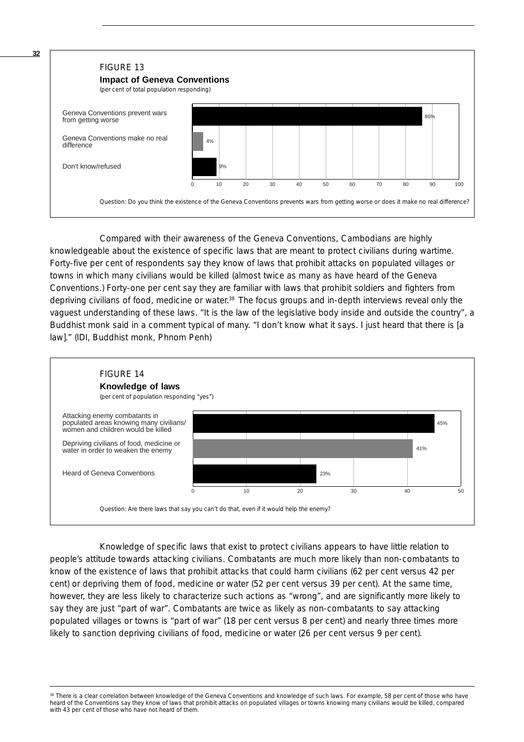

Compared with their awareness of the Geneva Conventions, Cambodians are highly knowledgeable about the existence of specific laws that are meant to protect civilians during wartime. Forty-five per cent of respondents say they know of laws that prohibit attacks on populated villages or towns in which many civilians would be killed (almost twice as many as have heard of the Geneva Conventions.) Forty-one per cent say they are familiar with laws that prohibit soldiers and fighters from depriving civilians of food, medicine or water.<sup>38</sup> The focus groups and in-depth interviews reveal only the vaguest understanding of these laws. "It is the law of the legislative body inside and outside the country", a Buddhist monk said in a comment typical of many. "I don't know what it says. I just heard that there is [a law]." (IDI, Buddhist monk, Phnom Penh)



Knowledge of specific laws that exist to protect civilians appears to have little relation to people's attitude towards attacking civilians. Combatants are much more likely than non-combatants to know of the existence of laws that prohibit attacks that could harm civilians (62 per cent versus 42 per cent) or depriving them of food, medicine or water (52 per cent versus 39 per cent). At the same time, however, they are less likely to characterize such actions as "wrong", and are significantly more likely to say they are just "part of war". Combatants are twice as likely as non-combatants to say attacking populated villages or towns is "part of war" (18 per cent versus 8 per cent) and nearly three times more likely to sanction depriving civilians of food, medicine or water (26 per cent versus 9 per cent).

<sup>38</sup> There is a clear correlation between knowledge of the Geneva Conventions and knowledge of such laws. For example, 58 per cent of those who have heard of the Conventions say they know of laws that prohibit attacks on populated villages or towns knowing many civilians would be killed, compared with 43 per cent of those who have not heard of them.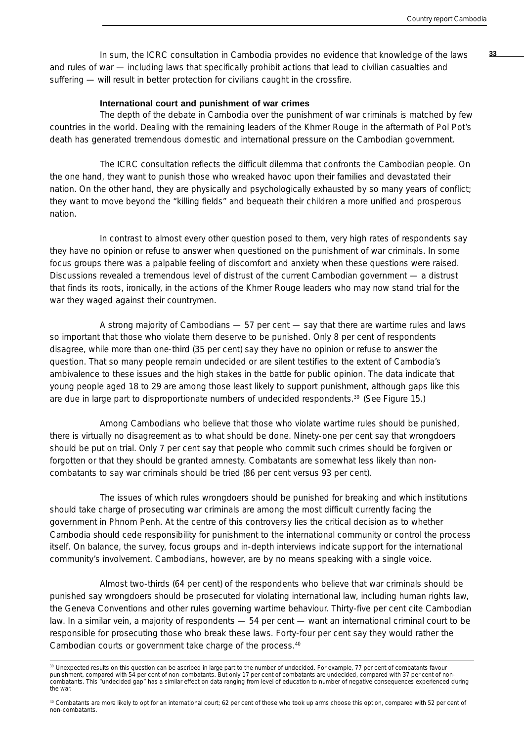**33** In sum, the ICRC consultation in Cambodia provides no evidence that knowledge of the laws and rules of war — including laws that specifically prohibit actions that lead to civilian casualties and suffering — will result in better protection for civilians caught in the crossfire.

#### **International court and punishment of war crimes**

The depth of the debate in Cambodia over the punishment of war criminals is matched by few countries in the world. Dealing with the remaining leaders of the Khmer Rouge in the aftermath of Pol Pot's death has generated tremendous domestic and international pressure on the Cambodian government.

The ICRC consultation reflects the difficult dilemma that confronts the Cambodian people. On the one hand, they want to punish those who wreaked havoc upon their families and devastated their nation. On the other hand, they are physically and psychologically exhausted by so many years of conflict; they want to move beyond the "killing fields" and bequeath their children a more unified and prosperous nation.

In contrast to almost every other question posed to them, very high rates of respondents say they have no opinion or refuse to answer when questioned on the punishment of war criminals. In some focus groups there was a palpable feeling of discomfort and anxiety when these questions were raised. Discussions revealed a tremendous level of distrust of the current Cambodian government — a distrust that finds its roots, ironically, in the actions of the Khmer Rouge leaders who may now stand trial for the war they waged against their countrymen.

A strong majority of Cambodians — 57 per cent — say that there are wartime rules and laws so important that those who violate them deserve to be punished. Only 8 per cent of respondents disagree, while more than one-third (35 per cent) say they have no opinion or refuse to answer the question. That so many people remain undecided or are silent testifies to the extent of Cambodia's ambivalence to these issues and the high stakes in the battle for public opinion. The data indicate that young people aged 18 to 29 are among those least likely to support punishment, although gaps like this are due in large part to disproportionate numbers of undecided respondents.39 (See Figure 15.)

Among Cambodians who believe that those who violate wartime rules should be punished, there is virtually no disagreement as to what should be done. Ninety-one per cent say that wrongdoers should be put on trial. Only 7 per cent say that people who commit such crimes should be forgiven or forgotten or that they should be granted amnesty. Combatants are somewhat less likely than noncombatants to say war criminals should be tried (86 per cent versus 93 per cent).

The issues of which rules wrongdoers should be punished for breaking and which institutions should take charge of prosecuting war criminals are among the most difficult currently facing the government in Phnom Penh. At the centre of this controversy lies the critical decision as to whether Cambodia should cede responsibility for punishment to the international community or control the process itself. On balance, the survey, focus groups and in-depth interviews indicate support for the international community's involvement. Cambodians, however, are by no means speaking with a single voice.

Almost two-thirds (64 per cent) of the respondents who believe that war criminals should be punished say wrongdoers should be prosecuted for violating international law, including human rights law, the Geneva Conventions and other rules governing wartime behaviour. Thirty-five per cent cite Cambodian law. In a similar vein, a majority of respondents — 54 per cent — want an international criminal court to be responsible for prosecuting those who break these laws. Forty-four per cent say they would rather the Cambodian courts or government take charge of the process.<sup>40</sup>

<sup>&</sup>lt;sup>39</sup> Unexpected results on this question can be ascribed in large part to the number of undecided. For example, 77 per cent of combatants favour punishment, compared with 54 per cent of non-combatants. But only 17 per cent of combatants are undecided, compared with 37 per cent of noncombatants. This "undecided gap" has a similar effect on data ranging from level of education to number of negative consequences experienced during the war.

<sup>40</sup> Combatants are more likely to opt for an international court; 62 per cent of those who took up arms choose this option, compared with 52 per cent of non-combatants.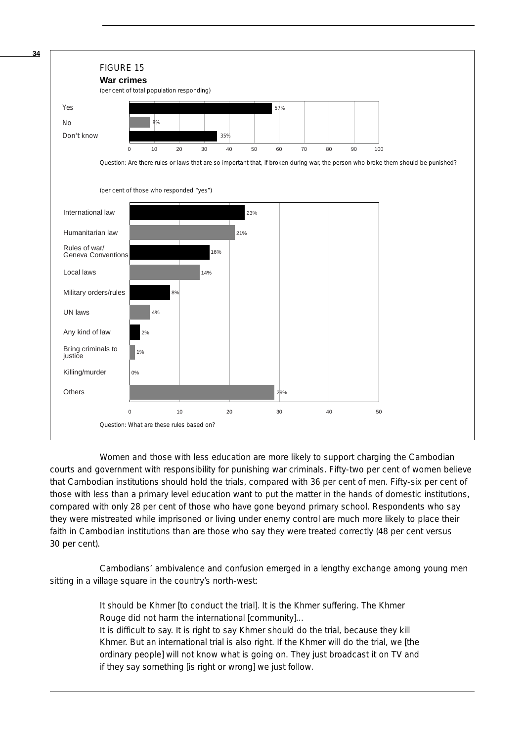

Women and those with less education are more likely to support charging the Cambodian courts and government with responsibility for punishing war criminals. Fifty-two per cent of women believe that Cambodian institutions should hold the trials, compared with 36 per cent of men. Fifty-six per cent of those with less than a primary level education want to put the matter in the hands of domestic institutions, compared with only 28 per cent of those who have gone beyond primary school. Respondents who say they were mistreated while imprisoned or living under enemy control are much more likely to place their faith in Cambodian institutions than are those who say they were treated correctly (48 per cent versus 30 per cent).

Cambodians' ambivalence and confusion emerged in a lengthy exchange among young men sitting in a village square in the country's north-west:

> It should be Khmer [to conduct the trial]. It is the Khmer suffering. The Khmer Rouge did not harm the international [community]…

It is difficult to say. It is right to say Khmer should do the trial, because they kill Khmer. But an international trial is also right. If the Khmer will do the trial, we [the ordinary people] will not know what is going on. They just broadcast it on TV and if they say something [is right or wrong] we just follow.

**34**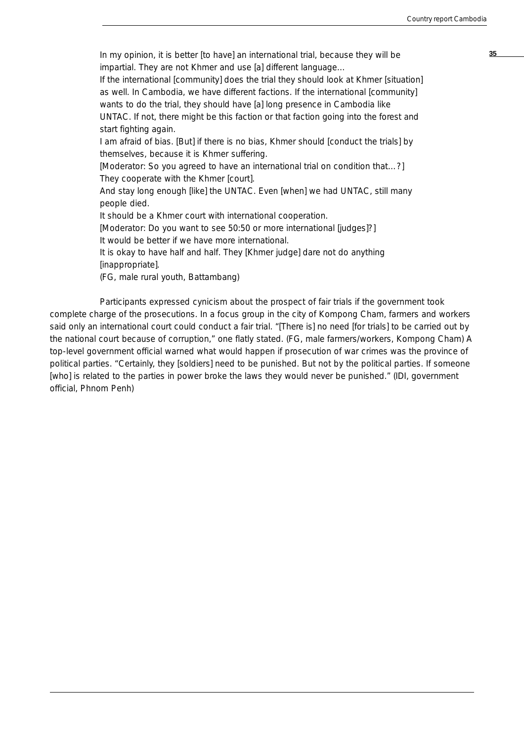**35** In my opinion, it is better [to have] an international trial, because they will be impartial. They are not Khmer and use [a] different language… If the international [community] does the trial they should look at Khmer [situation] as well. In Cambodia, we have different factions. If the international [community] wants to do the trial, they should have [a] long presence in Cambodia like UNTAC. If not, there might be this faction or that faction going into the forest and start fighting again. I am afraid of bias. [But] if there is no bias, Khmer should [conduct the trials] by themselves, because it is Khmer suffering. [Moderator: So you agreed to have an international trial on condition that…?] They cooperate with the Khmer [court]. And stay long enough [like] the UNTAC. Even [when] we had UNTAC, still many people died. It should be a Khmer court with international cooperation. [Moderator: Do you want to see 50:50 or more international [judges]?] It would be better if we have more international. It is okay to have half and half. They [Khmer judge] dare not do anything [inappropriate]. (FG, male rural youth, Battambang)

Participants expressed cynicism about the prospect of fair trials if the government took complete charge of the prosecutions. In a focus group in the city of Kompong Cham, farmers and workers said only an international court could conduct a fair trial. "[There is] no need [for trials] to be carried out by the national court because of corruption," one flatly stated. (FG, male farmers/workers, Kompong Cham) A top-level government official warned what would happen if prosecution of war crimes was the province of political parties. "Certainly, they [soldiers] need to be punished. But not by the political parties. If someone [who] is related to the parties in power broke the laws they would never be punished." (IDI, government official, Phnom Penh)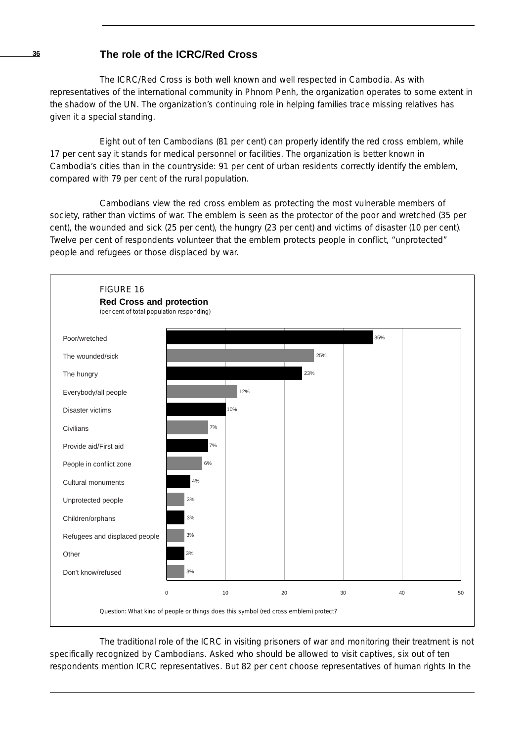## **The role of the ICRC/Red Cross**

The ICRC/Red Cross is both well known and well respected in Cambodia. As with representatives of the international community in Phnom Penh, the organization operates to some extent in the shadow of the UN. The organization's continuing role in helping families trace missing relatives has given it a special standing.

Eight out of ten Cambodians (81 per cent) can properly identify the red cross emblem, while 17 per cent say it stands for medical personnel or facilities. The organization is better known in Cambodia's cities than in the countryside: 91 per cent of urban residents correctly identify the emblem, compared with 79 per cent of the rural population.

Cambodians view the red cross emblem as protecting the most vulnerable members of society, rather than victims of war. The emblem is seen as the protector of the poor and wretched (35 per cent), the wounded and sick (25 per cent), the hungry (23 per cent) and victims of disaster (10 per cent). Twelve per cent of respondents volunteer that the emblem protects people in conflict, "unprotected" people and refugees or those displaced by war.



The traditional role of the ICRC in visiting prisoners of war and monitoring their treatment is not specifically recognized by Cambodians. Asked who should be allowed to visit captives, six out of ten respondents mention ICRC representatives. But 82 per cent choose representatives of human rights In the

**36**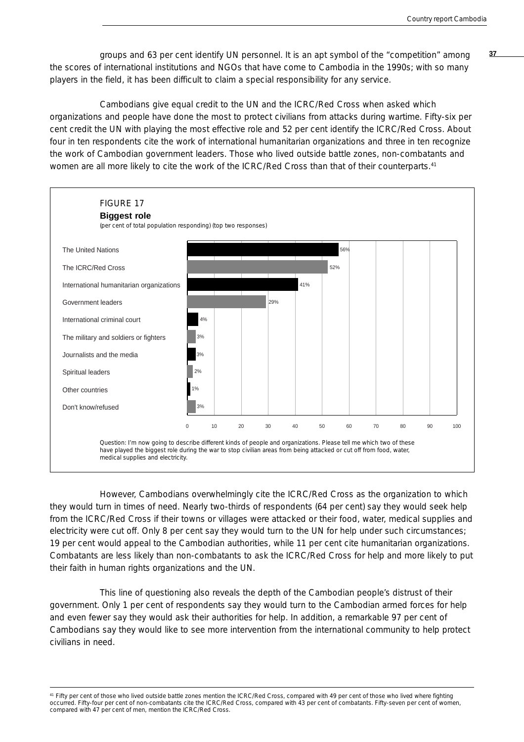groups and 63 per cent identify UN personnel. It is an apt symbol of the "competition" among **37** the scores of international institutions and NGOs that have come to Cambodia in the 1990s; with so many players in the field, it has been difficult to claim a special responsibility for any service.

Cambodians give equal credit to the UN and the ICRC/Red Cross when asked which organizations and people have done the most to protect civilians from attacks during wartime. Fifty-six per cent credit the UN with playing the most effective role and 52 per cent identify the ICRC/Red Cross. About four in ten respondents cite the work of international humanitarian organizations and three in ten recognize the work of Cambodian government leaders. Those who lived outside battle zones, non-combatants and women are all more likely to cite the work of the ICRC/Red Cross than that of their counterparts.<sup>41</sup>



However, Cambodians overwhelmingly cite the ICRC/Red Cross as the organization to which they would turn in times of need. Nearly two-thirds of respondents (64 per cent) say they would seek help from the ICRC/Red Cross if their towns or villages were attacked or their food, water, medical supplies and electricity were cut off. Only 8 per cent say they would turn to the UN for help under such circumstances; 19 per cent would appeal to the Cambodian authorities, while 11 per cent cite humanitarian organizations. Combatants are less likely than non-combatants to ask the ICRC/Red Cross for help and more likely to put their faith in human rights organizations and the UN.

This line of questioning also reveals the depth of the Cambodian people's distrust of their government. Only 1 per cent of respondents say they would turn to the Cambodian armed forces for help and even fewer say they would ask their authorities for help. In addition, a remarkable 97 per cent of Cambodians say they would like to see more intervention from the international community to help protect civilians in need.

<sup>41</sup> Fifty per cent of those who lived outside battle zones mention the ICRC/Red Cross, compared with 49 per cent of those who lived where fighting occurred. Fifty-four per cent of non-combatants cite the ICRC/Red Cross, compared with 43 per cent of combatants. Fifty-seven per cent of women, compared with 47 per cent of men, mention the ICRC/Red Cross.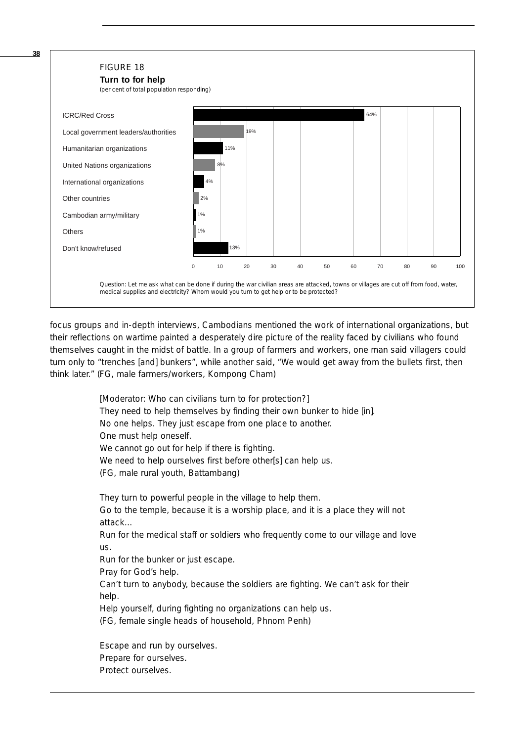

focus groups and in-depth interviews, Cambodians mentioned the work of international organizations, but their reflections on wartime painted a desperately dire picture of the reality faced by civilians who found themselves caught in the midst of battle. In a group of farmers and workers, one man said villagers could turn only to "trenches [and] bunkers", while another said, "We would get away from the bullets first, then think later." (FG, male farmers/workers, Kompong Cham)

> [Moderator: Who can civilians turn to for protection?] They need to help themselves by finding their own bunker to hide [in]. No one helps. They just escape from one place to another. One must help oneself. We cannot go out for help if there is fighting. We need to help ourselves first before other[s] can help us. (FG, male rural youth, Battambang)

They turn to powerful people in the village to help them. Go to the temple, because it is a worship place, and it is a place they will not attack… Run for the medical staff or soldiers who frequently come to our village and love us. Run for the bunker or just escape. Pray for God's help. Can't turn to anybody, because the soldiers are fighting. We can't ask for their help. Help yourself, during fighting no organizations can help us. (FG, female single heads of household, Phnom Penh)

Escape and run by ourselves. Prepare for ourselves. Protect ourselves.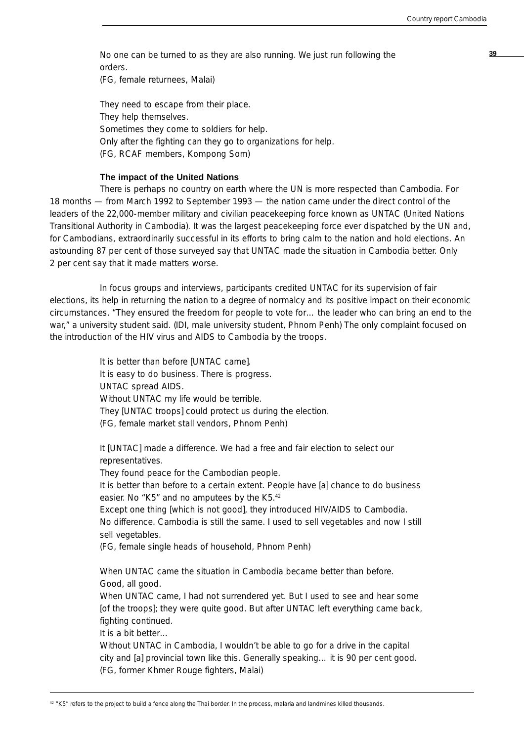No one can be turned to as they are also running. We just run following the **39** orders.

(FG, female returnees, Malai)

They need to escape from their place. They help themselves. Sometimes they come to soldiers for help. Only after the fighting can they go to organizations for help. (FG, RCAF members, Kompong Som)

#### **The impact of the United Nations**

There is perhaps no country on earth where the UN is more respected than Cambodia. For 18 months — from March 1992 to September 1993 — the nation came under the direct control of the leaders of the 22,000-member military and civilian peacekeeping force known as UNTAC (United Nations Transitional Authority in Cambodia). It was the largest peacekeeping force ever dispatched by the UN and, for Cambodians, extraordinarily successful in its efforts to bring calm to the nation and hold elections. An astounding 87 per cent of those surveyed say that UNTAC made the situation in Cambodia better. Only 2 per cent say that it made matters worse.

In focus groups and interviews, participants credited UNTAC for its supervision of fair elections, its help in returning the nation to a degree of normalcy and its positive impact on their economic circumstances. "They ensured the freedom for people to vote for… the leader who can bring an end to the war," a university student said. (IDI, male university student, Phnom Penh) The only complaint focused on the introduction of the HIV virus and AIDS to Cambodia by the troops.

> It is better than before [UNTAC came]. It is easy to do business. There is progress. UNTAC spread AIDS. Without UNTAC my life would be terrible. They [UNTAC troops] could protect us during the election. (FG, female market stall vendors, Phnom Penh)

It [UNTAC] made a difference. We had a free and fair election to select our representatives.

They found peace for the Cambodian people.

It is better than before to a certain extent. People have [a] chance to do business easier. No "K5" and no amputees by the K5.42

Except one thing [which is not good], they introduced HIV/AIDS to Cambodia. No difference. Cambodia is still the same. I used to sell vegetables and now I still sell vegetables.

(FG, female single heads of household, Phnom Penh)

When UNTAC came the situation in Cambodia became better than before. Good, all good.

When UNTAC came, I had not surrendered yet. But I used to see and hear some [of the troops]; they were quite good. But after UNTAC left everything came back, fighting continued.

It is a bit better…

Without UNTAC in Cambodia, I wouldn't be able to go for a drive in the capital city and [a] provincial town like this. Generally speaking… it is 90 per cent good. (FG, former Khmer Rouge fighters, Malai)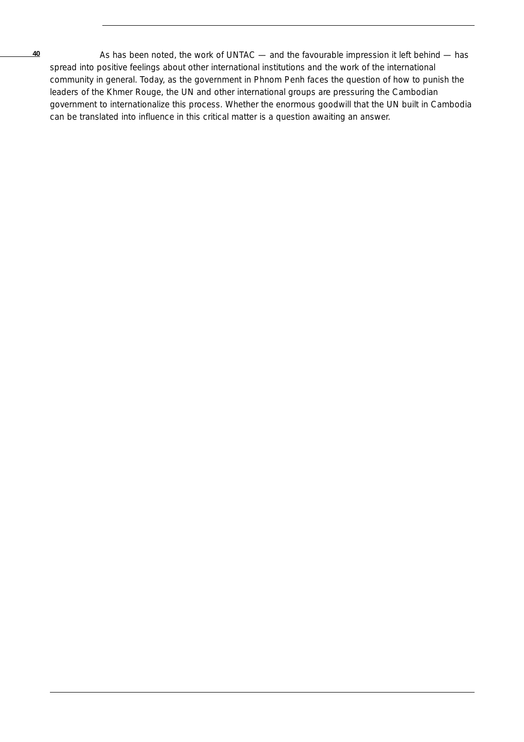As has been noted, the work of UNTAC — and the favourable impression it left behind — has spread into positive feelings about other international institutions and the work of the international community in general. Today, as the government in Phnom Penh faces the question of how to punish the leaders of the Khmer Rouge, the UN and other international groups are pressuring the Cambodian government to internationalize this process. Whether the enormous goodwill that the UN built in Cambodia can be translated into influence in this critical matter is a question awaiting an answer.

**40**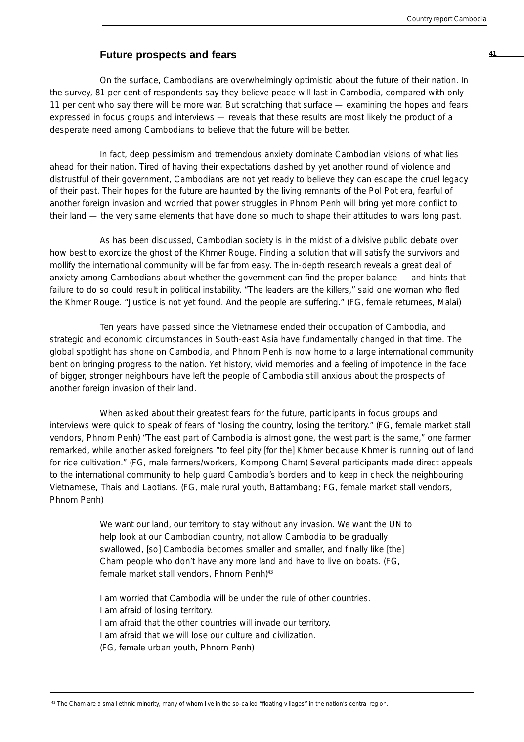## **Future prospects and fears <sup>41</sup>**

On the surface, Cambodians are overwhelmingly optimistic about the future of their nation. In the survey, 81 per cent of respondents say they believe peace will last in Cambodia, compared with only 11 per cent who say there will be more war. But scratching that surface — examining the hopes and fears expressed in focus groups and interviews — reveals that these results are most likely the product of a desperate need among Cambodians to believe that the future will be better.

In fact, deep pessimism and tremendous anxiety dominate Cambodian visions of what lies ahead for their nation. Tired of having their expectations dashed by yet another round of violence and distrustful of their government, Cambodians are not yet ready to believe they can escape the cruel legacy of their past. Their hopes for the future are haunted by the living remnants of the Pol Pot era, fearful of another foreign invasion and worried that power struggles in Phnom Penh will bring yet more conflict to their land — the very same elements that have done so much to shape their attitudes to wars long past.

As has been discussed, Cambodian society is in the midst of a divisive public debate over how best to exorcize the ghost of the Khmer Rouge. Finding a solution that will satisfy the survivors and mollify the international community will be far from easy. The in-depth research reveals a great deal of anxiety among Cambodians about whether the government can find the proper balance — and hints that failure to do so could result in political instability. "The leaders are the killers," said one woman who fled the Khmer Rouge. "Justice is not yet found. And the people are suffering." (FG, female returnees, Malai)

Ten years have passed since the Vietnamese ended their occupation of Cambodia, and strategic and economic circumstances in South-east Asia have fundamentally changed in that time. The global spotlight has shone on Cambodia, and Phnom Penh is now home to a large international community bent on bringing progress to the nation. Yet history, vivid memories and a feeling of impotence in the face of bigger, stronger neighbours have left the people of Cambodia still anxious about the prospects of another foreign invasion of their land.

When asked about their greatest fears for the future, participants in focus groups and interviews were quick to speak of fears of "losing the country, losing the territory." (FG, female market stall vendors, Phnom Penh) "The east part of Cambodia is almost gone, the west part is the same," one farmer remarked, while another asked foreigners "to feel pity [for the] Khmer because Khmer is running out of land for rice cultivation." (FG, male farmers/workers, Kompong Cham) Several participants made direct appeals to the international community to help guard Cambodia's borders and to keep in check the neighbouring Vietnamese, Thais and Laotians. (FG, male rural youth, Battambang; FG, female market stall vendors, Phnom Penh)

> We want our land, our territory to stay without any invasion. We want the UN to help look at our Cambodian country, not allow Cambodia to be gradually swallowed, [so] Cambodia becomes smaller and smaller, and finally like [the] Cham people who don't have any more land and have to live on boats. (FG, female market stall vendors, Phnom Penh)<sup>43</sup>

I am worried that Cambodia will be under the rule of other countries. I am afraid of losing territory. I am afraid that the other countries will invade our territory. I am afraid that we will lose our culture and civilization. (FG, female urban youth, Phnom Penh)

<sup>43</sup> The Cham are a small ethnic minority, many of whom live in the so-called "floating villages" in the nation's central region.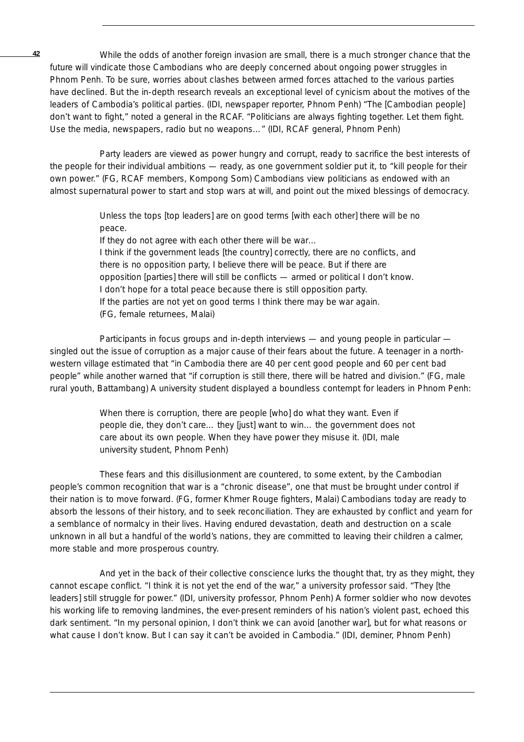While the odds of another foreign invasion are small, there is a much stronger chance that the future will vindicate those Cambodians who are deeply concerned about ongoing power struggles in Phnom Penh. To be sure, worries about clashes between armed forces attached to the various parties have declined. But the in-depth research reveals an exceptional level of cynicism about the motives of the leaders of Cambodia's political parties. (IDI, newspaper reporter, Phnom Penh) "The [Cambodian people] don't want to fight," noted a general in the RCAF. "Politicians are always fighting together. Let them fight. Use the media, newspapers, radio but no weapons…" (IDI, RCAF general, Phnom Penh)

Party leaders are viewed as power hungry and corrupt, ready to sacrifice the best interests of the people for their individual ambitions — ready, as one government soldier put it, to "kill people for their own power." (FG, RCAF members, Kompong Som) Cambodians view politicians as endowed with an almost supernatural power to start and stop wars at will, and point out the mixed blessings of democracy.

> Unless the tops [top leaders] are on good terms [with each other] there will be no peace.

If they do not agree with each other there will be war… I think if the government leads [the country] correctly, there are no conflicts, and there is no opposition party, I believe there will be peace. But if there are opposition [parties] there will still be conflicts — armed or political I don't know. I don't hope for a total peace because there is still opposition party. If the parties are not yet on good terms I think there may be war again. (FG, female returnees, Malai)

Participants in focus groups and in-depth interviews — and young people in particular singled out the issue of corruption as a major cause of their fears about the future. A teenager in a northwestern village estimated that "in Cambodia there are 40 per cent good people and 60 per cent bad people" while another warned that "if corruption is still there, there will be hatred and division." (FG, male rural youth, Battambang) A university student displayed a boundless contempt for leaders in Phnom Penh:

> When there is corruption, there are people [who] do what they want. Even if people die, they don't care… they [just] want to win… the government does not care about its own people. When they have power they misuse it. (IDI, male university student, Phnom Penh)

These fears and this disillusionment are countered, to some extent, by the Cambodian people's common recognition that war is a "chronic disease", one that must be brought under control if their nation is to move forward. (FG, former Khmer Rouge fighters, Malai) Cambodians today are ready to absorb the lessons of their history, and to seek reconciliation. They are exhausted by conflict and yearn for a semblance of normalcy in their lives. Having endured devastation, death and destruction on a scale unknown in all but a handful of the world's nations, they are committed to leaving their children a calmer, more stable and more prosperous country.

And yet in the back of their collective conscience lurks the thought that, try as they might, they cannot escape conflict. "I think it is not yet the end of the war," a university professor said. "They [the leaders] still struggle for power." (IDI, university professor, Phnom Penh) A former soldier who now devotes his working life to removing landmines, the ever-present reminders of his nation's violent past, echoed this dark sentiment. "In my personal opinion, I don't think we can avoid [another war], but for what reasons or what cause I don't know. But I can say it can't be avoided in Cambodia." (IDI, deminer, Phnom Penh)

**42**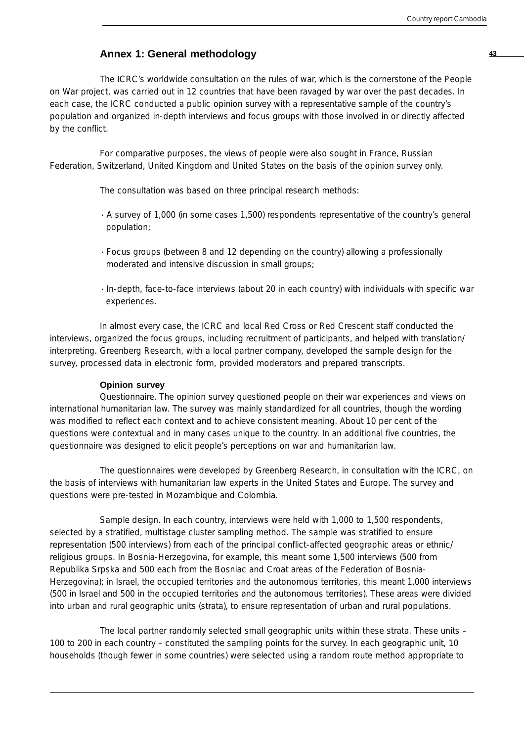## **Annex 1: General methodology <sup>43</sup>**

The ICRC's worldwide consultation on the rules of war, which is the cornerstone of the People on War project, was carried out in 12 countries that have been ravaged by war over the past decades. In each case, the ICRC conducted a public opinion survey with a representative sample of the country's population and organized in-depth interviews and focus groups with those involved in or directly affected by the conflict.

For comparative purposes, the views of people were also sought in France, Russian Federation, Switzerland, United Kingdom and United States on the basis of the opinion survey only.

The consultation was based on three principal research methods:

- · A survey of 1,000 (in some cases 1,500) respondents representative of the country's general population;
- · Focus groups (between 8 and 12 depending on the country) allowing a professionally moderated and intensive discussion in small groups;
- · In-depth, face-to-face interviews (about 20 in each country) with individuals with specific war experiences.

In almost every case, the ICRC and local Red Cross or Red Crescent staff conducted the interviews, organized the focus groups, including recruitment of participants, and helped with translation/ interpreting. Greenberg Research, with a local partner company, developed the sample design for the survey, processed data in electronic form, provided moderators and prepared transcripts.

#### **Opinion survey**

*Questionnaire.* The opinion survey questioned people on their war experiences and views on international humanitarian law. The survey was mainly standardized for all countries, though the wording was modified to reflect each context and to achieve consistent meaning. About 10 per cent of the questions were contextual and in many cases unique to the country. In an additional five countries, the questionnaire was designed to elicit people's perceptions on war and humanitarian law.

The questionnaires were developed by Greenberg Research, in consultation with the ICRC, on the basis of interviews with humanitarian law experts in the United States and Europe. The survey and questions were pre-tested in Mozambique and Colombia.

*Sample design.* In each country, interviews were held with 1,000 to 1,500 respondents, selected by a stratified, multistage cluster sampling method. The sample was stratified to ensure representation (500 interviews) from each of the principal conflict-affected geographic areas or ethnic/ religious groups. In Bosnia-Herzegovina, for example, this meant some 1,500 interviews (500 from Republika Srpska and 500 each from the Bosniac and Croat areas of the Federation of Bosnia-Herzegovina); in Israel, the occupied territories and the autonomous territories, this meant 1,000 interviews (500 in Israel and 500 in the occupied territories and the autonomous territories). These areas were divided into urban and rural geographic units (strata), to ensure representation of urban and rural populations.

The local partner randomly selected small geographic units within these strata. These units – 100 to 200 in each country – constituted the sampling points for the survey. In each geographic unit, 10 households (though fewer in some countries) were selected using a random route method appropriate to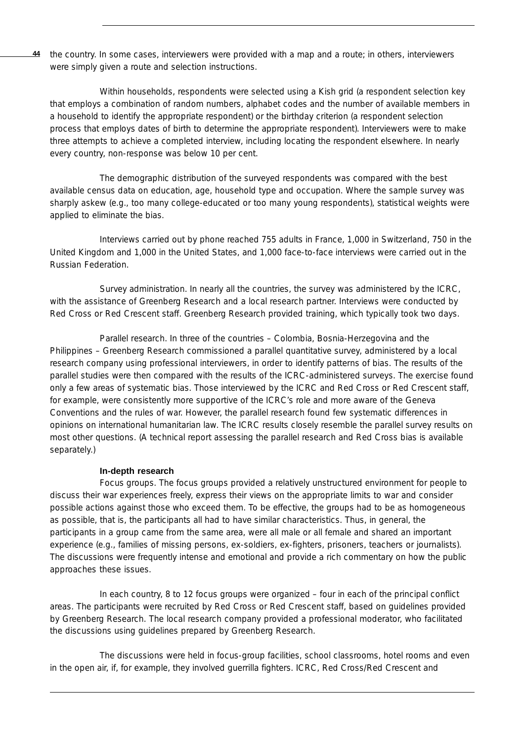the country. In some cases, interviewers were provided with a map and a route; in others, interviewers were simply given a route and selection instructions. **44**

Within households, respondents were selected using a Kish grid (a respondent selection key that employs a combination of random numbers, alphabet codes and the number of available members in a household to identify the appropriate respondent) or the birthday criterion (a respondent selection process that employs dates of birth to determine the appropriate respondent). Interviewers were to make three attempts to achieve a completed interview, including locating the respondent elsewhere. In nearly every country, non-response was below 10 per cent.

The demographic distribution of the surveyed respondents was compared with the best available census data on education, age, household type and occupation. Where the sample survey was sharply askew (e.g., too many college-educated or too many young respondents), statistical weights were applied to eliminate the bias.

Interviews carried out by phone reached 755 adults in France, 1,000 in Switzerland, 750 in the United Kingdom and 1,000 in the United States, and 1,000 face-to-face interviews were carried out in the Russian Federation.

*Survey administration.* In nearly all the countries, the survey was administered by the ICRC, with the assistance of Greenberg Research and a local research partner. Interviews were conducted by Red Cross or Red Crescent staff. Greenberg Research provided training, which typically took two days.

*Parallel research.* In three of the countries – Colombia, Bosnia-Herzegovina and the Philippines – Greenberg Research commissioned a parallel quantitative survey, administered by a local research company using professional interviewers, in order to identify patterns of bias. The results of the parallel studies were then compared with the results of the ICRC-administered surveys. The exercise found only a few areas of systematic bias. Those interviewed by the ICRC and Red Cross or Red Crescent staff, for example, were consistently more supportive of the ICRC's role and more aware of the Geneva Conventions and the rules of war. However, the parallel research found few systematic differences in opinions on international humanitarian law. The ICRC results closely resemble the parallel survey results on most other questions. (A technical report assessing the parallel research and Red Cross bias is available separately.)

## **In-depth research**

*Focus groups.* The focus groups provided a relatively unstructured environment for people to discuss their war experiences freely, express their views on the appropriate limits to war and consider possible actions against those who exceed them. To be effective, the groups had to be as homogeneous as possible, that is, the participants all had to have similar characteristics. Thus, in general, the participants in a group came from the same area, were all male or all female and shared an important experience (e.g., families of missing persons, ex-soldiers, ex-fighters, prisoners, teachers or journalists). The discussions were frequently intense and emotional and provide a rich commentary on how the public approaches these issues.

In each country, 8 to 12 focus groups were organized – four in each of the principal conflict areas. The participants were recruited by Red Cross or Red Crescent staff, based on guidelines provided by Greenberg Research. The local research company provided a professional moderator, who facilitated the discussions using guidelines prepared by Greenberg Research.

The discussions were held in focus-group facilities, school classrooms, hotel rooms and even in the open air, if, for example, they involved guerrilla fighters. ICRC, Red Cross/Red Crescent and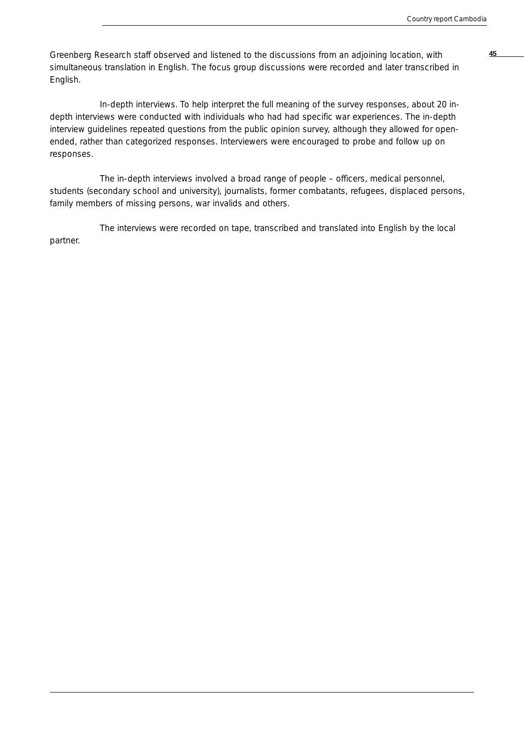Greenberg Research staff observed and listened to the discussions from an adjoining location, with **45** simultaneous translation in English. The focus group discussions were recorded and later transcribed in English.

*In-depth interviews.* To help interpret the full meaning of the survey responses, about 20 indepth interviews were conducted with individuals who had had specific war experiences. The in-depth interview guidelines repeated questions from the public opinion survey, although they allowed for openended, rather than categorized responses. Interviewers were encouraged to probe and follow up on responses.

The in-depth interviews involved a broad range of people – officers, medical personnel, students (secondary school and university), journalists, former combatants, refugees, displaced persons, family members of missing persons, war invalids and others.

The interviews were recorded on tape, transcribed and translated into English by the local partner.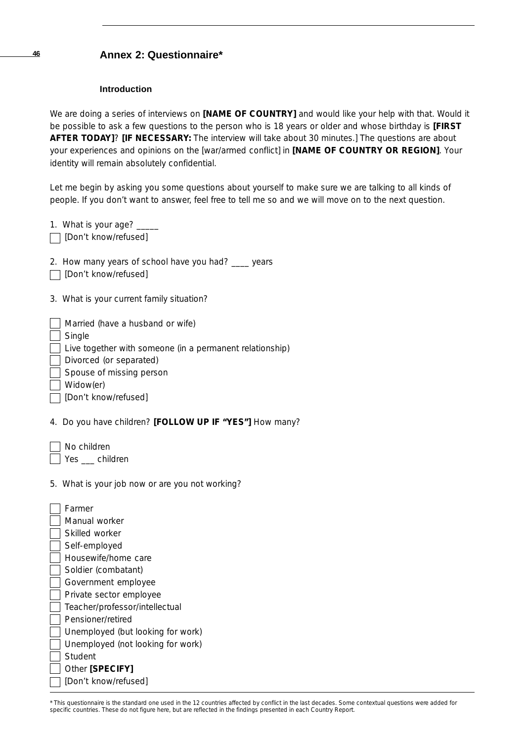#### **Introduction**

We are doing a series of interviews on **[NAME OF COUNTRY]** and would like your help with that. Would it be possible to ask a few questions to the person who is 18 years or older and whose birthday is **[FIRST AFTER TODAY]**? **[IF NECESSARY:** The interview will take about 30 minutes.] The questions are about your experiences and opinions on the [war/armed conflict] in **[NAME OF COUNTRY OR REGION]**. Your identity will remain absolutely confidential.

Let me begin by asking you some questions about yourself to make sure we are talking to all kinds of people. If you don't want to answer, feel free to tell me so and we will move on to the next question.

| people. If you don't want to answer, feel nee to tell me so and we will                                                                                                                            |
|----------------------------------------------------------------------------------------------------------------------------------------------------------------------------------------------------|
| 1. What is your age? ____<br>[Don't know/refused]                                                                                                                                                  |
| 2. How many years of school have you had? ____ years<br>[Don't know/refused]                                                                                                                       |
| 3. What is your current family situation?                                                                                                                                                          |
| Married (have a husband or wife)<br>Single<br>Live together with someone (in a permanent relationship)<br>Divorced (or separated)<br>Spouse of missing person<br>Widow(er)<br>[Don't know/refused] |
| 4. Do you have children? [FOLLOW UP IF "YES"] How many?                                                                                                                                            |
| No children<br>Yes __ children<br>5. What is your job now or are you not working?                                                                                                                  |
| Farmer<br>Manual worker                                                                                                                                                                            |
| Skilled worker                                                                                                                                                                                     |
| Self-employed<br>Housewife/home care                                                                                                                                                               |
| Soldier (combatant)                                                                                                                                                                                |
| Government employee                                                                                                                                                                                |
| Private sector employee                                                                                                                                                                            |
| Teacher/professor/intellectual                                                                                                                                                                     |

- Pensioner/retired
- Unemployed (but looking for work)
- Unemployed (not looking for work)
- **Student** Other **[SPECIFY]**
- [Don't know/refused]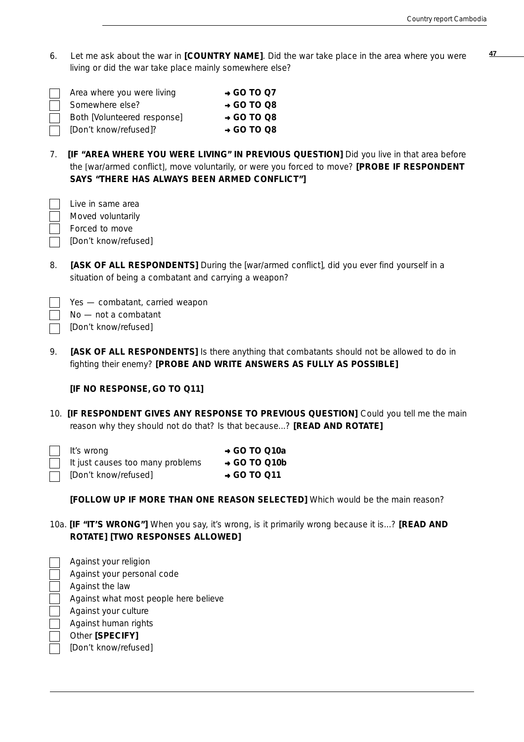**<sup>47</sup>** 6. Let me ask about the war in **[COUNTRY NAME]**. Did the war take place in the area where you were living or did the war take place mainly somewhere else?

| Area where you were living  | $\rightarrow$ GO TO Q7 |
|-----------------------------|------------------------|
| Somewhere else?             | $\rightarrow$ GO TO Q8 |
| Both [Volunteered response] | $\rightarrow$ GO TO Q8 |
| □ [Don't know/refused]?     | $\rightarrow$ GO TO Q8 |
|                             |                        |

7. **[IF "AREA WHERE YOU WERE LIVING" IN PREVIOUS QUESTION]** Did you live in that area before the [war/armed conflict], move voluntarily, or were you forced to move? **[PROBE IF RESPONDENT SAYS "THERE HAS ALWAYS BEEN ARMED CONFLICT"]**

| Live in same area    |
|----------------------|
| Moved voluntarily    |
| Forced to move       |
| [Don't know/refused] |

8. **[ASK OF ALL RESPONDENTS]** During the [war/armed conflict], did you ever find yourself in a situation of being a combatant and carrying a weapon?

| Yes - combatant, carried weapon |  |
|---------------------------------|--|
|---------------------------------|--|

- No not a combatant
- [Don't know/refused]
- 9. **[ASK OF ALL RESPONDENTS]** Is there anything that combatants should not be allowed to do in fighting their enemy? **[PROBE AND WRITE ANSWERS AS FULLY AS POSSIBLE]**

#### **[IF NO RESPONSE, GO TO Q11]**

10. **[IF RESPONDENT GIVES ANY RESPONSE TO PREVIOUS QUESTION]** Could you tell me the main reason why they should not do that? Is that because...? **[READ AND ROTATE]**

| $\vert$ It's wrong                 | $\rightarrow$ GO TO Q10a |
|------------------------------------|--------------------------|
| I It just causes too many problems | $\rightarrow$ GO TO Q10b |
| [Don't know/refused]               | $\rightarrow$ GO TO 011  |

**[FOLLOW UP IF MORE THAN ONE REASON SELECTED]** Which would be the main reason?

10a. **[IF "IT'S WRONG"]** When you say, it's wrong, is it primarily wrong because it is...? **[READ AND ROTATE] [TWO RESPONSES ALLOWED]**

| Against your religion                 |
|---------------------------------------|
| Against your personal code            |
| Against the law                       |
| Against what most people here believe |
| Against your culture                  |
| Against human rights                  |
| Other [SPECIFY]                       |
| [Don't know/refused]                  |
|                                       |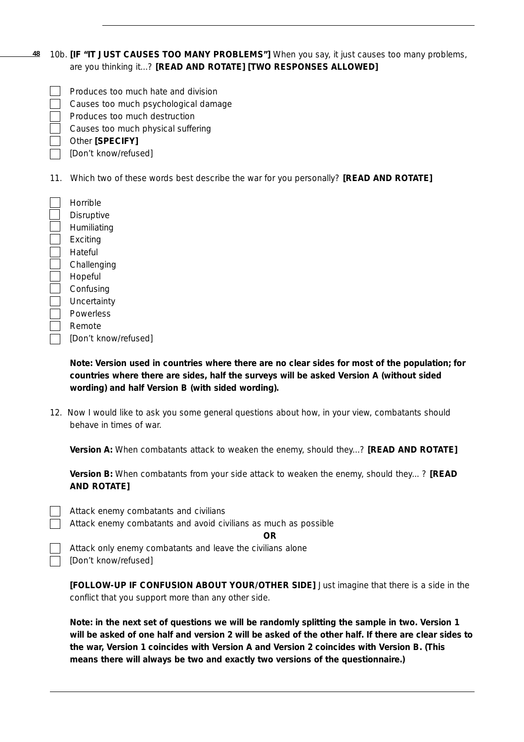#### 10b. **[IF "IT JUST CAUSES TOO MANY PROBLEMS"]** When you say, it just causes too many problems, are you thinking it...? **[READ AND ROTATE] [TWO RESPONSES ALLOWED] 48**

| Produces too much hate and division |
|-------------------------------------|
|                                     |

- Causes too much psychological damage
- Produces too much destruction
- Causes too much physical suffering

Other **[SPECIFY]**

[Don't know/refused]

11. Which two of these words best describe the war for you personally? **[READ AND ROTATE]**

| Horrible             |
|----------------------|
| Disruptive           |
| Humiliating          |
| Exciting             |
| Hateful              |
| Challenging          |
| Hopeful              |
| Confusing            |
| Uncertainty          |
| Powerless            |
| Remote               |
| [Don't know/refused] |
|                      |

## *Note: Version used in countries where there are no clear sides for most of the population; for countries where there are sides, half the surveys will be asked Version A (without sided wording) and half Version B (with sided wording).*

12. Now I would like to ask you some *general* questions about how, in your view, combatants should behave in times of war.

**Version A:** When combatants attack to weaken the enemy, should they...? **[READ AND ROTATE]**

**Version B:** When combatants from your side attack to weaken the enemy, should they... ? **[READ AND ROTATE]**

|  | Attack enemy combatants and avoid civilians as much as possible |  |  |  |  |
|--|-----------------------------------------------------------------|--|--|--|--|
|  |                                                                 |  |  |  |  |

Attack only enemy combatants and leave the civilians alone [Don't know/refused]

**[FOLLOW-UP IF CONFUSION ABOUT YOUR/OTHER SIDE]** Just imagine that there is a side in the conflict that you support more than any other side.

*Note: in the next set of questions we will be randomly splitting the sample in two. Version 1 will be asked of one half and version 2 will be asked of the other half. If there are clear sides to the war, Version 1 coincides with Version A and Version 2 coincides with Version B. (This means there will always be two and exactly two versions of the questionnaire.)*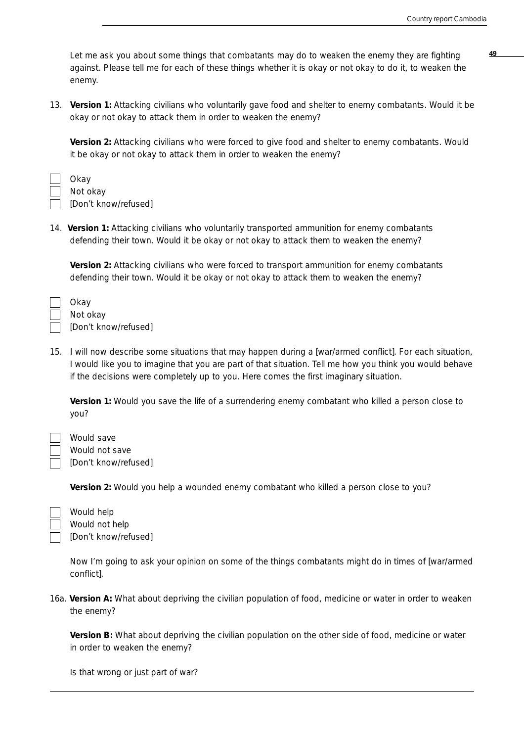**<sup>49</sup>** Let me ask you about some things that combatants may do to weaken the enemy they are fighting against. Please tell me for each of these things whether it is okay or not okay to do it, to weaken the enemy.

13. **Version 1:** Attacking civilians who voluntarily gave food and shelter to enemy combatants. Would it be okay or not okay to attack them in order to weaken the enemy?

**Version 2:** Attacking civilians who were forced to give food and shelter to enemy combatants. Would it be okay or not okay to attack them in order to weaken the enemy?

Okay Not okay [Don't know/refused]

14. **Version 1:** Attacking civilians who voluntarily transported ammunition for enemy combatants defending their town. Would it be okay or not okay to attack them to weaken the enemy?

**Version 2:** Attacking civilians who were forced to transport ammunition for enemy combatants defending their town. Would it be okay or not okay to attack them to weaken the enemy?

| Okay   |
|--------|
| Not o  |
| IDon'i |

Not okay [Don't know/refused]

15. I will now describe some situations that may happen during a [war/armed conflict]. For each situation, I would like you to imagine that you are part of that situation. Tell me how you think you would behave if the decisions were completely up to you. Here comes the first imaginary situation.

**Version 1:** Would you save the life of a surrendering enemy combatant who killed a person close to you?

Would save Would not save [Don't know/refused]

**Version 2:** Would you help a wounded enemy combatant who killed a person close to you?

Would help Would not help [Don't know/refused]

Now I'm going to ask your opinion on some of the things combatants might do in times of [war/armed conflict].

16a. **Version A:** What about depriving the civilian population of food, medicine or water in order to weaken the enemy?

**Version B:** What about depriving the civilian population on the other side of food, medicine or water in order to weaken the enemy?

Is that wrong or just part of war?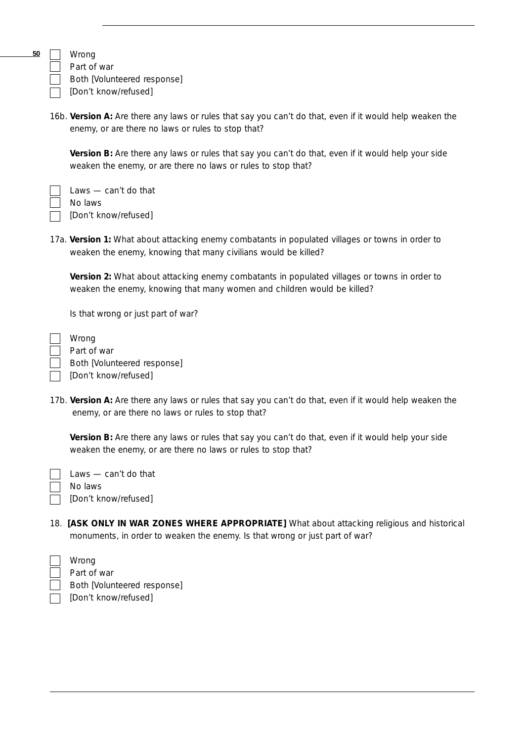**50**

Wrong Part of war

Both [Volunteered response]

[Don't know/refused]

16b. **Version A:** Are there any laws or rules that say you can't do that, even if it would help weaken the enemy, or are there no laws or rules to stop that?

**Version B:** Are there any laws or rules that say you can't do that, even if it would help your side weaken the enemy, or are there no laws or rules to stop that?

Laws — can't do that No laws **[Don't know/refused]** 

17a. **Version 1:** What about attacking enemy combatants in populated villages or towns in order to weaken the enemy, knowing that many civilians would be killed?

**Version 2:** What about attacking enemy combatants in populated villages or towns in order to weaken the enemy, knowing that many women and children would be killed?

Is that wrong or just part of war?

Wrong Part of war Both [Volunteered response] **[**Don't know/refused]

17b. **Version A:** Are there any laws or rules that say you can't do that, even if it would help weaken the enemy, or are there no laws or rules to stop that?

**Version B:** Are there any laws or rules that say you can't do that, even if it would help your side weaken the enemy, or are there no laws or rules to stop that?

| $\parallel$ Laws — can't do that |
|----------------------------------|
| No laws                          |
| [Don't know/refused]             |

18. **[ASK ONLY IN WAR ZONES WHERE APPROPRIATE]** What about attacking religious and historical monuments, in order to weaken the enemy. Is that wrong or just part of war?

|              | Wrong                       |
|--------------|-----------------------------|
| $\mathbf{1}$ | Part of war                 |
|              | Both [Volunteered response] |
|              | [Don't know/refused]        |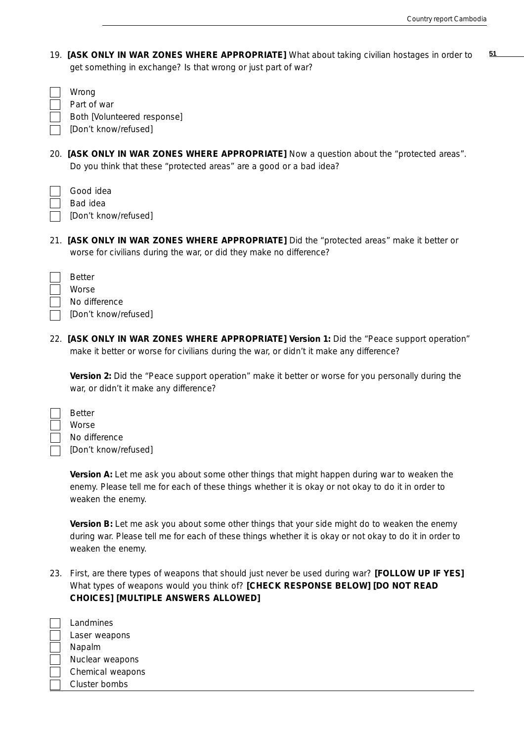19. **51 [ASK ONLY IN WAR ZONES WHERE APPROPRIATE]** What about taking civilian hostages in order to get something in exchange? Is that wrong or just part of war?

| Wrong<br>Part of war<br>Both [Volunteered response]<br>[Don't know/refused]                                                                                                           |
|---------------------------------------------------------------------------------------------------------------------------------------------------------------------------------------|
| 20. [ASK ONLY IN WAR ZONES WHERE APPROPRIATE] Now a question about the "protected areas".<br>Do you think that these "protected areas" are a good or a bad idea?                      |
| Good idea<br>Bad idea<br>[Don't know/refused]                                                                                                                                         |
| 21. [ASK ONLY IN WAR ZONES WHERE APPROPRIATE] Did the "protected areas" make it better or<br>worse for civilians during the war, or did they make no difference?                      |
| <b>Better</b><br>Worse<br>No difference<br>[Don't know/refused]                                                                                                                       |
| 22. [ASK ONLY IN WAR ZONES WHERE APPROPRIATE] Version 1: Did the "Peace support operation"<br>make it better or worse for civilians during the war, or didn't it make any difference? |
| Version 2: Did the "Peace support operation" make it better or worse for you personally during the<br>war, or didn't it make any difference?                                          |

| <b>Better</b>        |
|----------------------|
| Worse                |
| No difference        |
| [Don't know/refused] |

**Version A:** Let me ask you about some other things that might happen during war to weaken the enemy. Please tell me for each of these things whether it is okay or not okay to do it in order to weaken the enemy.

**Version B:** Let me ask you about some other things that your side might do to weaken the enemy during war. Please tell me for each of these things whether it is okay or not okay to do it in order to weaken the enemy.

23. First, are there types of weapons that should just never be used during war? **[FOLLOW UP IF YES]** What types of weapons would you think of? **[CHECK RESPONSE BELOW] [DO NOT READ CHOICES] [MULTIPLE ANSWERS ALLOWED]**

| Landmines        |
|------------------|
| Laser weapons    |
| Napalm           |
| Nuclear weapons  |
| Chemical weapons |
| Cluster bombs    |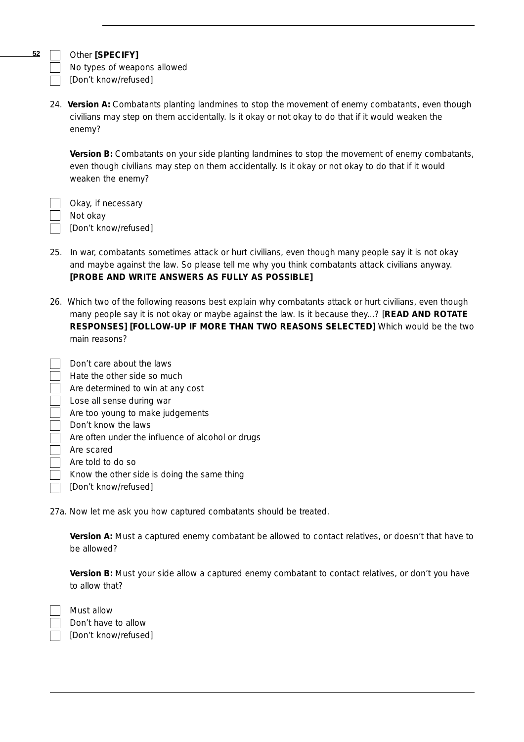**52**

## Other **[SPECIFY]**

No types of weapons allowed [Don't know/refused]

24. **Version A:** Combatants planting landmines to stop the movement of enemy combatants, even though civilians may step on them accidentally. Is it okay or not okay to do that if it would weaken the enemy?

**Version B:** Combatants on your side planting landmines to stop the movement of enemy combatants, even though civilians may step on them accidentally. Is it okay or not okay to do that if it would weaken the enemy?

Okay, if necessary Not okay **Don't know/refused]** 

- 25. In war, combatants sometimes attack or hurt civilians, even though many people say it is not okay and maybe against the law. So please tell me why you think combatants attack civilians anyway. **[PROBE AND WRITE ANSWERS AS FULLY AS POSSIBLE]**
- 26. Which *two* of the following reasons best explain why combatants attack or hurt civilians, even though many people say it is not okay or maybe against the law. Is it because they...? [**READ AND ROTATE RESPONSES] [FOLLOW-UP IF MORE THAN TWO REASONS SELECTED]** Which would be the two main reasons?

| Don't care about the laws                         |
|---------------------------------------------------|
| Hate the other side so much                       |
| Are determined to win at any cost                 |
| Lose all sense during war                         |
| Are too young to make judgements                  |
| Don't know the laws                               |
| Are often under the influence of alcohol or drugs |
| Are scared                                        |
| Are told to do so                                 |
| Know the other side is doing the same thing       |
| [Don't know/refused]                              |

27a. Now let me ask you how *captured combatants* should be treated.

**Version A:** Must a captured enemy combatant be allowed to contact relatives, or doesn't that have to be allowed?

**Version B:** Must your side allow a captured enemy combatant to contact relatives, or don't you have to allow that?

Must allow Don't have to allow [Don't know/refused]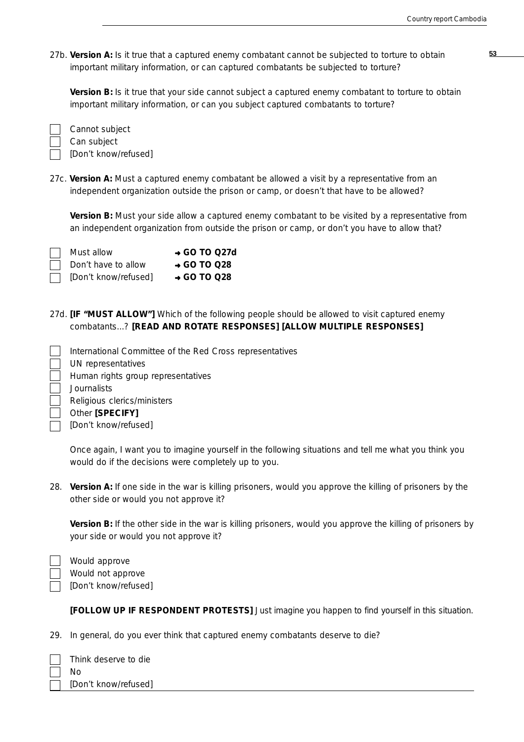27b. **Version A: 53** Is it true that a captured enemy combatant cannot be subjected to torture to obtain important military information, or can captured combatants be subjected to torture?

**Version B:** Is it true that your side cannot subject a captured enemy combatant to torture to obtain important military information, or can you subject captured combatants to torture?

Can subject [Don't know/refused]

Cannot subject

27c. **Version A:** Must a captured enemy combatant be allowed a visit by a representative from an independent organization outside the prison or camp, or doesn't that have to be allowed?

**Version B:** Must your side allow a captured enemy combatant to be visited by a representative from an independent organization from outside the prison or camp, or don't you have to allow that?

| Must allow           | $\rightarrow$ GO TO Q27d |
|----------------------|--------------------------|
| Don't have to allow  | $\rightarrow$ GO TO 028  |
| [Don't know/refused] | $\rightarrow$ GO TO 028  |

27d. **[IF "MUST ALLOW"]** Which of the following people should be allowed to visit captured enemy combatants...? **[READ AND ROTATE RESPONSES] [ALLOW MULTIPLE RESPONSES]**

International Committee of the Red Cross representatives UN representatives Human rights group representatives **Journalists** Religious clerics/ministers Other **[SPECIFY]** [Don't know/refused]

Once again, I want you to *imagine* yourself in the following situations and tell me what you think you would do if the decisions were completely up to you.

28. **Version A:** If one side in the war is killing prisoners, would you approve the killing of prisoners by the other side or would you not approve it?

**Version B:** If the other side in the war is killing prisoners, would you approve the killing of prisoners by your side or would you not approve it?

| Would approve        |
|----------------------|
| Would not approve    |
| [Don't know/refused] |

**[FOLLOW UP IF RESPONDENT PROTESTS]** Just imagine you happen to find yourself in this situation.

29. In general, do you ever think that captured enemy combatants deserve to die?

| Think deserve to die |
|----------------------|
| Nο                   |
| [Don't know/refused] |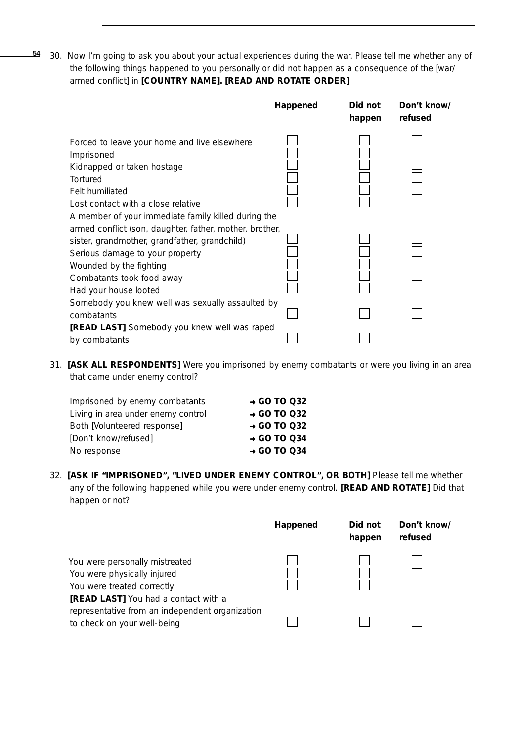30. Now I'm going to ask you about your actual experiences during the war. Please tell me whether any of the following things happened to you personally or did not happen as a consequence of the [war/ armed conflict] in **[COUNTRY NAME]. [READ AND ROTATE ORDER] 54**

|                                                                                                                                                                                                                              | Happened | Did not<br>happen | Don't know/<br>refused |
|------------------------------------------------------------------------------------------------------------------------------------------------------------------------------------------------------------------------------|----------|-------------------|------------------------|
| Forced to leave your home and live elsewhere<br>Imprisoned<br>Kidnapped or taken hostage<br>Tortured<br>Felt humiliated<br>Lost contact with a close relative<br>A member of your immediate family killed during the         |          |                   |                        |
| armed conflict (son, daughter, father, mother, brother,<br>sister, grandmother, grandfather, grandchild)<br>Serious damage to your property<br>Wounded by the fighting<br>Combatants took food away<br>Had your house looted |          |                   |                        |
| Somebody you knew well was sexually assaulted by<br>combatants                                                                                                                                                               |          |                   |                        |
| <b>[READ LAST]</b> Somebody you knew well was raped<br>by combatants                                                                                                                                                         |          |                   |                        |

31. **[ASK ALL RESPONDENTS]** Were you imprisoned by enemy combatants or were you living in an area that came under enemy control?

| Imprisoned by enemy combatants     | $\rightarrow$ GO TO Q32 |
|------------------------------------|-------------------------|
| Living in area under enemy control | $\rightarrow$ GO TO Q32 |
| Both [Volunteered response]        | $\rightarrow$ GO TO 032 |
| [Don't know/refused]               | $\rightarrow$ GO TO 034 |
| No response                        | $\rightarrow$ GO TO Q34 |

32. **[ASK IF "IMPRISONED", "LIVED UNDER ENEMY CONTROL", OR BOTH]** Please tell me whether any of the following happened while you were under enemy control. **[READ AND ROTATE]** Did that happen or not?

|                                                                                                                                     | Happened | Did not<br>happen | Don't know/<br>refused |
|-------------------------------------------------------------------------------------------------------------------------------------|----------|-------------------|------------------------|
| You were personally mistreated<br>You were physically injured<br>You were treated correctly<br>[READ LAST] You had a contact with a |          |                   |                        |
| representative from an independent organization<br>to check on your well-being                                                      |          |                   |                        |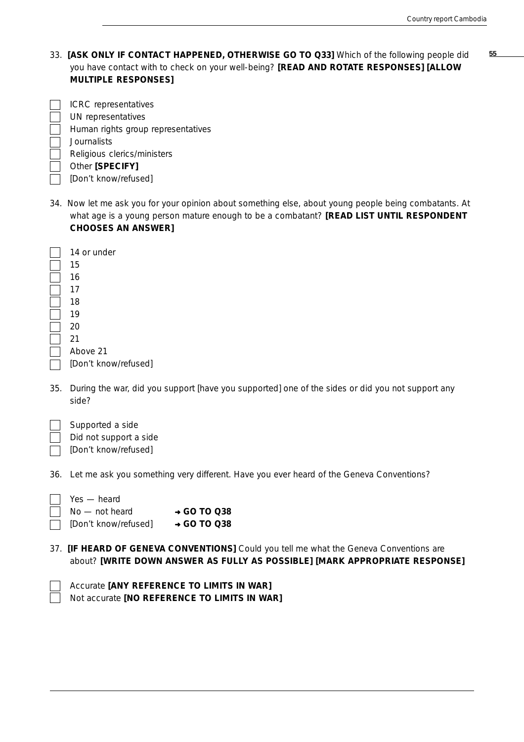33. **55 [ASK ONLY IF CONTACT HAPPENED, OTHERWISE GO TO Q33]** Which of the following people did you have contact with to check on your well-being? **[READ AND ROTATE RESPONSES] [ALLOW MULTIPLE RESPONSES]**

| ICRC representatives               |
|------------------------------------|
| UN representatives                 |
| Human rights group representatives |
| <b>Journalists</b>                 |
| Religious clerics/ministers        |
| Other [SPECIFY]                    |
| [Don't know/refused]               |

34. Now let me ask you for your opinion about something else, about young people being combatants. At what age is a young person mature enough to be a combatant? **[READ LIST UNTIL RESPONDENT CHOOSES AN ANSWER]**

| 14 or under          |
|----------------------|
| 15                   |
| 16                   |
| 17                   |
| 18                   |
| 19                   |
| 20                   |
| 21                   |
| Above 21             |
| [Don't know/refused] |

35. During the war, did you support [have you supported] one of the sides or did you not support any side?

| Supported a side       |
|------------------------|
| Did not support a side |
| [Don't know/refused]   |

36. Let me ask you something very different. Have you ever heard of the Geneva Conventions?

| Yes — heard          |                         |
|----------------------|-------------------------|
| $No$ — not heard     | $\rightarrow$ GO TO 038 |
| [Don't know/refused] | $\rightarrow$ GO TO 038 |

37. **[IF HEARD OF GENEVA CONVENTIONS]** Could you tell me what the Geneva Conventions are about? **[WRITE DOWN ANSWER AS FULLY AS POSSIBLE] [MARK APPROPRIATE RESPONSE]**

| Accurate <b>[ANY REFERENCE TO LIMITS IN WAR]</b> |
|--------------------------------------------------|
| Not accurate [NO REFERENCE TO LIMITS IN WAR]     |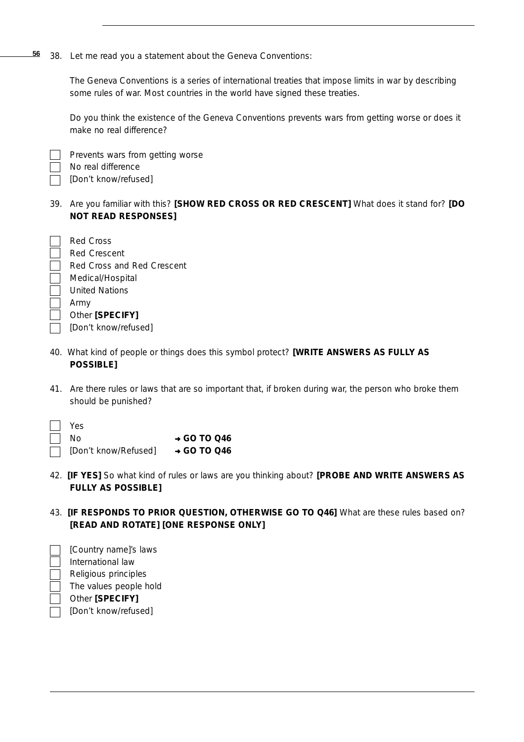38. Let me read you a statement about the Geneva Conventions: **56**

> *The Geneva Conventions is a series of international treaties that impose limits in war by describing some rules of war. Most countries in the world have signed these treaties.*

> Do you think the existence of the Geneva Conventions prevents wars from getting worse or does it make no real difference?

Prevents wars from getting worse No real difference

[Don't know/refused]

39. Are you familiar with this? **[SHOW RED CROSS OR RED CRESCENT]** What does it stand for? **[DO NOT READ RESPONSES]**

| Red Cross                  |
|----------------------------|
| Red Crescent               |
| Red Cross and Red Crescent |
| Medical/Hospital           |
| United Nations             |
| Army                       |
| Other [SPECIFY]            |
| [Don't know/refused]       |
|                            |

- 40. What kind of people or things does this symbol protect? **[WRITE ANSWERS AS FULLY AS POSSIBLE]**
- 41. Are there rules or laws that are so important that, if broken during war, the person who broke them should be punished?

| $\sqrt{\phantom{a}}$ Yes |                         |
|--------------------------|-------------------------|
| $\Box$ No                | $\rightarrow$ GO TO Q46 |
| [Don't know/Refused]     | $\rightarrow$ GO TO Q46 |

- 42. **[IF YES]** So what kind of rules or laws are you thinking about? **[PROBE AND WRITE ANSWERS AS FULLY AS POSSIBLE]**
- 43. **[IF RESPONDS TO PRIOR QUESTION, OTHERWISE GO TO Q46]** What are these rules based on? **[READ AND ROTATE] [ONE RESPONSE ONLY]**
- [Country name]'s laws International law Religious principles The values people hold Other **[SPECIFY]** [Don't know/refused]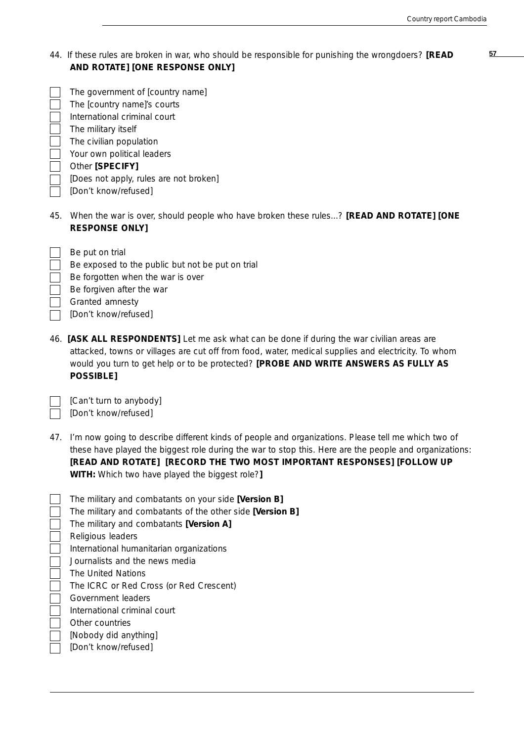| 44. If these rules are broken in war, who should be responsible for punishing the wrongdoers? [READ |  |
|-----------------------------------------------------------------------------------------------------|--|
| AND ROTATE] [ONE RESPONSE ONLY]                                                                     |  |

| The government of [country name]       |
|----------------------------------------|
| The [country name]'s courts            |
| International criminal court           |
| The military itself                    |
| The civilian population                |
| Your own political leaders             |
| Other [SPECIFY]                        |
| [Does not apply, rules are not broken] |
| [Don't know/refused]                   |
|                                        |

Be forgotten when the war is over

Be forgiven after the war

Be exposed to the public but not be put on trial

45. When the war is over, should people who have broken these rules...? **[READ AND ROTATE] [ONE RESPONSE ONLY]**

46. **[ASK ALL RESPONDENTS]** Let me ask what can be done *if* during the war civilian areas are attacked, towns or villages are cut off from food, water, medical supplies and electricity. To whom would you turn to get help or to be protected? **[PROBE AND WRITE ANSWERS AS FULLY AS POSSIBLE]**

[Can't turn to anybody] [Don't know/refused]

Be put on trial

Granted amnesty [Don't know/refused]

47. I'm now going to describe different kinds of people and organizations. Please tell me which *two* of these have played the biggest role *during* the war to stop this. Here are the people and organizations: **[READ AND ROTATE] [RECORD THE TWO MOST IMPORTANT RESPONSES] [FOLLOW UP WITH:** Which two have played the biggest role?**]**

| The military and combatants on your side [Version B]      |
|-----------------------------------------------------------|
| The military and combatants of the other side [Version B] |
| The military and combatants <b>[Version A]</b>            |
| Religious leaders                                         |
| International humanitarian organizations                  |
| Journalists and the news media                            |
| The United Nations                                        |
| The ICRC or Red Cross (or Red Crescent)                   |
| Government leaders                                        |
| International criminal court                              |
| Other countries                                           |
| [Nobody did anything]                                     |
| [Don't know/refused]                                      |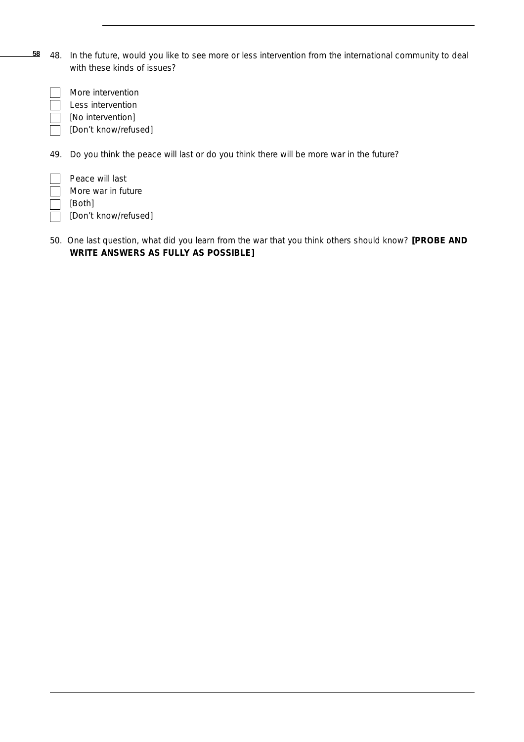48. In the future, would you like to see more or less intervention from the international community to deal with these kinds of issues? **58**

More intervention Less intervention [No intervention]

[Don't know/refused]

49. Do you think the peace will last or do you think there will be more war in the future?

| ТT      | Peace will last      |
|---------|----------------------|
| $\perp$ | More war in future   |
| $\Box$  | [Both]               |
|         | [Don't know/refused] |

50. One last question, what did you learn from the war that you think others should know? **[PROBE AND WRITE ANSWERS AS FULLY AS POSSIBLE]**